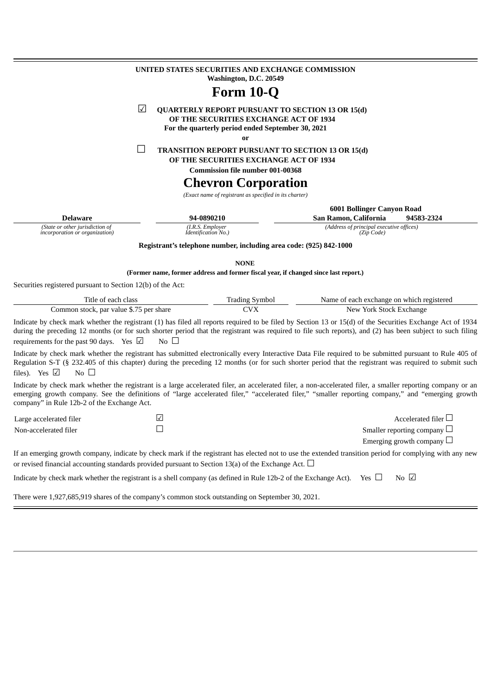<span id="page-0-0"></span>

|                                                                                                                                                                                                                                                                                                                                                                                | UNITED STATES SECURITIES AND EXCHANGE COMMISSION<br>Washington, D.C. 20549                                                                                   |                                                                      |                                   |
|--------------------------------------------------------------------------------------------------------------------------------------------------------------------------------------------------------------------------------------------------------------------------------------------------------------------------------------------------------------------------------|--------------------------------------------------------------------------------------------------------------------------------------------------------------|----------------------------------------------------------------------|-----------------------------------|
|                                                                                                                                                                                                                                                                                                                                                                                | Form 10-Q                                                                                                                                                    |                                                                      |                                   |
| $\sqrt{}$                                                                                                                                                                                                                                                                                                                                                                      | <b>QUARTERLY REPORT PURSUANT TO SECTION 13 OR 15(d)</b><br>OF THE SECURITIES EXCHANGE ACT OF 1934<br>For the quarterly period ended September 30, 2021<br>or |                                                                      |                                   |
|                                                                                                                                                                                                                                                                                                                                                                                | TRANSITION REPORT PURSUANT TO SECTION 13 OR 15(d)<br>OF THE SECURITIES EXCHANGE ACT OF 1934<br><b>Commission file number 001-00368</b>                       |                                                                      |                                   |
|                                                                                                                                                                                                                                                                                                                                                                                | <b>Chevron Corporation</b>                                                                                                                                   |                                                                      |                                   |
|                                                                                                                                                                                                                                                                                                                                                                                | (Exact name of registrant as specified in its charter)                                                                                                       |                                                                      |                                   |
|                                                                                                                                                                                                                                                                                                                                                                                |                                                                                                                                                              | <b>6001 Bollinger Canyon Road</b>                                    |                                   |
| <b>Delaware</b>                                                                                                                                                                                                                                                                                                                                                                | 94-0890210                                                                                                                                                   | San Ramon, California                                                | 94583-2324                        |
| (State or other jurisdiction of<br>incorporation or organization)                                                                                                                                                                                                                                                                                                              | (I.R.S. Employer<br>Identification No.)                                                                                                                      | (Address of principal executive offices)<br>(Zip Code)               |                                   |
|                                                                                                                                                                                                                                                                                                                                                                                | Registrant's telephone number, including area code: (925) 842-1000                                                                                           |                                                                      |                                   |
|                                                                                                                                                                                                                                                                                                                                                                                |                                                                                                                                                              |                                                                      |                                   |
|                                                                                                                                                                                                                                                                                                                                                                                | <b>NONE</b><br>(Former name, former address and former fiscal year, if changed since last report.)                                                           |                                                                      |                                   |
| Securities registered pursuant to Section 12(b) of the Act:                                                                                                                                                                                                                                                                                                                    |                                                                                                                                                              |                                                                      |                                   |
|                                                                                                                                                                                                                                                                                                                                                                                |                                                                                                                                                              |                                                                      |                                   |
| Title of each class<br>Common stock, par value \$.75 per share                                                                                                                                                                                                                                                                                                                 | <b>Trading Symbol</b><br><b>CVX</b>                                                                                                                          | Name of each exchange on which registered<br>New York Stock Exchange |                                   |
| Indicate by check mark whether the registrant (1) has filed all reports required to be filed by Section 13 or 15(d) of the Securities Exchange Act of 1934<br>during the preceding 12 months (or for such shorter period that the registrant was required to file such reports), and (2) has been subject to such filing<br>requirements for the past 90 days. Yes $\boxtimes$ | $\overline{N_0}$ $\Box$                                                                                                                                      |                                                                      |                                   |
| Indicate by check mark whether the registrant has submitted electronically every Interactive Data File required to be submitted pursuant to Rule 405 of<br>Regulation S-T (§ 232.405 of this chapter) during the preceding 12 months (or for such shorter period that the registrant was required to submit such<br>files). Yes $\Box$<br>No $\Box$                            |                                                                                                                                                              |                                                                      |                                   |
| Indicate by check mark whether the registrant is a large accelerated filer, an accelerated filer, a non-accelerated filer, a smaller reporting company or an<br>emerging growth company. See the definitions of "large accelerated filer," "accelerated filer," "smaller reporting company," and "emerging growth<br>company" in Rule 12b-2 of the Exchange Act.               |                                                                                                                                                              |                                                                      |                                   |
| Large accelerated filer                                                                                                                                                                                                                                                                                                                                                        | $\sqrt{}$                                                                                                                                                    |                                                                      | Accelerated filer $\square$       |
| Non-accelerated filer                                                                                                                                                                                                                                                                                                                                                          | $\Box$                                                                                                                                                       |                                                                      | Smaller reporting company $\Box$  |
|                                                                                                                                                                                                                                                                                                                                                                                |                                                                                                                                                              |                                                                      | Emerging growth company $\square$ |
| If an emerging growth company, indicate by check mark if the registrant has elected not to use the extended transition period for complying with any new                                                                                                                                                                                                                       |                                                                                                                                                              |                                                                      |                                   |
| or revised financial accounting standards provided pursuant to Section 13(a) of the Exchange Act. $\Box$                                                                                                                                                                                                                                                                       |                                                                                                                                                              |                                                                      |                                   |
| Indicate by check mark whether the registrant is a shell company (as defined in Rule 12b-2 of the Exchange Act). Yes $\Box$                                                                                                                                                                                                                                                    |                                                                                                                                                              |                                                                      | No $\overline{\vee}$              |
| There were 1,927,685,919 shares of the company's common stock outstanding on September 30, 2021.                                                                                                                                                                                                                                                                               |                                                                                                                                                              |                                                                      |                                   |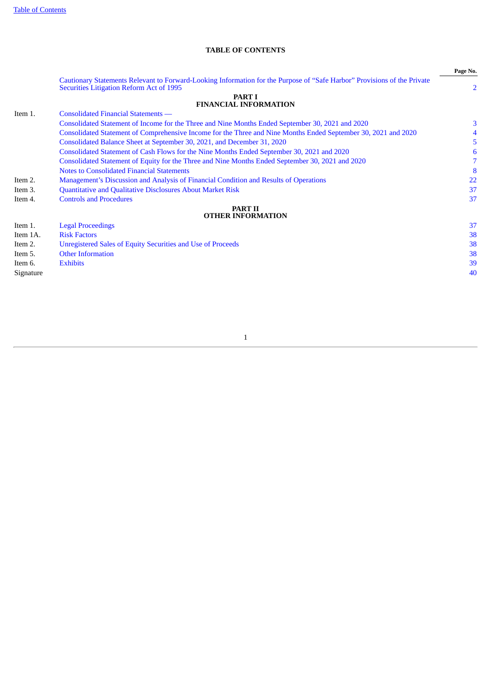# **TABLE OF CONTENTS**

<span id="page-1-0"></span>

|           |                                                                                                                                                                      | Page No.       |
|-----------|----------------------------------------------------------------------------------------------------------------------------------------------------------------------|----------------|
|           | Cautionary Statements Relevant to Forward-Looking Information for the Purpose of "Safe Harbor" Provisions of the Private<br>Securities Litigation Reform Act of 1995 | $\overline{2}$ |
|           | <b>PART I</b><br><b>FINANCIAL INFORMATION</b>                                                                                                                        |                |
| Item 1.   | <b>Consolidated Financial Statements —</b>                                                                                                                           |                |
|           | Consolidated Statement of Income for the Three and Nine Months Ended September 30, 2021 and 2020                                                                     | 3              |
|           | Consolidated Statement of Comprehensive Income for the Three and Nine Months Ended September 30, 2021 and 2020                                                       | 4              |
|           | Consolidated Balance Sheet at September 30, 2021, and December 31, 2020                                                                                              | 5              |
|           | Consolidated Statement of Cash Flows for the Nine Months Ended September 30, 2021 and 2020                                                                           | 6              |
|           | Consolidated Statement of Equity for the Three and Nine Months Ended September 30, 2021 and 2020                                                                     |                |
|           | <b>Notes to Consolidated Financial Statements</b>                                                                                                                    | 8              |
| Item 2.   | Management's Discussion and Analysis of Financial Condition and Results of Operations                                                                                | 22             |
| Item 3.   | Quantitative and Qualitative Disclosures About Market Risk                                                                                                           | 37             |
| Item 4.   | <b>Controls and Procedures</b>                                                                                                                                       | 37             |
|           | <b>PART II</b>                                                                                                                                                       |                |
|           | <b>OTHER INFORMATION</b>                                                                                                                                             |                |
| Item 1.   | <b>Legal Proceedings</b>                                                                                                                                             | 37             |
| Item 1A.  | <b>Risk Factors</b>                                                                                                                                                  | 38             |
| Item 2.   | <b>Unregistered Sales of Equity Securities and Use of Proceeds</b>                                                                                                   | 38             |
| Item 5.   | <b>Other Information</b>                                                                                                                                             | 38             |
| Item 6.   | <b>Exhibits</b>                                                                                                                                                      | 39             |
| Signature |                                                                                                                                                                      | 40             |
|           |                                                                                                                                                                      |                |
|           |                                                                                                                                                                      |                |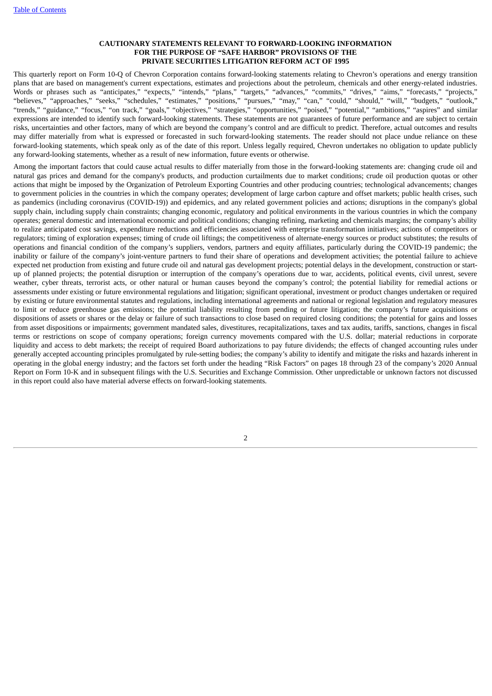#### **CAUTIONARY STATEMENTS RELEVANT TO FORWARD-LOOKING INFORMATION FOR THE PURPOSE OF "SAFE HARBOR" PROVISIONS OF THE PRIVATE SECURITIES LITIGATION REFORM ACT OF 1995**

This quarterly report on Form 10-Q of Chevron Corporation contains forward-looking statements relating to Chevron's operations and energy transition plans that are based on management's current expectations, estimates and projections about the petroleum, chemicals and other energy-related industries. Words or phrases such as "anticipates," "expects," "intends," "plans," "targets," "advances," "commits," "drives," "aims," "forecasts," "projects," "believes," "approaches," "seeks," "schedules," "estimates," "positions," "pursues," "may," "can," "could," "should," "will," "budgets," "outlook," "trends," "guidance," "focus," "on track," "goals," "objectives," "strategies," "opportunities," "poised," "potential," "ambitions," "aspires" and similar expressions are intended to identify such forward-looking statements. These statements are not guarantees of future performance and are subject to certain risks, uncertainties and other factors, many of which are beyond the company's control and are difficult to predict. Therefore, actual outcomes and results may differ materially from what is expressed or forecasted in such forward-looking statements. The reader should not place undue reliance on these forward-looking statements, which speak only as of the date of this report. Unless legally required, Chevron undertakes no obligation to update publicly any forward-looking statements, whether as a result of new information, future events or otherwise.

<span id="page-2-0"></span>Among the important factors that could cause actual results to differ materially from those in the forward-looking statements are: changing crude oil and natural gas prices and demand for the company's products, and production curtailments due to market conditions; crude oil production quotas or other actions that might be imposed by the Organization of Petroleum Exporting Countries and other producing countries; technological advancements; changes to government policies in the countries in which the company operates; development of large carbon capture and offset markets; public health crises, such as pandemics (including coronavirus (COVID-19)) and epidemics, and any related government policies and actions; disruptions in the company's global supply chain, including supply chain constraints; changing economic, regulatory and political environments in the various countries in which the company operates; general domestic and international economic and political conditions; changing refining, marketing and chemicals margins; the company's ability to realize anticipated cost savings, expenditure reductions and efficiencies associated with enterprise transformation initiatives; actions of competitors or regulators; timing of exploration expenses; timing of crude oil liftings; the competitiveness of alternate-energy sources or product substitutes; the results of operations and financial condition of the company's suppliers, vendors, partners and equity affiliates, particularly during the COVID-19 pandemic; the inability or failure of the company's joint-venture partners to fund their share of operations and development activities; the potential failure to achieve expected net production from existing and future crude oil and natural gas development projects; potential delays in the development, construction or startup of planned projects; the potential disruption or interruption of the company's operations due to war, accidents, political events, civil unrest, severe weather, cyber threats, terrorist acts, or other natural or human causes beyond the company's control; the potential liability for remedial actions or assessments under existing or future environmental regulations and litigation; significant operational, investment or product changes undertaken or required by existing or future environmental statutes and regulations, including international agreements and national or regional legislation and regulatory measures to limit or reduce greenhouse gas emissions; the potential liability resulting from pending or future litigation; the company's future acquisitions or dispositions of assets or shares or the delay or failure of such transactions to close based on required closing conditions; the potential for gains and losses from asset dispositions or impairments; government mandated sales, divestitures, recapitalizations, taxes and tax audits, tariffs, sanctions, changes in fiscal terms or restrictions on scope of company operations; foreign currency movements compared with the U.S. dollar; material reductions in corporate liquidity and access to debt markets; the receipt of required Board authorizations to pay future dividends; the effects of changed accounting rules under generally accepted accounting principles promulgated by rule-setting bodies; the company's ability to identify and mitigate the risks and hazards inherent in operating in the global energy industry; and the factors set forth under the heading "Risk Factors" on pages 18 through 23 of the company's 2020 Annual Report on Form 10-K and in subsequent filings with the U.S. Securities and Exchange Commission. Other unpredictable or unknown factors not discussed in this report could also have material adverse effects on forward-looking statements.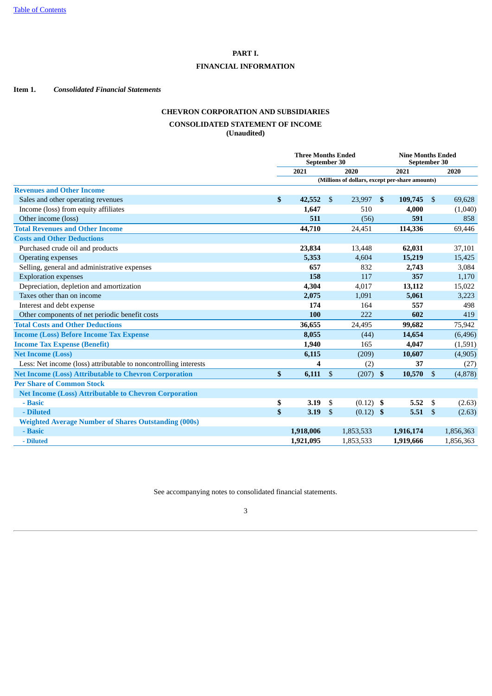## **PART I.**

## **FINANCIAL INFORMATION**

<span id="page-3-1"></span><span id="page-3-0"></span>**Item 1.** *Consolidated Financial Statements*

# **CHEVRON CORPORATION AND SUBSIDIARIES**

# **CONSOLIDATED STATEMENT OF INCOME**

**(Unaudited)**

|                                                                  |                                                 | <b>Three Months Ended</b><br>September 30 |                |             |              | <b>Nine Months Ended</b><br>September 30 |      |           |  |  |
|------------------------------------------------------------------|-------------------------------------------------|-------------------------------------------|----------------|-------------|--------------|------------------------------------------|------|-----------|--|--|
|                                                                  |                                                 | 2020<br>2021                              |                |             |              | 2021                                     | 2020 |           |  |  |
|                                                                  | (Millions of dollars, except per-share amounts) |                                           |                |             |              |                                          |      |           |  |  |
| <b>Revenues and Other Income</b>                                 |                                                 |                                           |                |             |              |                                          |      |           |  |  |
| Sales and other operating revenues                               | \$                                              | 42,552                                    | \$             | 23,997      | \$           | 109,745                                  | - \$ | 69,628    |  |  |
| Income (loss) from equity affiliates                             |                                                 | 1,647                                     |                | 510         |              | 4,000                                    |      | (1,040)   |  |  |
| Other income (loss)                                              |                                                 | 511                                       |                | (56)        |              | 591                                      |      | 858       |  |  |
| <b>Total Revenues and Other Income</b>                           |                                                 | 44,710                                    |                | 24,451      |              | 114,336                                  |      | 69,446    |  |  |
| <b>Costs and Other Deductions</b>                                |                                                 |                                           |                |             |              |                                          |      |           |  |  |
| Purchased crude oil and products                                 |                                                 | 23,834                                    |                | 13,448      |              | 62,031                                   |      | 37,101    |  |  |
| <b>Operating expenses</b>                                        |                                                 | 5,353                                     |                | 4,604       |              | 15,219                                   |      | 15,425    |  |  |
| Selling, general and administrative expenses                     |                                                 | 657                                       |                | 832         |              | 2,743                                    |      | 3,084     |  |  |
| <b>Exploration expenses</b>                                      |                                                 | 158                                       |                | 117         |              | 357                                      |      | 1,170     |  |  |
| Depreciation, depletion and amortization                         |                                                 | 4,304                                     |                | 4,017       |              | 13,112                                   |      | 15,022    |  |  |
| Taxes other than on income                                       |                                                 | 2,075                                     |                | 1,091       |              | 5,061                                    |      | 3,223     |  |  |
| Interest and debt expense                                        |                                                 | 174                                       |                | 164         |              | 557                                      |      | 498       |  |  |
| Other components of net periodic benefit costs                   |                                                 | 100                                       |                | 222         |              | 602                                      |      | 419       |  |  |
| <b>Total Costs and Other Deductions</b>                          |                                                 | 36,655                                    |                | 24,495      |              | 99,682                                   |      | 75,942    |  |  |
| <b>Income (Loss) Before Income Tax Expense</b>                   |                                                 | 8,055                                     |                | (44)        |              | 14,654                                   |      | (6, 496)  |  |  |
| <b>Income Tax Expense (Benefit)</b>                              |                                                 | 1,940                                     |                | 165         |              | 4,047                                    |      | (1,591)   |  |  |
| <b>Net Income (Loss)</b>                                         |                                                 | 6,115                                     |                | (209)       |              | 10,607                                   |      | (4,905)   |  |  |
| Less: Net income (loss) attributable to noncontrolling interests |                                                 | 4                                         |                | (2)         |              | 37                                       |      | (27)      |  |  |
| <b>Net Income (Loss) Attributable to Chevron Corporation</b>     | \$                                              | 6,111                                     | $\mathfrak{S}$ | (207)       | $\mathbf{s}$ | 10,570                                   | \$   | (4,878)   |  |  |
| <b>Per Share of Common Stock</b>                                 |                                                 |                                           |                |             |              |                                          |      |           |  |  |
| <b>Net Income (Loss) Attributable to Chevron Corporation</b>     |                                                 |                                           |                |             |              |                                          |      |           |  |  |
| - Basic                                                          | \$                                              | 3.19                                      | - \$           | $(0.12)$ \$ |              | 5.52                                     | - \$ | (2.63)    |  |  |
| - Diluted                                                        | \$                                              | 3.19                                      | \$             | $(0.12)$ \$ |              | $5.51\quad$                              |      | (2.63)    |  |  |
| <b>Weighted Average Number of Shares Outstanding (000s)</b>      |                                                 |                                           |                |             |              |                                          |      |           |  |  |
| - Basic                                                          |                                                 | 1,918,006                                 |                | 1,853,533   |              | 1,916,174                                |      | 1,856,363 |  |  |
| - Diluted                                                        |                                                 | 1,921,095                                 |                | 1,853,533   |              | 1,919,666                                |      | 1,856,363 |  |  |

<span id="page-3-2"></span>See accompanying notes to consolidated financial statements.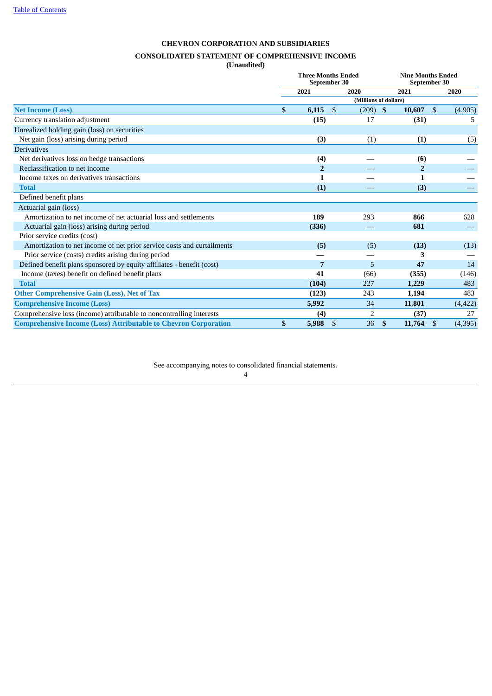# **CHEVRON CORPORATION AND SUBSIDIARIES**

# **CONSOLIDATED STATEMENT OF COMPREHENSIVE INCOME**

**(Unaudited)**

|                                                                        | <b>Three Months Ended</b> | September 30            | <b>Nine Months Ended</b><br>September 30 |                |                         |  |
|------------------------------------------------------------------------|---------------------------|-------------------------|------------------------------------------|----------------|-------------------------|--|
|                                                                        | 2021                      | 2020                    |                                          | 2021           | 2020                    |  |
|                                                                        |                           | (Millions of dollars)   |                                          |                |                         |  |
| <b>Net Income (Loss)</b>                                               | \$<br>6,115               | $\mathfrak{S}$<br>(209) | - \$                                     | 10,607         | $\mathbb{S}$<br>(4,905) |  |
| Currency translation adjustment                                        | (15)                      | 17                      |                                          | (31)           | 5                       |  |
| Unrealized holding gain (loss) on securities                           |                           |                         |                                          |                |                         |  |
| Net gain (loss) arising during period                                  | (3)                       | (1)                     |                                          | (1)            | (5)                     |  |
| <b>Derivatives</b>                                                     |                           |                         |                                          |                |                         |  |
| Net derivatives loss on hedge transactions                             | (4)                       |                         |                                          | (6)            |                         |  |
| Reclassification to net income                                         | $\overline{2}$            |                         |                                          | $\overline{2}$ |                         |  |
| Income taxes on derivatives transactions                               | 1                         |                         |                                          | 1              |                         |  |
| <b>Total</b>                                                           | (1)                       |                         |                                          | (3)            |                         |  |
| Defined benefit plans                                                  |                           |                         |                                          |                |                         |  |
| Actuarial gain (loss)                                                  |                           |                         |                                          |                |                         |  |
| Amortization to net income of net actuarial loss and settlements       | 189                       | 293                     |                                          | 866            | 628                     |  |
| Actuarial gain (loss) arising during period                            | (336)                     |                         |                                          | 681            |                         |  |
| Prior service credits (cost)                                           |                           |                         |                                          |                |                         |  |
| Amortization to net income of net prior service costs and curtailments | (5)                       | (5)                     |                                          | (13)           | (13)                    |  |
| Prior service (costs) credits arising during period                    |                           |                         |                                          |                |                         |  |
| Defined benefit plans sponsored by equity affiliates - benefit (cost)  | 7                         | $\overline{5}$          |                                          | 47             | 14                      |  |
| Income (taxes) benefit on defined benefit plans                        | 41                        | (66)                    |                                          | (355)          | (146)                   |  |
| <b>Total</b>                                                           | (104)                     | 227                     |                                          | 1,229          | 483                     |  |
| <b>Other Comprehensive Gain (Loss), Net of Tax</b>                     | (123)                     | 243                     |                                          | 1,194          | 483                     |  |
| <b>Comprehensive Income (Loss)</b>                                     | 5,992                     | 34                      |                                          | 11,801         | (4, 422)                |  |
| Comprehensive loss (income) attributable to noncontrolling interests   | (4)                       | 2                       |                                          | (37)           | 27                      |  |
| <b>Comprehensive Income (Loss) Attributable to Chevron Corporation</b> | \$<br>5,988               | 36<br>\$                | \$                                       | 11,764         | \$<br>(4,395)           |  |

<span id="page-4-0"></span>See accompanying notes to consolidated financial statements.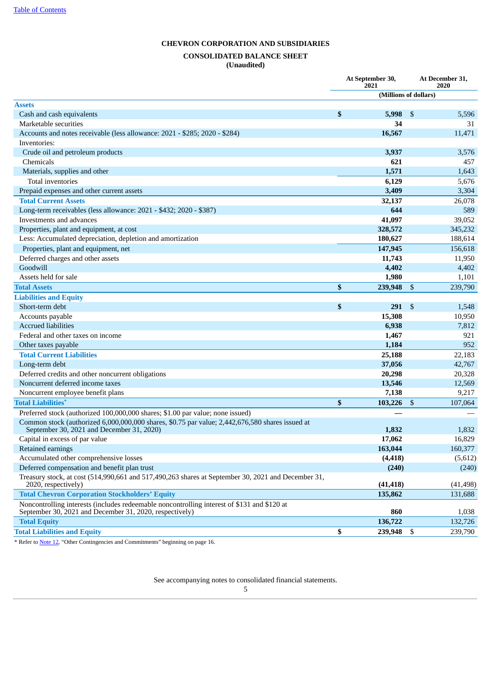# **CHEVRON CORPORATION AND SUBSIDIARIES**

# **CONSOLIDATED BALANCE SHEET**

**(Unaudited)**

|                                                                                                                                                        | At September 30,<br>2021 | At December 31,<br>2020 |           |  |  |
|--------------------------------------------------------------------------------------------------------------------------------------------------------|--------------------------|-------------------------|-----------|--|--|
|                                                                                                                                                        | (Millions of dollars)    |                         |           |  |  |
| <b>Assets</b>                                                                                                                                          |                          |                         |           |  |  |
| Cash and cash equivalents                                                                                                                              | \$<br>5,998              | \$                      | 5,596     |  |  |
| Marketable securities                                                                                                                                  | 34                       |                         | 31        |  |  |
| Accounts and notes receivable (less allowance: 2021 - \$285; 2020 - \$284)                                                                             | 16,567                   |                         | 11,471    |  |  |
| Inventories:                                                                                                                                           |                          |                         |           |  |  |
| Crude oil and petroleum products                                                                                                                       | 3,937                    |                         | 3,576     |  |  |
| Chemicals                                                                                                                                              | 621                      |                         | 457       |  |  |
| Materials, supplies and other                                                                                                                          | 1,571                    |                         | 1,643     |  |  |
| Total inventories                                                                                                                                      | 6,129                    |                         | 5,676     |  |  |
| Prepaid expenses and other current assets                                                                                                              | 3,409                    |                         | 3,304     |  |  |
| <b>Total Current Assets</b>                                                                                                                            | 32,137                   |                         | 26,078    |  |  |
| Long-term receivables (less allowance: 2021 - \$432; 2020 - \$387)                                                                                     | 644                      |                         | 589       |  |  |
| Investments and advances                                                                                                                               | 41,097                   |                         | 39,052    |  |  |
| Properties, plant and equipment, at cost                                                                                                               | 328,572                  |                         | 345,232   |  |  |
| Less: Accumulated depreciation, depletion and amortization                                                                                             | 180,627                  |                         | 188,614   |  |  |
| Properties, plant and equipment, net                                                                                                                   | 147,945                  |                         | 156,618   |  |  |
| Deferred charges and other assets                                                                                                                      | 11,743                   |                         | 11,950    |  |  |
| Goodwill                                                                                                                                               | 4,402                    |                         | 4,402     |  |  |
| Assets held for sale                                                                                                                                   | 1,980                    |                         | 1,101     |  |  |
| <b>Total Assets</b>                                                                                                                                    | \$<br>239,948            | \$                      | 239,790   |  |  |
| <b>Liabilities and Equity</b>                                                                                                                          |                          |                         |           |  |  |
| Short-term debt                                                                                                                                        | \$<br>291                | \$                      | 1,548     |  |  |
| Accounts payable                                                                                                                                       | 15,308                   |                         | 10,950    |  |  |
| <b>Accrued liabilities</b>                                                                                                                             | 6,938                    |                         | 7,812     |  |  |
| Federal and other taxes on income                                                                                                                      | 1,467                    |                         | 921       |  |  |
| Other taxes payable                                                                                                                                    | 1,184                    |                         | 952       |  |  |
| <b>Total Current Liabilities</b>                                                                                                                       | 25,188                   |                         | 22,183    |  |  |
| Long-term debt                                                                                                                                         | 37,056                   |                         | 42,767    |  |  |
| Deferred credits and other noncurrent obligations                                                                                                      | 20,298                   |                         | 20,328    |  |  |
| Noncurrent deferred income taxes                                                                                                                       | 13,546                   |                         | 12,569    |  |  |
| Noncurrent employee benefit plans                                                                                                                      | 7,138                    |                         | 9,217     |  |  |
| <b>Total Liabilities*</b>                                                                                                                              | \$<br>103,226            | \$                      | 107,064   |  |  |
| Preferred stock (authorized 100,000,000 shares; \$1.00 par value; none issued)                                                                         |                          |                         |           |  |  |
| Common stock (authorized 6,000,000,000 shares, \$0.75 par value; 2,442,676,580 shares issued at<br>September 30, 2021 and December 31, 2020)           | 1,832                    |                         | 1,832     |  |  |
| Capital in excess of par value                                                                                                                         | 17,062                   |                         | 16,829    |  |  |
| Retained earnings                                                                                                                                      | 163,044                  |                         | 160,377   |  |  |
| Accumulated other comprehensive losses                                                                                                                 | (4, 418)                 |                         | (5,612)   |  |  |
| Deferred compensation and benefit plan trust                                                                                                           | (240)                    |                         | (240)     |  |  |
| Treasury stock, at cost (514,990,661 and 517,490,263 shares at September 30, 2021 and December 31,<br>2020, respectively)                              | (41, 418)                |                         | (41, 498) |  |  |
| <b>Total Chevron Corporation Stockholders' Equity</b>                                                                                                  | 135,862                  |                         | 131,688   |  |  |
| Noncontrolling interests (includes redeemable noncontrolling interest of \$131 and \$120 at<br>September 30, 2021 and December 31, 2020, respectively) | 860                      |                         | 1,038     |  |  |
| <b>Total Equity</b>                                                                                                                                    | 136,722                  |                         | 132,726   |  |  |
| <b>Total Liabilities and Equity</b>                                                                                                                    | \$<br>239,948            | \$                      | 239,790   |  |  |
|                                                                                                                                                        |                          |                         |           |  |  |

<span id="page-5-0"></span>\* Refer to [Note](#page-16-0) 12, "Other Contingencies and Commitments" beginning on page 16.

See accompanying notes to consolidated financial statements.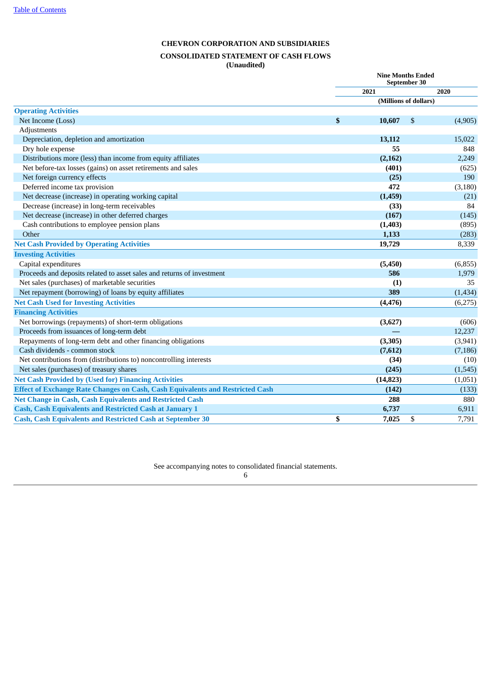# **CHEVRON CORPORATION AND SUBSIDIARIES**

# **CONSOLIDATED STATEMENT OF CASH FLOWS**

**(Unaudited)**

|                                                                                      | <b>Nine Months Ended</b><br>September 30 |                |          |  |  |
|--------------------------------------------------------------------------------------|------------------------------------------|----------------|----------|--|--|
|                                                                                      | 2021                                     |                | 2020     |  |  |
|                                                                                      | (Millions of dollars)                    |                |          |  |  |
| <b>Operating Activities</b>                                                          |                                          |                |          |  |  |
| Net Income (Loss)                                                                    | \$<br>10,607                             | $\mathfrak{s}$ | (4,905)  |  |  |
| Adjustments                                                                          |                                          |                |          |  |  |
| Depreciation, depletion and amortization                                             | 13,112                                   |                | 15,022   |  |  |
| Dry hole expense                                                                     | 55                                       |                | 848      |  |  |
| Distributions more (less) than income from equity affiliates                         | (2, 162)                                 |                | 2,249    |  |  |
| Net before-tax losses (gains) on asset retirements and sales                         | (401)                                    |                | (625)    |  |  |
| Net foreign currency effects                                                         | (25)                                     |                | 190      |  |  |
| Deferred income tax provision                                                        | 472                                      |                | (3, 180) |  |  |
| Net decrease (increase) in operating working capital                                 | (1, 459)                                 |                | (21)     |  |  |
| Decrease (increase) in long-term receivables                                         | (33)                                     |                | 84       |  |  |
| Net decrease (increase) in other deferred charges                                    | (167)                                    |                | (145)    |  |  |
| Cash contributions to employee pension plans                                         | (1, 403)                                 |                | (895)    |  |  |
| Other                                                                                | 1,133                                    |                | (283)    |  |  |
| <b>Net Cash Provided by Operating Activities</b>                                     | 19,729                                   |                | 8,339    |  |  |
| <b>Investing Activities</b>                                                          |                                          |                |          |  |  |
| Capital expenditures                                                                 | (5, 450)                                 |                | (6, 855) |  |  |
| Proceeds and deposits related to asset sales and returns of investment               | 586                                      |                | 1,979    |  |  |
| Net sales (purchases) of marketable securities                                       | (1)                                      |                | 35       |  |  |
| Net repayment (borrowing) of loans by equity affiliates                              | 389                                      |                | (1,434)  |  |  |
| <b>Net Cash Used for Investing Activities</b>                                        | (4, 476)                                 |                | (6,275)  |  |  |
| <b>Financing Activities</b>                                                          |                                          |                |          |  |  |
| Net borrowings (repayments) of short-term obligations                                | (3,627)                                  |                | (606)    |  |  |
| Proceeds from issuances of long-term debt                                            |                                          |                | 12,237   |  |  |
| Repayments of long-term debt and other financing obligations                         | (3, 305)                                 |                | (3,941)  |  |  |
| Cash dividends - common stock                                                        | (7,612)                                  |                | (7, 186) |  |  |
| Net contributions from (distributions to) noncontrolling interests                   | (34)                                     |                | (10)     |  |  |
| Net sales (purchases) of treasury shares                                             | (245)                                    |                | (1, 545) |  |  |
| <b>Net Cash Provided by (Used for) Financing Activities</b>                          | (14, 823)                                |                | (1,051)  |  |  |
| <b>Effect of Exchange Rate Changes on Cash, Cash Equivalents and Restricted Cash</b> | (142)                                    |                | (133)    |  |  |
| Net Change in Cash, Cash Equivalents and Restricted Cash                             | 288                                      |                | 880      |  |  |
| <b>Cash, Cash Equivalents and Restricted Cash at January 1</b>                       | 6,737                                    |                | 6,911    |  |  |
| <b>Cash, Cash Equivalents and Restricted Cash at September 30</b>                    | \$<br>7,025                              | \$             | 7,791    |  |  |

<span id="page-6-0"></span>See accompanying notes to consolidated financial statements.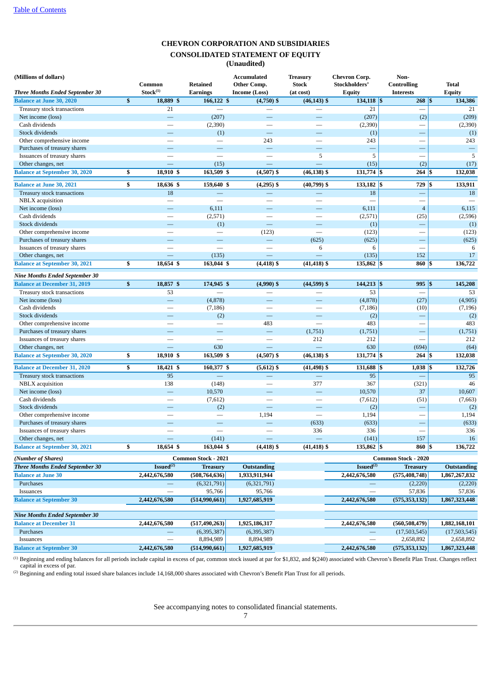# **CHEVRON CORPORATION AND SUBSIDIARIES CONSOLIDATED STATEMENT OF EQUITY**

**(Unaudited)**

| (Millions of dollars)                            | Common                 | <b>Retained</b>               | Accumulated<br>Other Comp. | <b>Treasury</b><br><b>Stock</b> | <b>Chevron Corp.</b><br>Stockholders' | Non-<br>Controlling        | <b>Total</b>        |
|--------------------------------------------------|------------------------|-------------------------------|----------------------------|---------------------------------|---------------------------------------|----------------------------|---------------------|
| Three Months Ended September 30                  | Stock <sup>(1)</sup>   | <b>Earnings</b>               | <b>Income (Loss)</b>       | (at cost)                       | <b>Equity</b>                         | <b>Interests</b>           | Equity              |
| <b>Balance at June 30, 2020</b>                  | \$<br>18,889 \$        | 166,122 \$                    | $(4,750)$ \$               | $(46, 143)$ \$                  | $134,118$ \$<br>21                    | $268 \, \text{S}$          | 134,386<br>21       |
| Treasury stock transactions<br>Net income (loss) | 21<br>ш,               | (207)                         |                            |                                 | (207)                                 | (2)                        | (209)               |
| Cash dividends                                   |                        | (2,390)                       |                            |                                 | (2,390)                               |                            | (2,390)             |
| Stock dividends                                  |                        | (1)                           | $\overline{\phantom{0}}$   |                                 | (1)                                   | -                          | (1)                 |
| Other comprehensive income                       |                        | $\overline{\phantom{0}}$      | 243                        |                                 | 243                                   |                            | 243                 |
| Purchases of treasury shares                     |                        |                               |                            |                                 |                                       |                            |                     |
| Issuances of treasury shares                     |                        |                               |                            | 5                               | 5                                     |                            | 5                   |
| Other changes, net                               |                        | (15)                          |                            |                                 | (15)                                  | (2)                        | (17)                |
| <b>Balance at September 30, 2020</b>             | \$<br>18,910 \$        | 163,509 \$                    | $(4,507)$ \$               | $(46, 138)$ \$                  | $131,774$ \$                          | $264 \,$ \$                | 132,038             |
| <b>Balance at June 30, 2021</b>                  | \$<br>18,636 \$        | 159,640 \$                    | $(4,295)$ \$               | $(40,799)$ \$                   | $133,182$ \$                          | $729$ \\$                  | 133,911             |
| Treasury stock transactions                      | 18                     |                               |                            |                                 | 18                                    |                            | 18                  |
| NBLX acquisition                                 |                        | ÷.                            |                            |                                 |                                       |                            |                     |
| Net income (loss)                                |                        | 6,111                         |                            |                                 | 6,111                                 | $\overline{4}$             | 6,115               |
| Cash dividends                                   |                        | (2,571)                       | $\overline{\phantom{0}}$   |                                 | (2,571)                               | (25)                       | (2,596)             |
| Stock dividends                                  |                        | (1)                           |                            |                                 | (1)                                   |                            | (1)                 |
| Other comprehensive income                       |                        | $\overline{\phantom{0}}$      | (123)                      | $\overline{\phantom{0}}$        | (123)                                 |                            | (123)               |
| Purchases of treasury shares                     |                        | $\overline{\phantom{0}}$      | $\equiv$                   | (625)                           | (625)                                 |                            | (625)               |
| Issuances of treasury shares                     |                        |                               |                            | 6                               | 6                                     |                            | 6                   |
| Other changes, net                               |                        | (135)                         |                            |                                 | (135)                                 | 152                        | 17                  |
| <b>Balance at September 30, 2021</b>             | \$<br>18,654 \$        | 163,044 \$                    | $(4, 418)$ \$              | $(41, 418)$ \$                  | 135,862 $\frac{1}{3}$                 | 860 \$                     | 136,722             |
| Nine Months Ended September 30                   |                        |                               |                            |                                 |                                       |                            |                     |
| <b>Balance at December 31, 2019</b>              | \$<br>18,857 \$        | 174,945 \$                    | $(4,990)$ \$               | $(44,599)$ \$                   | $144,213$ \$                          | 995 S                      | 145,208             |
| Treasury stock transactions                      | 53                     | $\overline{\phantom{0}}$      | $\equiv$                   |                                 | 53                                    |                            | 53                  |
| Net income (loss)                                |                        |                               |                            |                                 |                                       | (27)                       |                     |
| Cash dividends                                   |                        | (4,878)<br>(7, 186)           |                            |                                 | (4,878)<br>(7, 186)                   | (10)                       | (4,905)<br>(7, 196) |
| Stock dividends                                  |                        |                               | ш.                         |                                 |                                       |                            |                     |
| Other comprehensive income                       |                        | (2)                           | 483                        | $\overline{\phantom{0}}$        | (2)<br>483                            |                            | (2)<br>483          |
| Purchases of treasury shares                     |                        |                               |                            | (1,751)                         | (1,751)                               | $\overline{\phantom{a}}$   | (1,751)             |
| Issuances of treasury shares                     |                        | $\overline{\phantom{0}}$      | $\overline{\phantom{0}}$   | 212                             | 212                                   |                            | 212                 |
| Other changes, net                               |                        | 630                           |                            |                                 | 630                                   | (694)                      | (64)                |
| <b>Balance at September 30, 2020</b>             | \$<br>18,910 \$        | 163,509 \$                    | $(4,507)$ \$               | $(46, 138)$ \$                  | $131,774$ \$                          | 264 S                      | 132,038             |
|                                                  |                        |                               |                            |                                 |                                       |                            |                     |
| <b>Balance at December 31, 2020</b>              | \$<br>18,421 \$        | 160,377 \$                    | $(5,612)$ \$               | $(41, 498)$ \$                  | 131,688                               | $1,038$ \\$<br>l\$         | 132,726             |
| Treasury stock transactions                      | 95                     |                               |                            |                                 | 95                                    |                            | 95                  |
| NBLX acquisition                                 | 138                    | (148)                         | $\overline{\phantom{0}}$   | 377                             | 367                                   | (321)                      | 46                  |
| Net income (loss)                                |                        | 10,570                        |                            | ÷,                              | 10,570                                | 37                         | 10,607              |
| Cash dividends                                   |                        | (7,612)                       |                            |                                 | (7,612)                               | (51)                       | (7,663)             |
| Stock dividends                                  |                        | (2)                           | <u>e a</u>                 | ш,                              | (2)                                   |                            | (2)                 |
| Other comprehensive income                       |                        | $\overbrace{\phantom{aaaaa}}$ | 1,194                      | $\overline{\phantom{0}}$        | 1,194                                 |                            | 1,194               |
| Purchases of treasury shares                     |                        |                               | 二                          | (633)                           | (633)                                 |                            | (633)               |
| Issuances of treasury shares                     |                        |                               | ÷.                         | 336                             | 336                                   |                            | 336                 |
| Other changes, net                               |                        | (141)                         |                            |                                 | (141)                                 | 157                        | 16                  |
| <b>Balance at September 30, 2021</b>             | \$<br>18,654 \$        | 163,044 \$                    | $(4, 418)$ \$              | $(41, 418)$ \$                  | 135,862 $\vert$ \$                    | 860 S                      | 136,722             |
| (Number of Shares)                               |                        | Common Stock - 2021           |                            |                                 |                                       | <b>Common Stock - 2020</b> |                     |
| <b>Three Months Ended September 30</b>           | Is sued <sup>(2)</sup> | <b>Treasury</b>               | <b>Outstanding</b>         |                                 | Is sued <sup>(2)</sup>                | <b>Treasury</b>            | <b>Outstanding</b>  |
| <b>Balance at June 30</b>                        | 2,442,676,580          | (508, 764, 636)               | 1,933,911,944              |                                 | 2,442,676,580                         | (575, 408, 748)            | 1,867,267,832       |
| Purchases                                        |                        | (6,321,791)                   | (6,321,791)                |                                 |                                       | (2,220)                    | (2,220)             |
| Issuances                                        |                        | 95,766                        | 95,766                     |                                 |                                       | 57,836                     | 57,836              |
| <b>Balance at September 30</b>                   | 2,442,676,580          | (514, 990, 661)               | 1,927,685,919              |                                 | 2,442,676,580                         | (575, 353, 132)            | 1,867,323,448       |
| <b>Nine Months Ended September 30</b>            |                        |                               |                            |                                 |                                       |                            |                     |
| <b>Balance at December 31</b>                    | 2,442,676,580          | (517, 490, 263)               | 1,925,186,317              |                                 | 2,442,676,580                         | (560, 508, 479)            | 1,882,168,101       |
| Purchases                                        |                        | (6,395,387)                   | (6,395,387)                |                                 |                                       | (17,503,545)               | (17,503,545)        |
| Issuances                                        |                        | 8,894,989                     | 8,894,989                  |                                 |                                       | 2,658,892                  | 2,658,892           |
| <b>Balance at September 30</b>                   | 2,442,676,580          | (514, 990, 661)               | 1,927,685,919              |                                 | 2,442,676,580                         | (575, 353, 132)            | 1,867,323,448       |

<sup>(1)</sup> Beginning and ending balances for all periods include capital in excess of par, common stock issued at par for \$1,832, and \$(240) associated with Chevron's Benefit Plan Trust. Changes reflect capital in excess of par.

<span id="page-7-0"></span> $^{(2)}$  Beginning and ending total issued share balances include  $14,168,000$  shares associated with Chevron's Benefit Plan Trust for all periods.

See accompanying notes to consolidated financial statements.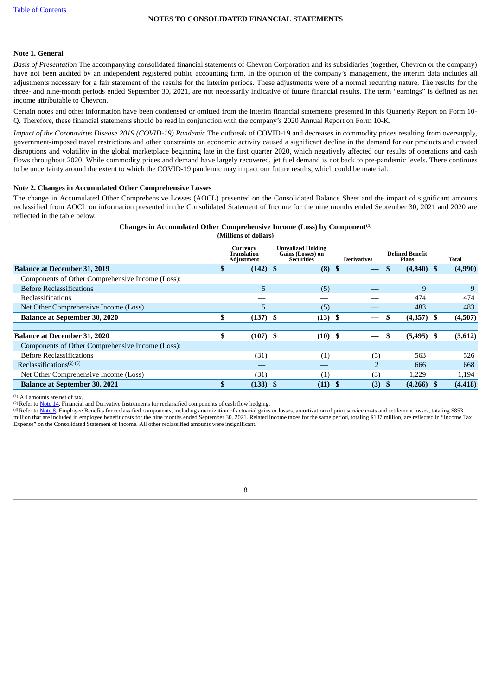#### **NOTES TO CONSOLIDATED FINANCIAL STATEMENTS**

#### **Note 1. General**

*Basis of Presentation* The accompanying consolidated financial statements of Chevron Corporation and its subsidiaries (together, Chevron or the company) have not been audited by an independent registered public accounting firm. In the opinion of the company's management, the interim data includes all adjustments necessary for a fair statement of the results for the interim periods. These adjustments were of a normal recurring nature. The results for the three- and nine-month periods ended September 30, 2021, are not necessarily indicative of future financial results. The term "earnings" is defined as net income attributable to Chevron.

Certain notes and other information have been condensed or omitted from the interim financial statements presented in this Quarterly Report on Form 10- Q. Therefore, these financial statements should be read in conjunction with the company's 2020 Annual Report on Form 10-K.

*Impact of the Coronavirus Disease 2019 (COVID-19) Pandemic* The outbreak of COVID-19 and decreases in commodity prices resulting from oversupply, government-imposed travel restrictions and other constraints on economic activity caused a significant decline in the demand for our products and created disruptions and volatility in the global marketplace beginning late in the first quarter 2020, which negatively affected our results of operations and cash flows throughout 2020. While commodity prices and demand have largely recovered, jet fuel demand is not back to pre-pandemic levels. There continues to be uncertainty around the extent to which the COVID-19 pandemic may impact our future results, which could be material.

#### **Note 2. Changes in Accumulated Other Comprehensive Losses**

The change in Accumulated Other Comprehensive Losses (AOCL) presented on the Consolidated Balance Sheet and the impact of significant amounts reclassified from AOCL on information presented in the Consolidated Statement of Income for the nine months ended September 30, 2021 and 2020 are reflected in the table below.

#### **Changes in Accumulated Other Comprehensive Income (Loss) by Component (1)**

**(Millions of dollars)**

|                                                     |     | Currency<br>Translation<br><b>Adjustment</b> | <b>Unrealized Holding</b><br>Gains (Losses) on<br><b>Securities</b> | <b>Derivatives</b> |     | <b>Defined Benefit</b><br><b>Plans</b> |     | Total    |
|-----------------------------------------------------|-----|----------------------------------------------|---------------------------------------------------------------------|--------------------|-----|----------------------------------------|-----|----------|
| <b>Balance at December 31, 2019</b>                 |     | $(142)$ \$                                   | $(8)$ \$                                                            |                    |     | $(4,840)$ \$                           |     | (4,990)  |
| Components of Other Comprehensive Income (Loss):    |     |                                              |                                                                     |                    |     |                                        |     |          |
| <b>Before Reclassifications</b>                     |     | 5                                            | (5)                                                                 |                    |     | 9                                      |     | 9        |
| Reclassifications                                   |     |                                              |                                                                     |                    |     | 474                                    |     | 474      |
| Net Other Comprehensive Income (Loss)               |     | 5                                            | (5)                                                                 |                    |     | 483                                    |     | 483      |
| <b>Balance at September 30, 2020</b>                | \$  | $(137)$ \$                                   | $(13)$ \$                                                           |                    | \$. | $(4,357)$ \$                           |     | (4,507)  |
|                                                     |     |                                              |                                                                     |                    |     |                                        |     |          |
| <b>Balance at December 31, 2020</b>                 |     | $(107)$ \$                                   | $(10)$ \$                                                           |                    | \$. | (5, 495)                               | -SS | (5,612)  |
| Components of Other Comprehensive Income (Loss):    |     |                                              |                                                                     |                    |     |                                        |     |          |
| <b>Before Reclassifications</b>                     |     | (31)                                         | (1)                                                                 | (5)                |     | 563                                    |     | 526      |
| Reclassifications <sup><math>(2)</math></sup> $(3)$ |     |                                              |                                                                     | $\mathcal{P}$      |     | 666                                    |     | 668      |
| Net Other Comprehensive Income (Loss)               |     | (31)                                         | $\left( 1\right)$                                                   | (3)                |     | 1,229                                  |     | 1,194    |
| <b>Balance at September 30, 2021</b>                | \$. | $(138)$ \$                                   | $(11)$ \$                                                           | (3)                | \$  | (4,266)                                |     | (4, 418) |

All amounts are net of tax. (1)

.

 $(2)$  Refer to **[Note](#page-19-0) 14**, Financial and Derivative Instruments for reclassified components of cash flow hedging.

<sup>(3)</sup> Refer to <u>[Note](#page-13-0) 8</u>, Employee Benefits for reclassified components, including amortization of actuarial gains or losses, amortization of prior service costs and settlement losses, totaling \$853 million that are included in employee benefit costs for the nine months ended September 30, 2021. Related income taxes for the same period, totaling \$187 million, are reflected in "Income Tax

Expense" on the Consolidated Statement of Income. All other reclassified amounts were insignificant.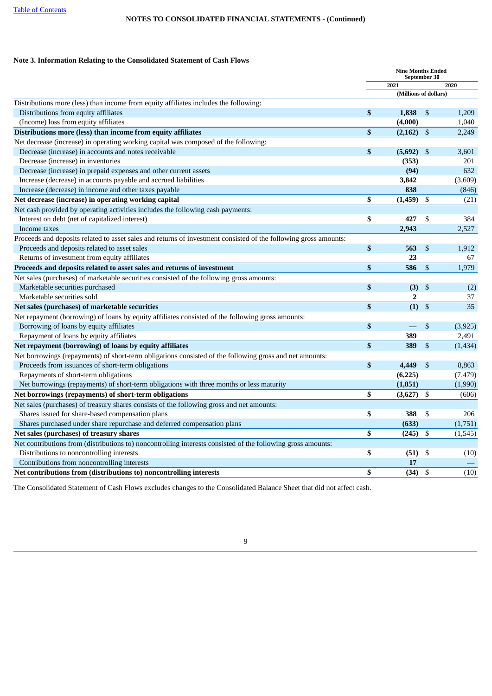### **Note 3. Information Relating to the Consolidated Statement of Cash Flows**

|                                                                                                                  |              | <b>Nine Months Ended</b><br>September 30 |                           |          |
|------------------------------------------------------------------------------------------------------------------|--------------|------------------------------------------|---------------------------|----------|
|                                                                                                                  |              | 2021                                     |                           | 2020     |
|                                                                                                                  |              | (Millions of dollars)                    |                           |          |
| Distributions more (less) than income from equity affiliates includes the following:                             |              |                                          |                           |          |
| Distributions from equity affiliates                                                                             | \$           | 1,838                                    | $\mathfrak{s}$            | 1,209    |
| (Income) loss from equity affiliates                                                                             |              | (4,000)                                  |                           | 1,040    |
| Distributions more (less) than income from equity affiliates                                                     | \$           | (2,162)                                  | \$                        | 2,249    |
| Net decrease (increase) in operating working capital was composed of the following:                              |              |                                          |                           |          |
| Decrease (increase) in accounts and notes receivable                                                             | \$           | (5,692)                                  | -\$                       | 3.601    |
| Decrease (increase) in inventories                                                                               |              | (353)                                    |                           | 201      |
| Decrease (increase) in prepaid expenses and other current assets                                                 |              | (94)                                     |                           | 632      |
| Increase (decrease) in accounts payable and accrued liabilities                                                  |              | 3,842                                    |                           | (3,609)  |
| Increase (decrease) in income and other taxes payable                                                            |              | 838                                      |                           | (846)    |
| Net decrease (increase) in operating working capital                                                             | \$           | (1, 459)                                 | \$                        | (21)     |
| Net cash provided by operating activities includes the following cash payments:                                  |              |                                          |                           |          |
| Interest on debt (net of capitalized interest)                                                                   | \$           | 427                                      | \$                        | 384      |
| Income taxes                                                                                                     |              | 2,943                                    |                           | 2,527    |
| Proceeds and deposits related to asset sales and returns of investment consisted of the following gross amounts: |              |                                          |                           |          |
| Proceeds and deposits related to asset sales                                                                     | $\mathbf{s}$ | 563                                      | $\mathbf{\mathcal{S}}$    | 1,912    |
| Returns of investment from equity affiliates                                                                     |              | 23                                       |                           | 67       |
| Proceeds and deposits related to asset sales and returns of investment                                           | \$           | 586                                      | $\mathbf{\hat{S}}$        | 1.979    |
| Net sales (purchases) of marketable securities consisted of the following gross amounts:                         |              |                                          |                           |          |
| Marketable securities purchased                                                                                  | \$           | (3)                                      | \$                        | (2)      |
| Marketable securities sold                                                                                       |              | 2                                        |                           | 37       |
| Net sales (purchases) of marketable securities                                                                   | \$           | (1)                                      | $\mathfrak{s}$            | 35       |
| Net repayment (borrowing) of loans by equity affiliates consisted of the following gross amounts:                |              |                                          |                           |          |
| Borrowing of loans by equity affiliates                                                                          | \$           | $\overline{\phantom{0}}$                 | $\mathbf{\mathcal{S}}$    | (3,925)  |
| Repayment of loans by equity affiliates                                                                          |              | 389                                      |                           | 2,491    |
| Net repayment (borrowing) of loans by equity affiliates                                                          | \$           | 389                                      | $\boldsymbol{\mathsf{S}}$ | (1, 434) |
| Net borrowings (repayments) of short-term obligations consisted of the following gross and net amounts:          |              |                                          |                           |          |
| Proceeds from issuances of short-term obligations                                                                | \$           | 4,449                                    | \$                        | 8,863    |
| Repayments of short-term obligations                                                                             |              | (6,225)                                  |                           | (7, 479) |
| Net borrowings (repayments) of short-term obligations with three months or less maturity                         |              | (1, 851)                                 |                           | (1,990)  |
| Net borrowings (repayments) of short-term obligations                                                            | \$           | (3,627)                                  | \$                        | (606)    |
| Net sales (purchases) of treasury shares consists of the following gross and net amounts:                        |              |                                          |                           |          |
| Shares issued for share-based compensation plans                                                                 | \$           | 388                                      | \$                        | 206      |
| Shares purchased under share repurchase and deferred compensation plans                                          |              | (633)                                    |                           | (1,751)  |
| Net sales (purchases) of treasury shares                                                                         | \$           | (245)                                    | \$                        | (1, 545) |
| Net contributions from (distributions to) noncontrolling interests consisted of the following gross amounts:     |              |                                          |                           |          |
| Distributions to noncontrolling interests                                                                        | \$           | (51)                                     | -\$                       | (10)     |
| Contributions from noncontrolling interests                                                                      |              | 17                                       |                           |          |
| Net contributions from (distributions to) noncontrolling interests                                               | \$           |                                          | \$                        | (10)     |
|                                                                                                                  |              | (34)                                     |                           |          |

The Consolidated Statement of Cash Flows excludes changes to the Consolidated Balance Sheet that did not affect cash.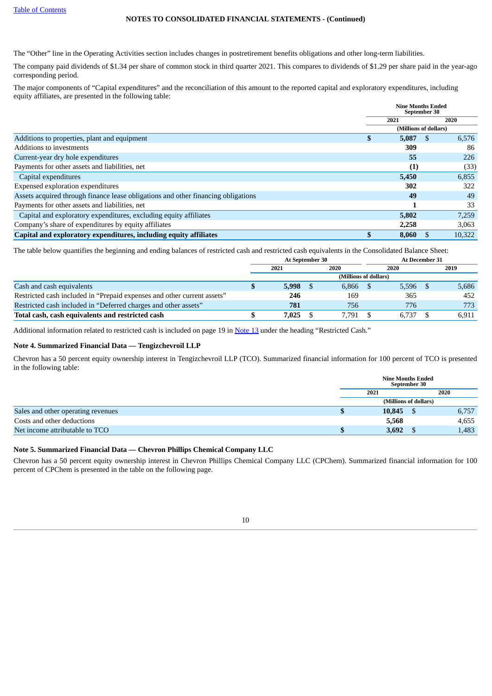The "Other" line in the Operating Activities section includes changes in postretirement benefits obligations and other long-term liabilities.

The company paid dividends of \$1.34 per share of common stock in third quarter 2021. This compares to dividends of \$1.29 per share paid in the year-ago corresponding period.

The major components of "Capital expenditures" and the reconciliation of this amount to the reported capital and exploratory expenditures, including equity affiliates, are presented in the following table:

|                                                                                   |  | <b>Nine Months Ended</b><br>September 30<br>2021<br>2020 |                       |        |  |
|-----------------------------------------------------------------------------------|--|----------------------------------------------------------|-----------------------|--------|--|
|                                                                                   |  |                                                          |                       |        |  |
|                                                                                   |  |                                                          | (Millions of dollars) |        |  |
| Additions to properties, plant and equipment                                      |  | 5,087                                                    | -S                    | 6,576  |  |
| Additions to investments                                                          |  | 309                                                      |                       | 86     |  |
| Current-year dry hole expenditures                                                |  | 55                                                       |                       | 226    |  |
| Payments for other assets and liabilities, net                                    |  | (1)                                                      |                       | (33)   |  |
| Capital expenditures                                                              |  | 5,450                                                    |                       | 6,855  |  |
| <b>Expensed exploration expenditures</b>                                          |  | 302                                                      |                       | 322    |  |
| Assets acquired through finance lease obligations and other financing obligations |  | 49                                                       |                       | 49     |  |
| Payments for other assets and liabilities, net                                    |  |                                                          |                       | 33     |  |
| Capital and exploratory expenditures, excluding equity affiliates                 |  | 5,802                                                    |                       | 7,259  |  |
| Company's share of expenditures by equity affiliates                              |  | 2,258                                                    |                       | 3,063  |  |
| Capital and exploratory expenditures, including equity affiliates                 |  | 8.060                                                    |                       | 10,322 |  |

The table below quantifies the beginning and ending balances of restricted cash and restricted cash equivalents in the Consolidated Balance Sheet:

|                                                                         | <b>At September 30</b>  |                       |     |       | <b>At December 31</b> |      |       |  |  |
|-------------------------------------------------------------------------|-------------------------|-----------------------|-----|-------|-----------------------|------|-------|--|--|
|                                                                         | 2020<br>2021            |                       |     |       | 2020                  | 2019 |       |  |  |
|                                                                         |                         | (Millions of dollars) |     |       |                       |      |       |  |  |
| Cash and cash equivalents                                               | 5,998                   | 5,596                 |     | 5,686 |                       |      |       |  |  |
| Restricted cash included in "Prepaid expenses and other current assets" | 246                     |                       | 169 |       | 365                   |      | 452   |  |  |
| Restricted cash included in "Deferred charges and other assets"         | 756<br>776<br>781       |                       |     |       |                       |      | 773   |  |  |
| Total cash, cash equivalents and restricted cash                        | 6.737<br>7.025<br>7.791 |                       |     |       |                       |      | 6.911 |  |  |

Additional information related to restricted cash is included on page 19 in [Note](#page-18-0) 13 under the heading "Restricted Cash."

#### **Note 4. Summarized Financial Data — Tengizchevroil LLP**

Chevron has a 50 percent equity ownership interest in Tengizchevroil LLP (TCO). Summarized financial information for 100 percent of TCO is presented in the following table:

|                                    |      |                       | <b>Nine Months Ended</b><br>September 30 |       |
|------------------------------------|------|-----------------------|------------------------------------------|-------|
|                                    | 2021 | 2020                  |                                          |       |
|                                    |      | (Millions of dollars) |                                          |       |
| Sales and other operating revenues |      | 10,845                |                                          | 6,757 |
| Costs and other deductions         |      | 5,568                 |                                          | 4,655 |
| Net income attributable to TCO     |      | 3,692                 |                                          | 1,483 |

#### **Note 5. Summarized Financial Data — Chevron Phillips Chemical Company LLC**

Chevron has a 50 percent equity ownership interest in Chevron Phillips Chemical Company LLC (CPChem). Summarized financial information for 100 percent of CPChem is presented in the table on the following page.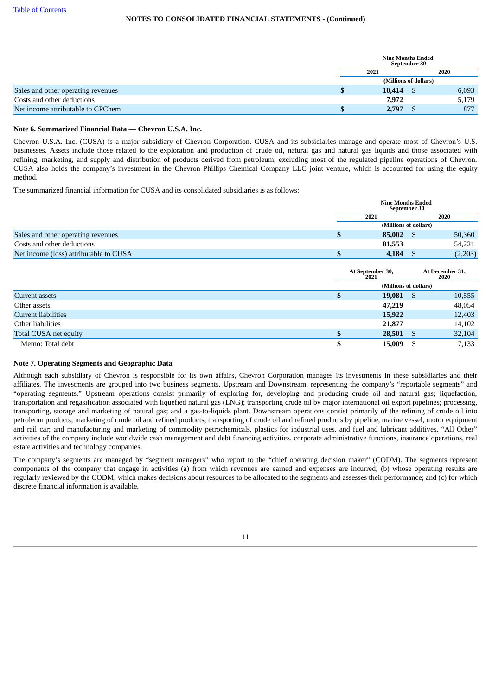### **NOTES TO CONSOLIDATED FINANCIAL STATEMENTS - (Continued)**

|                                    |              |        | <b>Nine Months Ended</b><br>September 30 |       |  |  |
|------------------------------------|--------------|--------|------------------------------------------|-------|--|--|
|                                    | 2020<br>2021 |        |                                          |       |  |  |
|                                    |              |        | (Millions of dollars)                    |       |  |  |
| Sales and other operating revenues |              | 10,414 |                                          | 6,093 |  |  |
| Costs and other deductions         |              | 7,972  |                                          | 5,179 |  |  |
| Net income attributable to CPChem  |              | 2,797  |                                          | 877   |  |  |

#### **Note 6. Summarized Financial Data — Chevron U.S.A. Inc.**

Chevron U.S.A. Inc. (CUSA) is a major subsidiary of Chevron Corporation. CUSA and its subsidiaries manage and operate most of Chevron's U.S. businesses. Assets include those related to the exploration and production of crude oil, natural gas and natural gas liquids and those associated with refining, marketing, and supply and distribution of products derived from petroleum, excluding most of the regulated pipeline operations of Chevron. CUSA also holds the company's investment in the Chevron Phillips Chemical Company LLC joint venture, which is accounted for using the equity method.

The summarized financial information for CUSA and its consolidated subsidiaries is as follows:

|                                        |      | <b>Nine Months Ended</b><br><b>September 30</b> |  |         |
|----------------------------------------|------|-------------------------------------------------|--|---------|
|                                        | 2021 | 2020                                            |  |         |
|                                        |      | (Millions of dollars)                           |  |         |
| Sales and other operating revenues     | Φ    | 85,002                                          |  | 50,360  |
| Costs and other deductions             |      | 81,553                                          |  | 54,221  |
| Net income (loss) attributable to CUSA |      | 4,184                                           |  | (2,203) |

|                            |   | At September 30,<br>2021 | At December 31,<br>2020 |
|----------------------------|---|--------------------------|-------------------------|
|                            |   | (Millions of dollars)    |                         |
| Current assets             |   | 19,081                   | 10,555<br>- \$          |
| Other assets               |   | 47,219                   | 48,054                  |
| <b>Current liabilities</b> |   | 15,922                   | 12,403                  |
| Other liabilities          |   | 21,877                   | 14,102                  |
| Total CUSA net equity      | S | 28,501                   | 32,104<br>-S            |
| Memo: Total debt           | D | 15,009                   | 7,133<br>-S             |

#### <span id="page-11-0"></span>**Note 7. Operating Segments and Geographic Data**

Although each subsidiary of Chevron is responsible for its own affairs, Chevron Corporation manages its investments in these subsidiaries and their affiliates. The investments are grouped into two business segments, Upstream and Downstream, representing the company's "reportable segments" and "operating segments." Upstream operations consist primarily of exploring for, developing and producing crude oil and natural gas; liquefaction, transportation and regasification associated with liquefied natural gas (LNG); transporting crude oil by major international oil export pipelines; processing, transporting, storage and marketing of natural gas; and a gas-to-liquids plant. Downstream operations consist primarily of the refining of crude oil into petroleum products; marketing of crude oil and refined products; transporting of crude oil and refined products by pipeline, marine vessel, motor equipment and rail car; and manufacturing and marketing of commodity petrochemicals, plastics for industrial uses, and fuel and lubricant additives. "All Other" activities of the company include worldwide cash management and debt financing activities, corporate administrative functions, insurance operations, real estate activities and technology companies.

The company's segments are managed by "segment managers" who report to the "chief operating decision maker" (CODM). The segments represent components of the company that engage in activities (a) from which revenues are earned and expenses are incurred; (b) whose operating results are regularly reviewed by the CODM, which makes decisions about resources to be allocated to the segments and assesses their performance; and (c) for which discrete financial information is available.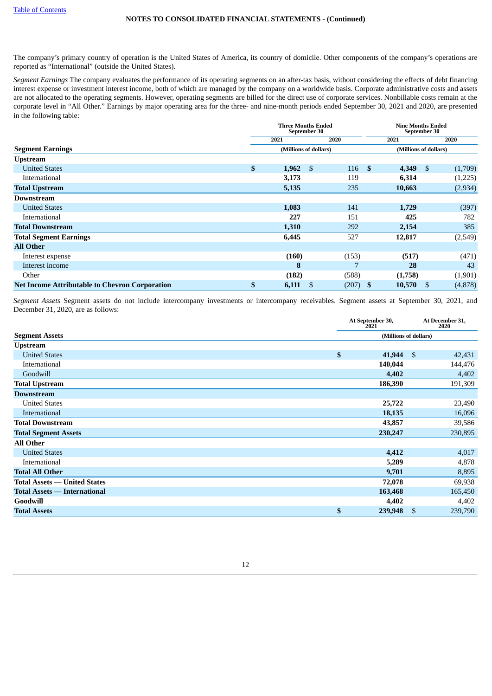The company's primary country of operation is the United States of America, its country of domicile. Other components of the company's operations are reported as "International" (outside the United States).

*Segment Earnings* The company evaluates the performance of its operating segments on an after-tax basis, without considering the effects of debt financing interest expense or investment interest income, both of which are managed by the company on a worldwide basis. Corporate administrative costs and assets are not allocated to the operating segments. However, operating segments are billed for the direct use of corporate services. Nonbillable costs remain at the corporate level in "All Other." Earnings by major operating area for the three- and nine-month periods ended September 30, 2021 and 2020, are presented in the following table:

|                                                       | <b>Three Months Ended</b><br>September 30 |             |                       | <b>Nine Months Ended</b><br>September 30 |  |  |  |
|-------------------------------------------------------|-------------------------------------------|-------------|-----------------------|------------------------------------------|--|--|--|
|                                                       | 2021                                      | 2020        | 2021                  | 2020                                     |  |  |  |
| <b>Segment Earnings</b>                               | (Millions of dollars)                     |             | (Millions of dollars) |                                          |  |  |  |
| <b>Upstream</b>                                       |                                           |             |                       |                                          |  |  |  |
| <b>United States</b>                                  | \$<br>$1,962 \quad$ \$                    | 116         | -\$<br>4,349          | (1,709)<br>- \$                          |  |  |  |
| International                                         | 3,173                                     | 119         | 6,314                 | (1,225)                                  |  |  |  |
| <b>Total Upstream</b>                                 | 5,135                                     | 235         | 10,663                | (2,934)                                  |  |  |  |
| Downstream                                            |                                           |             |                       |                                          |  |  |  |
| <b>United States</b>                                  | 1,083                                     | 141         | 1,729                 | (397)                                    |  |  |  |
| International                                         | 227                                       | 151         | 425                   | 782                                      |  |  |  |
| <b>Total Downstream</b>                               | 1,310                                     | 292         | 2,154                 | 385                                      |  |  |  |
| <b>Total Segment Earnings</b>                         | 6,445                                     | 527         | 12,817                | (2,549)                                  |  |  |  |
| <b>All Other</b>                                      |                                           |             |                       |                                          |  |  |  |
| Interest expense                                      | (160)                                     | (153)       | (517)                 | (471)                                    |  |  |  |
| Interest income                                       | 8                                         | 7           | 28                    | 43                                       |  |  |  |
| Other                                                 | (182)                                     | (588)       | (1,758)               | (1,901)                                  |  |  |  |
| <b>Net Income Attributable to Chevron Corporation</b> | \$<br>6,111                               | \$<br>(207) | \$<br>10,570          | (4,878)                                  |  |  |  |

*Segment Assets* Segment assets do not include intercompany investments or intercompany receivables. Segment assets at September 30, 2021, and December 31, 2020, are as follows:

|                                     | At September 30,<br>2021 |      | At December 31,<br>2020 |
|-------------------------------------|--------------------------|------|-------------------------|
| <b>Segment Assets</b>               | (Millions of dollars)    |      |                         |
| <b>Upstream</b>                     |                          |      |                         |
| <b>United States</b>                | \$<br>41,944             | - \$ | 42,431                  |
| International                       | 140,044                  |      | 144,476                 |
| Goodwill                            | 4,402                    |      | 4,402                   |
| <b>Total Upstream</b>               | 186,390                  |      | 191,309                 |
| <b>Downstream</b>                   |                          |      |                         |
| <b>United States</b>                | 25,722                   |      | 23,490                  |
| International                       | 18,135                   |      | 16,096                  |
| <b>Total Downstream</b>             | 43,857                   |      | 39,586                  |
| <b>Total Segment Assets</b>         | 230,247                  |      | 230,895                 |
| <b>All Other</b>                    |                          |      |                         |
| <b>United States</b>                | 4,412                    |      | 4,017                   |
| International                       | 5,289                    |      | 4,878                   |
| <b>Total All Other</b>              | 9,701                    |      | 8,895                   |
| <b>Total Assets — United States</b> | 72,078                   |      | 69,938                  |
| <b>Total Assets — International</b> | 163,468                  |      | 165,450                 |
| Goodwill                            | 4,402                    |      | 4,402                   |
| <b>Total Assets</b>                 | \$<br>239,948            | \$   | 239,790                 |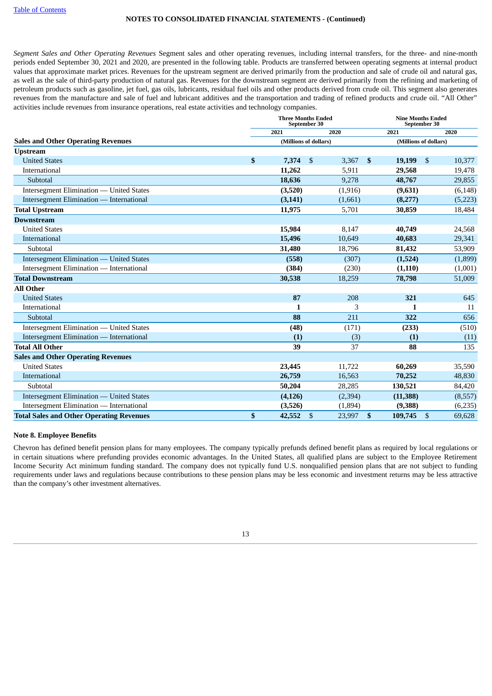*Segment Sales and Other Operating Revenues* Segment sales and other operating revenues, including internal transfers, for the three- and nine-month periods ended September 30, 2021 and 2020, are presented in the following table. Products are transferred between operating segments at internal product values that approximate market prices. Revenues for the upstream segment are derived primarily from the production and sale of crude oil and natural gas, as well as the sale of third-party production of natural gas. Revenues for the downstream segment are derived primarily from the refining and marketing of petroleum products such as gasoline, jet fuel, gas oils, lubricants, residual fuel oils and other products derived from crude oil. This segment also generates revenues from the manufacture and sale of fuel and lubricant additives and the transportation and trading of refined products and crude oil. "All Other" activities include revenues from insurance operations, real estate activities and technology companies.

|                                                 | <b>Three Months Ended</b><br>September 30 | <b>Nine Months Ended</b> | September 30                         |                          |
|-------------------------------------------------|-------------------------------------------|--------------------------|--------------------------------------|--------------------------|
|                                                 | 2021                                      | 2020                     | 2021                                 | 2020                     |
| <b>Sales and Other Operating Revenues</b>       | (Millions of dollars)                     |                          |                                      | (Millions of dollars)    |
| <b>Upstream</b>                                 |                                           |                          |                                      |                          |
| <b>United States</b>                            | \$<br>7,374                               | \$<br>3,367              | $\mathbf{s}$<br>19,199               | -\$<br>10,377            |
| International                                   | 11,262                                    | 5,911                    | 29,568                               | 19,478                   |
| Subtotal                                        | 18,636                                    | 9,278                    | 48,767                               | 29,855                   |
| Intersegment Elimination — United States        | (3,520)                                   | (1,916)                  | (9,631)                              | (6, 148)                 |
| Intersegment Elimination — International        | (3, 141)                                  | (1,661)                  | (8,277)                              | (5,223)                  |
| <b>Total Upstream</b>                           | 11,975                                    | 5,701                    | 30,859                               | 18,484                   |
| <b>Downstream</b>                               |                                           |                          |                                      |                          |
| <b>United States</b>                            | 15,984                                    | 8,147                    | 40,749                               | 24,568                   |
| International                                   | 15,496                                    | 10,649                   | 40,683                               | 29,341                   |
| Subtotal                                        | 31,480                                    | 18.796                   | 81,432                               | 53,909                   |
| Intersegment Elimination — United States        | (558)                                     | (307)                    | (1,524)                              | (1,899)                  |
| Intersegment Elimination - International        | (384)                                     | (230)                    | (1, 110)                             | (1,001)                  |
| <b>Total Downstream</b>                         | 30,538                                    | 18,259                   | 78,798                               | 51,009                   |
| <b>All Other</b>                                |                                           |                          |                                      |                          |
| <b>United States</b>                            | 87                                        | 208                      | 321                                  | 645                      |
| International                                   | 1                                         | 3                        | 1                                    | 11                       |
| Subtotal                                        | 88                                        | 211                      | 322                                  | 656                      |
| Intersegment Elimination — United States        | (48)                                      | (171)                    | (233)                                | (510)                    |
| Intersegment Elimination — International        | (1)                                       | (3)                      | (1)                                  | (11)                     |
| <b>Total All Other</b>                          | 39                                        | 37                       | 88                                   | 135                      |
| <b>Sales and Other Operating Revenues</b>       |                                           |                          |                                      |                          |
| <b>United States</b>                            | 23,445                                    | 11,722                   | 60,269                               | 35,590                   |
| International                                   | 26,759                                    | 16,563                   | 70,252                               | 48,830                   |
| Subtotal                                        | 50,204                                    | 28,285                   | 130,521                              | 84,420                   |
| Intersegment Elimination — United States        | (4, 126)                                  | (2,394)                  | (11, 388)                            | (8,557)                  |
| Intersegment Elimination — International        | (3,526)                                   | (1,894)                  | (9,388)                              | (6,235)                  |
| <b>Total Sales and Other Operating Revenues</b> | \$<br>42,552                              | \$<br>23,997             | $\boldsymbol{\mathsf{s}}$<br>109,745 | $\mathfrak{s}$<br>69,628 |

#### <span id="page-13-0"></span>**Note 8. Employee Benefits**

Chevron has defined benefit pension plans for many employees. The company typically prefunds defined benefit plans as required by local regulations or in certain situations where prefunding provides economic advantages. In the United States, all qualified plans are subject to the Employee Retirement Income Security Act minimum funding standard. The company does not typically fund U.S. nonqualified pension plans that are not subject to funding requirements under laws and regulations because contributions to these pension plans may be less economic and investment returns may be less attractive than the company's other investment alternatives.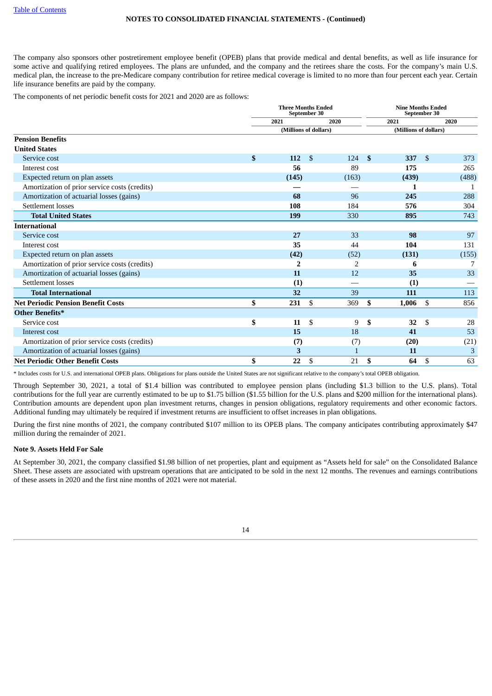The company also sponsors other postretirement employee benefit (OPEB) plans that provide medical and dental benefits, as well as life insurance for some active and qualifying retired employees. The plans are unfunded, and the company and the retirees share the costs. For the company's main U.S. medical plan, the increase to the pre-Medicare company contribution for retiree medical coverage is limited to no more than four percent each year. Certain life insurance benefits are paid by the company.

The components of net periodic benefit costs for 2021 and 2020 are as follows:

|                                               |              | <b>Three Months Ended</b> | September 30       |                | <b>Nine Months Ended</b><br>September 30 |                       |                        |       |  |  |
|-----------------------------------------------|--------------|---------------------------|--------------------|----------------|------------------------------------------|-----------------------|------------------------|-------|--|--|
|                                               |              | 2021                      |                    | 2020           |                                          | 2021                  |                        | 2020  |  |  |
|                                               |              | (Millions of dollars)     |                    |                |                                          | (Millions of dollars) |                        |       |  |  |
| <b>Pension Benefits</b>                       |              |                           |                    |                |                                          |                       |                        |       |  |  |
| <b>United States</b>                          |              |                           |                    |                |                                          |                       |                        |       |  |  |
| Service cost                                  | $\mathbf{s}$ | 112                       | $\mathbf{\hat{S}}$ | 124            | $\mathbf{s}$                             | 337                   | $\mathbf{\mathcal{S}}$ | 373   |  |  |
| Interest cost                                 |              | 56                        |                    | 89             |                                          | 175                   |                        | 265   |  |  |
| Expected return on plan assets                |              | (145)                     |                    | (163)          |                                          | (439)                 |                        | (488) |  |  |
| Amortization of prior service costs (credits) |              |                           |                    |                |                                          | 1                     |                        |       |  |  |
| Amortization of actuarial losses (gains)      |              | 68                        |                    | 96             |                                          | 245                   |                        | 288   |  |  |
| Settlement losses                             |              | 108                       |                    | 184            |                                          | 576                   |                        | 304   |  |  |
| <b>Total United States</b>                    |              | 199                       |                    | 330            |                                          | 895                   |                        | 743   |  |  |
| <b>International</b>                          |              |                           |                    |                |                                          |                       |                        |       |  |  |
| Service cost                                  |              | 27                        |                    | 33             |                                          | 98                    |                        | 97    |  |  |
| Interest cost                                 |              | 35                        |                    | 44             |                                          | 104                   |                        | 131   |  |  |
| Expected return on plan assets                |              | (42)                      |                    | (52)           |                                          | (131)                 |                        | (155) |  |  |
| Amortization of prior service costs (credits) |              | $\overline{2}$            |                    | $\overline{2}$ |                                          | 6                     |                        |       |  |  |
| Amortization of actuarial losses (gains)      |              | 11                        |                    | 12             |                                          | 35                    |                        | 33    |  |  |
| Settlement losses                             |              | (1)                       |                    |                |                                          | (1)                   |                        |       |  |  |
| <b>Total International</b>                    |              | 32                        |                    | 39             |                                          | 111                   |                        | 113   |  |  |
| <b>Net Periodic Pension Benefit Costs</b>     | \$           | 231                       | \$                 | 369            | \$                                       | 1,006                 | \$                     | 856   |  |  |
| <b>Other Benefits*</b>                        |              |                           |                    |                |                                          |                       |                        |       |  |  |
| Service cost                                  | \$           | 11                        | \$                 | 9              | \$                                       | 32                    | \$                     | 28    |  |  |
| Interest cost                                 |              | 15                        |                    | 18             |                                          | 41                    |                        | 53    |  |  |
| Amortization of prior service costs (credits) |              | (7)                       |                    | (7)            |                                          | (20)                  |                        | (21)  |  |  |
| Amortization of actuarial losses (gains)      |              | 3                         |                    | $\mathbf{1}$   |                                          | 11                    |                        | 3     |  |  |
| <b>Net Periodic Other Benefit Costs</b>       | \$           | 22                        | \$                 | 21             | \$                                       | 64                    | \$                     | 63    |  |  |

\* Includes costs for U.S. and international OPEB plans. Obligations for plans outside the United States are not significant relative to the company's total OPEB obligation.

Through September 30, 2021, a total of \$1.4 billion was contributed to employee pension plans (including \$1.3 billion to the U.S. plans). Total contributions for the full year are currently estimated to be up to \$1.75 billion (\$1.55 billion for the U.S. plans and \$200 million for the international plans). Contribution amounts are dependent upon plan investment returns, changes in pension obligations, regulatory requirements and other economic factors. Additional funding may ultimately be required if investment returns are insufficient to offset increases in plan obligations.

During the first nine months of 2021, the company contributed \$107 million to its OPEB plans. The company anticipates contributing approximately \$47 million during the remainder of 2021.

#### **Note 9. Assets Held For Sale**

<span id="page-14-0"></span>At September 30, 2021, the company classified \$1.98 billion of net properties, plant and equipment as "Assets held for sale" on the Consolidated Balance Sheet. These assets are associated with upstream operations that are anticipated to be sold in the next 12 months. The revenues and earnings contributions of these assets in 2020 and the first nine months of 2021 were not material.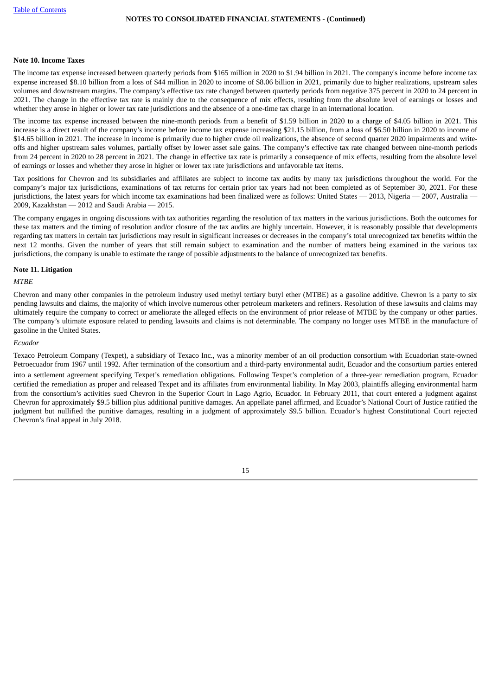#### **Note 10. Income Taxes**

The income tax expense increased between quarterly periods from \$165 million in 2020 to \$1.94 billion in 2021. The company's income before income tax expense increased \$8.10 billion from a loss of \$44 million in 2020 to income of \$8.06 billion in 2021, primarily due to higher realizations, upstream sales volumes and downstream margins. The company's effective tax rate changed between quarterly periods from negative 375 percent in 2020 to 24 percent in 2021. The change in the effective tax rate is mainly due to the consequence of mix effects, resulting from the absolute level of earnings or losses and whether they arose in higher or lower tax rate jurisdictions and the absence of a one-time tax charge in an international location.

The income tax expense increased between the nine-month periods from a benefit of \$1.59 billion in 2020 to a charge of \$4.05 billion in 2021. This increase is a direct result of the company's income before income tax expense increasing \$21.15 billion, from a loss of \$6.50 billion in 2020 to income of \$14.65 billion in 2021. The increase in income is primarily due to higher crude oil realizations, the absence of second quarter 2020 impairments and writeoffs and higher upstream sales volumes, partially offset by lower asset sale gains. The company's effective tax rate changed between nine-month periods from 24 percent in 2020 to 28 percent in 2021. The change in effective tax rate is primarily a consequence of mix effects, resulting from the absolute level of earnings or losses and whether they arose in higher or lower tax rate jurisdictions and unfavorable tax items.

Tax positions for Chevron and its subsidiaries and affiliates are subject to income tax audits by many tax jurisdictions throughout the world. For the company's major tax jurisdictions, examinations of tax returns for certain prior tax years had not been completed as of September 30, 2021. For these jurisdictions, the latest years for which income tax examinations had been finalized were as follows: United States — 2013, Nigeria — 2007, Australia — 2009, Kazakhstan — 2012 and Saudi Arabia — 2015.

The company engages in ongoing discussions with tax authorities regarding the resolution of tax matters in the various jurisdictions. Both the outcomes for these tax matters and the timing of resolution and/or closure of the tax audits are highly uncertain. However, it is reasonably possible that developments regarding tax matters in certain tax jurisdictions may result in significant increases or decreases in the company's total unrecognized tax benefits within the next 12 months. Given the number of years that still remain subject to examination and the number of matters being examined in the various tax jurisdictions, the company is unable to estimate the range of possible adjustments to the balance of unrecognized tax benefits.

#### <span id="page-15-0"></span>**Note 11. Litigation**

#### *MTBE*

Chevron and many other companies in the petroleum industry used methyl tertiary butyl ether (MTBE) as a gasoline additive. Chevron is a party to six pending lawsuits and claims, the majority of which involve numerous other petroleum marketers and refiners. Resolution of these lawsuits and claims may ultimately require the company to correct or ameliorate the alleged effects on the environment of prior release of MTBE by the company or other parties. The company's ultimate exposure related to pending lawsuits and claims is not determinable. The company no longer uses MTBE in the manufacture of gasoline in the United States.

#### *Ecuador*

Texaco Petroleum Company (Texpet), a subsidiary of Texaco Inc., was a minority member of an oil production consortium with Ecuadorian state-owned Petroecuador from 1967 until 1992. After termination of the consortium and a third-party environmental audit, Ecuador and the consortium parties entered into a settlement agreement specifying Texpet's remediation obligations. Following Texpet's completion of a three-year remediation program, Ecuador certified the remediation as proper and released Texpet and its affiliates from environmental liability. In May 2003, plaintiffs alleging environmental harm from the consortium's activities sued Chevron in the Superior Court in Lago Agrio, Ecuador. In February 2011, that court entered a judgment against Chevron for approximately \$9.5 billion plus additional punitive damages. An appellate panel affirmed, and Ecuador's National Court of Justice ratified the judgment but nullified the punitive damages, resulting in a judgment of approximately \$9.5 billion. Ecuador's highest Constitutional Court rejected Chevron's final appeal in July 2018.

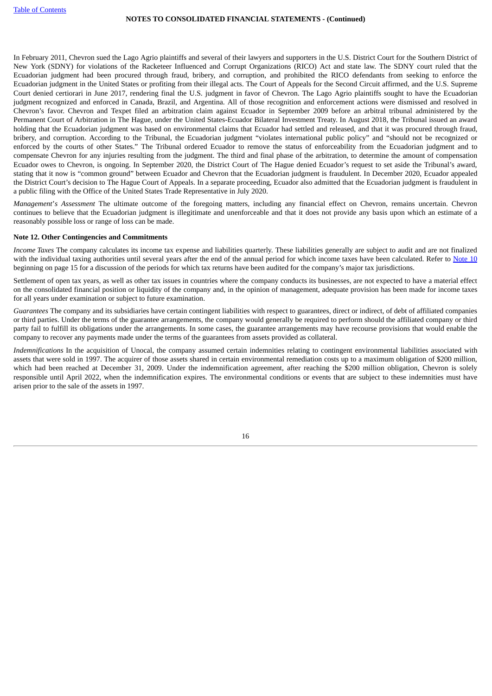In February 2011, Chevron sued the Lago Agrio plaintiffs and several of their lawyers and supporters in the U.S. District Court for the Southern District of New York (SDNY) for violations of the Racketeer Influenced and Corrupt Organizations (RICO) Act and state law. The SDNY court ruled that the Ecuadorian judgment had been procured through fraud, bribery, and corruption, and prohibited the RICO defendants from seeking to enforce the Ecuadorian judgment in the United States or profiting from their illegal acts. The Court of Appeals for the Second Circuit affirmed, and the U.S. Supreme Court denied certiorari in June 2017, rendering final the U.S. judgment in favor of Chevron. The Lago Agrio plaintiffs sought to have the Ecuadorian judgment recognized and enforced in Canada, Brazil, and Argentina. All of those recognition and enforcement actions were dismissed and resolved in Chevron's favor. Chevron and Texpet filed an arbitration claim against Ecuador in September 2009 before an arbitral tribunal administered by the Permanent Court of Arbitration in The Hague, under the United States-Ecuador Bilateral Investment Treaty. In August 2018, the Tribunal issued an award holding that the Ecuadorian judgment was based on environmental claims that Ecuador had settled and released, and that it was procured through fraud, bribery, and corruption. According to the Tribunal, the Ecuadorian judgment "violates international public policy" and "should not be recognized or enforced by the courts of other States." The Tribunal ordered Ecuador to remove the status of enforceability from the Ecuadorian judgment and to compensate Chevron for any injuries resulting from the judgment. The third and final phase of the arbitration, to determine the amount of compensation Ecuador owes to Chevron, is ongoing. In September 2020, the District Court of The Hague denied Ecuador's request to set aside the Tribunal's award, stating that it now is "common ground" between Ecuador and Chevron that the Ecuadorian judgment is fraudulent. In December 2020, Ecuador appealed the District Court's decision to The Hague Court of Appeals. In a separate proceeding, Ecuador also admitted that the Ecuadorian judgment is fraudulent in a public filing with the Office of the United States Trade Representative in July 2020.

*Management*'*s Assessment* The ultimate outcome of the foregoing matters, including any financial effect on Chevron, remains uncertain. Chevron continues to believe that the Ecuadorian judgment is illegitimate and unenforceable and that it does not provide any basis upon which an estimate of a reasonably possible loss or range of loss can be made.

#### <span id="page-16-0"></span>**Note 12. Other Contingencies and Commitments**

*Income Taxes* The company calculates its income tax expense and liabilities quarterly. These liabilities generally are subject to audit and are not finalized with the individual taxing authorities until several years after the end of the annual period for which income taxes have been calculated. Refer to [Note](#page-14-0) 10 beginning on page 15 for a discussion of the periods for which tax returns have been audited for the company's major tax jurisdictions.

Settlement of open tax years, as well as other tax issues in countries where the company conducts its businesses, are not expected to have a material effect on the consolidated financial position or liquidity of the company and, in the opinion of management, adequate provision has been made for income taxes for all years under examination or subject to future examination.

<span id="page-16-1"></span>*Guarantees* The company and its subsidiaries have certain contingent liabilities with respect to guarantees, direct or indirect, of debt of affiliated companies or third parties. Under the terms of the guarantee arrangements, the company would generally be required to perform should the affiliated company or third party fail to fulfill its obligations under the arrangements. In some cases, the guarantee arrangements may have recourse provisions that would enable the company to recover any payments made under the terms of the guarantees from assets provided as collateral.

<span id="page-16-2"></span>*Indemnifications* In the acquisition of Unocal, the company assumed certain indemnities relating to contingent environmental liabilities associated with assets that were sold in 1997. The acquirer of those assets shared in certain environmental remediation costs up to a maximum obligation of \$200 million, which had been reached at December 31, 2009. Under the indemnification agreement, after reaching the \$200 million obligation, Chevron is solely responsible until April 2022, when the indemnification expires. The environmental conditions or events that are subject to these indemnities must have arisen prior to the sale of the assets in 1997.

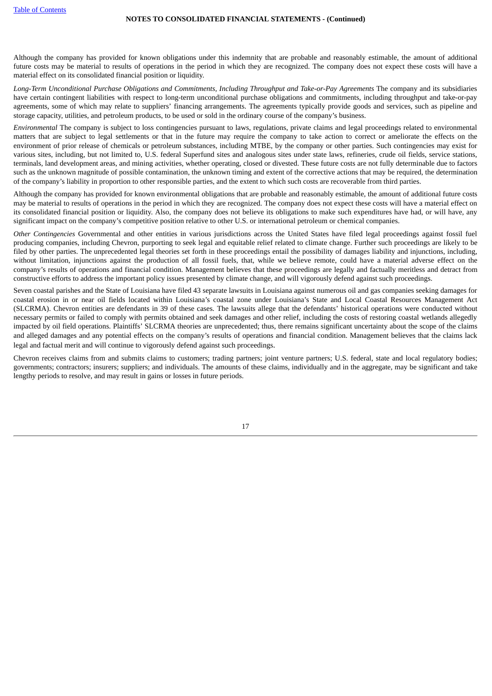Although the company has provided for known obligations under this indemnity that are probable and reasonably estimable, the amount of additional future costs may be material to results of operations in the period in which they are recognized. The company does not expect these costs will have a material effect on its consolidated financial position or liquidity.

*Long-Term Unconditional Purchase Obligations and Commitments, Including Throughput and Take-or-Pay Agreements* The company and its subsidiaries have certain contingent liabilities with respect to long-term unconditional purchase obligations and commitments, including throughput and take-or-pay agreements, some of which may relate to suppliers' financing arrangements. The agreements typically provide goods and services, such as pipeline and storage capacity, utilities, and petroleum products, to be used or sold in the ordinary course of the company's business.

<span id="page-17-0"></span>*Environmental* The company is subject to loss contingencies pursuant to laws, regulations, private claims and legal proceedings related to environmental matters that are subject to legal settlements or that in the future may require the company to take action to correct or ameliorate the effects on the environment of prior release of chemicals or petroleum substances, including MTBE, by the company or other parties. Such contingencies may exist for various sites, including, but not limited to, U.S. federal Superfund sites and analogous sites under state laws, refineries, crude oil fields, service stations, terminals, land development areas, and mining activities, whether operating, closed or divested. These future costs are not fully determinable due to factors such as the unknown magnitude of possible contamination, the unknown timing and extent of the corrective actions that may be required, the determination of the company's liability in proportion to other responsible parties, and the extent to which such costs are recoverable from third parties.

Although the company has provided for known environmental obligations that are probable and reasonably estimable, the amount of additional future costs may be material to results of operations in the period in which they are recognized. The company does not expect these costs will have a material effect on its consolidated financial position or liquidity. Also, the company does not believe its obligations to make such expenditures have had, or will have, any significant impact on the company's competitive position relative to other U.S. or international petroleum or chemical companies.

<span id="page-17-1"></span>*Other Contingencies* Governmental and other entities in various jurisdictions across the United States have filed legal proceedings against fossil fuel producing companies, including Chevron, purporting to seek legal and equitable relief related to climate change. Further such proceedings are likely to be filed by other parties. The unprecedented legal theories set forth in these proceedings entail the possibility of damages liability and injunctions, including, without limitation, injunctions against the production of all fossil fuels, that, while we believe remote, could have a material adverse effect on the company's results of operations and financial condition. Management believes that these proceedings are legally and factually meritless and detract from constructive efforts to address the important policy issues presented by climate change, and will vigorously defend against such proceedings.

Seven coastal parishes and the State of Louisiana have filed 43 separate lawsuits in Louisiana against numerous oil and gas companies seeking damages for coastal erosion in or near oil fields located within Louisiana's coastal zone under Louisiana's State and Local Coastal Resources Management Act (SLCRMA). Chevron entities are defendants in 39 of these cases. The lawsuits allege that the defendants' historical operations were conducted without necessary permits or failed to comply with permits obtained and seek damages and other relief, including the costs of restoring coastal wetlands allegedly impacted by oil field operations. Plaintiffs' SLCRMA theories are unprecedented; thus, there remains significant uncertainty about the scope of the claims and alleged damages and any potential effects on the company's results of operations and financial condition. Management believes that the claims lack legal and factual merit and will continue to vigorously defend against such proceedings.

Chevron receives claims from and submits claims to customers; trading partners; joint venture partners; U.S. federal, state and local regulatory bodies; governments; contractors; insurers; suppliers; and individuals. The amounts of these claims, individually and in the aggregate, may be significant and take lengthy periods to resolve, and may result in gains or losses in future periods.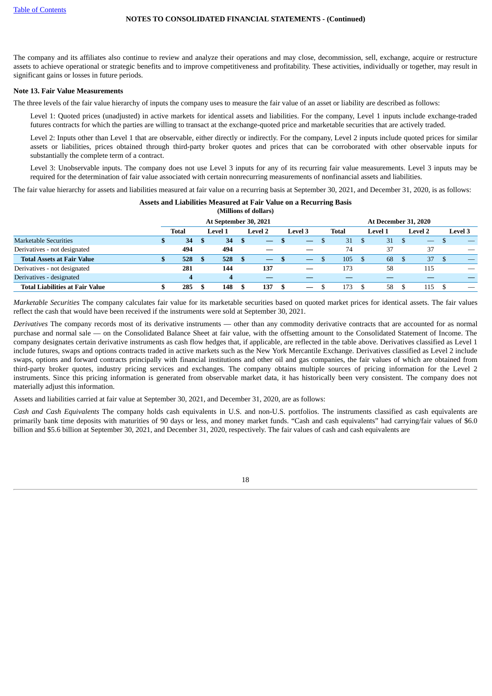The company and its affiliates also continue to review and analyze their operations and may close, decommission, sell, exchange, acquire or restructure assets to achieve operational or strategic benefits and to improve competitiveness and profitability. These activities, individually or together, may result in significant gains or losses in future periods.

#### <span id="page-18-0"></span>**Note 13. Fair Value Measurements**

The three levels of the fair value hierarchy of inputs the company uses to measure the fair value of an asset or liability are described as follows:

Level 1: Quoted prices (unadjusted) in active markets for identical assets and liabilities. For the company, Level 1 inputs include exchange-traded futures contracts for which the parties are willing to transact at the exchange-quoted price and marketable securities that are actively traded.

Level 2: Inputs other than Level 1 that are observable, either directly or indirectly. For the company, Level 2 inputs include quoted prices for similar assets or liabilities, prices obtained through third-party broker quotes and prices that can be corroborated with other observable inputs for substantially the complete term of a contract.

Level 3: Unobservable inputs. The company does not use Level 3 inputs for any of its recurring fair value measurements. Level 3 inputs may be required for the determination of fair value associated with certain nonrecurring measurements of nonfinancial assets and liabilities.

The fair value hierarchy for assets and liabilities measured at fair value on a recurring basis at September 30, 2021, and December 31, 2020, is as follows:

**Assets and Liabilities Measured at Fair Value on a Recurring Basis (Millions of dollars)**

|                                        |       |   | At September 30, 2021   |      |                |                | <b>At December 31, 2020</b> |              |  |                |  |                |  |                               |
|----------------------------------------|-------|---|-------------------------|------|----------------|----------------|-----------------------------|--------------|--|----------------|--|----------------|--|-------------------------------|
|                                        | Total |   | Level 1                 |      | <b>Level 2</b> | <b>Level 3</b> |                             | <b>Total</b> |  | <b>Level 1</b> |  | <b>Level 2</b> |  | <b>Level 3</b>                |
| <b>Marketable Securities</b>           | 34    | ъ | 34                      | - \$ |                |                |                             | 31           |  | 31             |  |                |  |                               |
| Derivatives - not designated           | 494   |   | 494                     |      |                |                |                             | 74           |  | 37             |  | 37             |  |                               |
| <b>Total Assets at Fair Value</b>      | 528   | S | 528                     |      |                |                |                             | 105          |  | 68             |  | 37             |  |                               |
| Derivatives - not designated           | 281   |   | 144                     |      | 137            |                |                             | 173          |  | 58             |  | 115            |  |                               |
| Derivatives - designated               | 4     |   | $\overline{\mathbf{4}}$ |      |                |                |                             |              |  |                |  |                |  |                               |
| <b>Total Liabilities at Fair Value</b> | 285   |   | 148                     |      | 137            |                |                             | 173          |  | 58             |  | 115            |  | $\overbrace{\phantom{aaaaa}}$ |
|                                        |       |   |                         |      |                |                |                             |              |  |                |  |                |  |                               |

*Marketable Securities* The company calculates fair value for its marketable securities based on quoted market prices for identical assets. The fair values reflect the cash that would have been received if the instruments were sold at September 30, 2021.

*Derivatives* The company records most of its derivative instruments — other than any commodity derivative contracts that are accounted for as normal purchase and normal sale — on the Consolidated Balance Sheet at fair value, with the offsetting amount to the Consolidated Statement of Income. The company designates certain derivative instruments as cash flow hedges that, if applicable, are reflected in the table above. Derivatives classified as Level 1 include futures, swaps and options contracts traded in active markets such as the New York Mercantile Exchange. Derivatives classified as Level 2 include swaps, options and forward contracts principally with financial institutions and other oil and gas companies, the fair values of which are obtained from third-party broker quotes, industry pricing services and exchanges. The company obtains multiple sources of pricing information for the Level 2 instruments. Since this pricing information is generated from observable market data, it has historically been very consistent. The company does not materially adjust this information.

Assets and liabilities carried at fair value at September 30, 2021, and December 31, 2020, are as follows:

*Cash and Cash Equivalents* The company holds cash equivalents in U.S. and non-U.S. portfolios. The instruments classified as cash equivalents are primarily bank time deposits with maturities of 90 days or less, and money market funds. "Cash and cash equivalents" had carrying/fair values of \$6.0 billion and \$5.6 billion at September 30, 2021, and December 31, 2020, respectively. The fair values of cash and cash equivalents are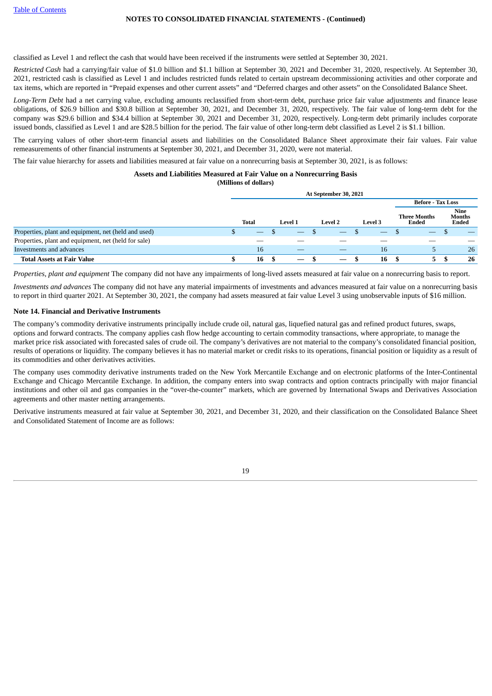classified as Level 1 and reflect the cash that would have been received if the instruments were settled at September 30, 2021.

*Restricted Cash* had a carrying/fair value of \$1.0 billion and \$1.1 billion at September 30, 2021 and December 31, 2020, respectively. At September 30, 2021, restricted cash is classified as Level 1 and includes restricted funds related to certain upstream decommissioning activities and other corporate and tax items, which are reported in "Prepaid expenses and other current assets" and "Deferred charges and other assets" on the Consolidated Balance Sheet.

*Long-Term Debt* had a net carrying value, excluding amounts reclassified from short-term debt, purchase price fair value adjustments and finance lease obligations, of \$26.9 billion and \$30.8 billion at September 30, 2021, and December 31, 2020, respectively. The fair value of long-term debt for the company was \$29.6 billion and \$34.4 billion at September 30, 2021 and December 31, 2020, respectively. Long-term debt primarily includes corporate issued bonds, classified as Level 1 and are \$28.5 billion for the period. The fair value of other long-term debt classified as Level 2 is \$1.1 billion.

The carrying values of other short-term financial assets and liabilities on the Consolidated Balance Sheet approximate their fair values. Fair value remeasurements of other financial instruments at September 30, 2021, and December 31, 2020, were not material.

The fair value hierarchy for assets and liabilities measured at fair value on a nonrecurring basis at September 30, 2021, is as follows:

#### **Assets and Liabilities Measured at Fair Value on a Nonrecurring Basis (Millions of dollars)**

|                                                      |       |                                | At September 30, 2021    |         |                              |                                       |
|------------------------------------------------------|-------|--------------------------------|--------------------------|---------|------------------------------|---------------------------------------|
|                                                      |       |                                |                          |         | <b>Before - Tax Loss</b>     |                                       |
|                                                      | Total | <b>Level 1</b>                 | <b>Level 2</b>           | Level 3 | <b>Three Months</b><br>Ended | Nine<br><b>Months</b><br><b>Ended</b> |
| Properties, plant and equipment, net (held and used) |       |                                | $\overline{\phantom{m}}$ |         |                              |                                       |
| Properties, plant and equipment, net (held for sale) | __    |                                |                          |         |                              |                                       |
| Investments and advances                             | 16    |                                |                          | 16      | כ                            | 26                                    |
| <b>Total Assets at Fair Value</b>                    | 16    | $\qquad \qquad \longleftarrow$ |                          | 16      | 5.                           | 26                                    |

*Properties, plant and equipment* The company did not have any impairments of long-lived assets measured at fair value on a nonrecurring basis to report.

*Investments and advances* The company did not have any material impairments of investments and advances measured at fair value on a nonrecurring basis to report in third quarter 2021. At September 30, 2021, the company had assets measured at fair value Level 3 using unobservable inputs of \$16 million.

#### <span id="page-19-0"></span>**Note 14. Financial and Derivative Instruments**

The company's commodity derivative instruments principally include crude oil, natural gas, liquefied natural gas and refined product futures, swaps, options and forward contracts. The company applies cash flow hedge accounting to certain commodity transactions, where appropriate, to manage the market price risk associated with forecasted sales of crude oil. The company's derivatives are not material to the company's consolidated financial position, results of operations or liquidity. The company believes it has no material market or credit risks to its operations, financial position or liquidity as a result of its commodities and other derivatives activities.

The company uses commodity derivative instruments traded on the New York Mercantile Exchange and on electronic platforms of the Inter-Continental Exchange and Chicago Mercantile Exchange. In addition, the company enters into swap contracts and option contracts principally with major financial institutions and other oil and gas companies in the "over-the-counter" markets, which are governed by International Swaps and Derivatives Association agreements and other master netting arrangements.

Derivative instruments measured at fair value at September 30, 2021, and December 31, 2020, and their classification on the Consolidated Balance Sheet and Consolidated Statement of Income are as follows:

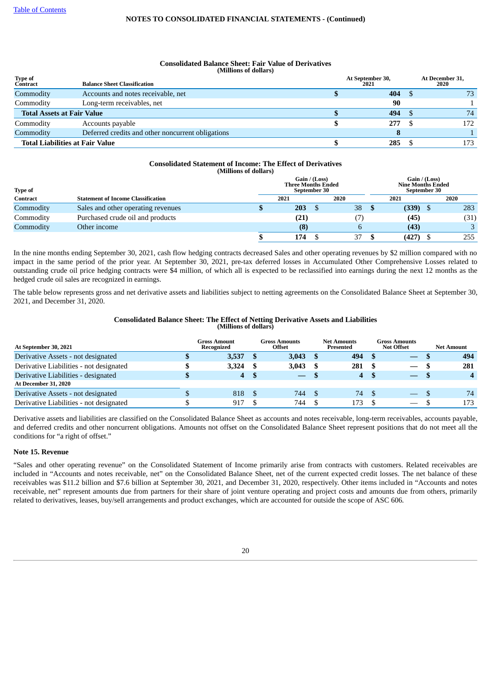| <b>Type of</b><br><b>Contract</b>      | <b>Balance Sheet Classification</b>               | At September 30,<br>2021 | At December 31,<br>2020 |
|----------------------------------------|---------------------------------------------------|--------------------------|-------------------------|
| Commodity                              | Accounts and notes receivable, net                | 404                      | 73                      |
| Commodity                              | Long-term receivables, net                        | 90                       |                         |
| <b>Total Assets at Fair Value</b>      |                                                   | 494                      | 74                      |
| Commodity                              | Accounts payable                                  | 277                      | 172                     |
| Commodity                              | Deferred credits and other noncurrent obligations |                          |                         |
| <b>Total Liabilities at Fair Value</b> |                                                   | 285                      | 173                     |

#### **Consolidated Balance Sheet: Fair Value of Derivatives (Millions of dollars)**

#### **Consolidated Statement of Income: The Effect of Derivatives (Millions of dollars)**

| <b>Type of</b>  | Gain / (Loss)<br><b>Three Months Ended</b><br>September 30 |      | Gain / (Loss)<br><b>Nine Months Ended</b><br>September 30 |       |  |      |  |  |
|-----------------|------------------------------------------------------------|------|-----------------------------------------------------------|-------|--|------|--|--|
| <b>Contract</b> | <b>Statement of Income Classification</b>                  | 2021 | 2020                                                      | 2021  |  | 2020 |  |  |
| Commodity       | Sales and other operating revenues                         | 203  | 38                                                        | (339) |  | 283  |  |  |
| Commodity       | Purchased crude oil and products                           | (21) |                                                           | (45)  |  | (31) |  |  |
| Commodity       | Other income                                               | (8)  |                                                           | (43)  |  |      |  |  |
|                 |                                                            | 174  | 37                                                        | (427) |  | 255  |  |  |

In the nine months ending September 30, 2021, cash flow hedging contracts decreased Sales and other operating revenues by \$2 million compared with no impact in the same period of the prior year. At September 30, 2021, pre-tax deferred losses in Accumulated Other Comprehensive Losses related to outstanding crude oil price hedging contracts were \$4 million, of which all is expected to be reclassified into earnings during the next 12 months as the hedged crude oil sales are recognized in earnings.

The table below represents gross and net derivative assets and liabilities subject to netting agreements on the Consolidated Balance Sheet at September 30, 2021, and December 31, 2020.

#### **Consolidated Balance Sheet: The Effect of Netting Derivative Assets and Liabilities (Millions of dollars)**

| At September 30, 2021                   | <b>Gross Amount</b><br>Recognized | <b>Gross Amounts</b><br><b>Offset</b> |  | <b>Net Amounts</b><br>Presented |  | Gross Amounts<br><b>Not Offset</b> | <b>Net Amount</b> |                  |  |
|-----------------------------------------|-----------------------------------|---------------------------------------|--|---------------------------------|--|------------------------------------|-------------------|------------------|--|
| Derivative Assets - not designated      | 3,537                             | 3.043                                 |  | 494                             |  | —                                  |                   | 494              |  |
| Derivative Liabilities - not designated | 3.324                             | 3.043                                 |  | 281                             |  | $\overbrace{\phantom{12333}}$      |                   | 281              |  |
| Derivative Liabilities - designated     | $\overline{4}$                    | $\overline{\phantom{0}}$              |  | $\overline{4}$                  |  | $\overline{\phantom{0}}$           |                   | $\boldsymbol{A}$ |  |
| <b>At December 31, 2020</b>             |                                   |                                       |  |                                 |  |                                    |                   |                  |  |
| Derivative Assets - not designated      | 818                               | 744                                   |  | 74                              |  | $\overline{\phantom{0}}$           |                   | 74               |  |
| Derivative Liabilities - not designated | 917                               | 744                                   |  | 173.                            |  |                                    |                   | 173              |  |

Derivative assets and liabilities are classified on the Consolidated Balance Sheet as accounts and notes receivable, long-term receivables, accounts payable, and deferred credits and other noncurrent obligations. Amounts not offset on the Consolidated Balance Sheet represent positions that do not meet all the conditions for "a right of offset."

#### **Note 15. Revenue**

"Sales and other operating revenue" on the Consolidated Statement of Income primarily arise from contracts with customers. Related receivables are included in "Accounts and notes receivable, net" on the Consolidated Balance Sheet, net of the current expected credit losses. The net balance of these receivables was \$11.2 billion and \$7.6 billion at September 30, 2021, and December 31, 2020, respectively. Other items included in "Accounts and notes receivable, net" represent amounts due from partners for their share of joint venture operating and project costs and amounts due from others, primarily related to derivatives, leases, buy/sell arrangements and product exchanges, which are accounted for outside the scope of ASC 606*.*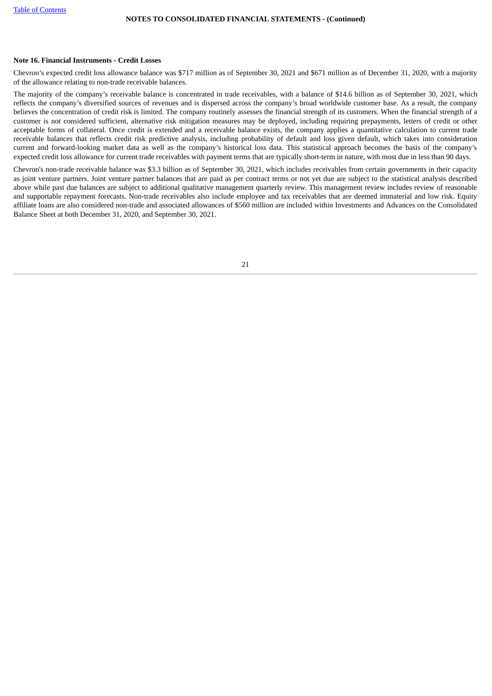#### **Note 16. Financial Instruments - Credit Losses**

Chevron's expected credit loss allowance balance was \$717 million as of September 30, 2021 and \$671 million as of December 31, 2020, with a majority of the allowance relating to non-trade receivable balances.

The majority of the company's receivable balance is concentrated in trade receivables, with a balance of \$14.6 billion as of September 30, 2021, which reflects the company's diversified sources of revenues and is dispersed across the company's broad worldwide customer base. As a result, the company believes the concentration of credit risk is limited. The company routinely assesses the financial strength of its customers. When the financial strength of a customer is not considered sufficient, alternative risk mitigation measures may be deployed, including requiring prepayments, letters of credit or other acceptable forms of collateral. Once credit is extended and a receivable balance exists, the company applies a quantitative calculation to current trade receivable balances that reflects credit risk predictive analysis, including probability of default and loss given default, which takes into consideration current and forward-looking market data as well as the company's historical loss data. This statistical approach becomes the basis of the company's expected credit loss allowance for current trade receivables with payment terms that are typically short-term in nature, with most due in less than 90 days.

<span id="page-21-0"></span>Chevron's non-trade receivable balance was \$3.3 billion as of September 30, 2021, which includes receivables from certain governments in their capacity as joint venture partners. Joint venture partner balances that are paid as per contract terms or not yet due are subject to the statistical analysis described above while past due balances are subject to additional qualitative management quarterly review. This management review includes review of reasonable and supportable repayment forecasts. Non-trade receivables also include employee and tax receivables that are deemed immaterial and low risk. Equity affiliate loans are also considered non-trade and associated allowances of \$560 million are included within Investments and Advances on the Consolidated Balance Sheet at both December 31, 2020, and September 30, 2021.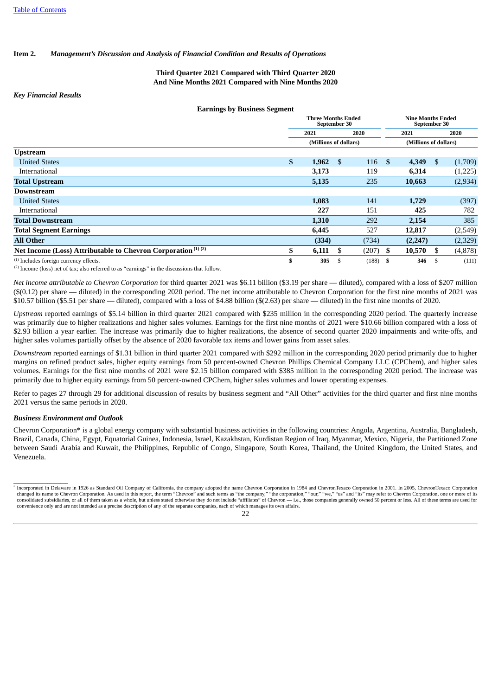#### **Item 2.** *Management's Discussion and Analysis of Financial Condition and Results of Operations*

#### **Third Quarter 2021 Compared with Third Quarter 2020 And Nine Months 2021 Compared with Nine Months 2020**

#### *Key Financial Results*

**Earnings by Business Segment**

|                                                                         | <b>Three Months Ended</b><br>September 30 |    |       |               |                       | <b>Nine Months Ended</b><br>September 30 |         |  |
|-------------------------------------------------------------------------|-------------------------------------------|----|-------|---------------|-----------------------|------------------------------------------|---------|--|
|                                                                         | 2021                                      |    | 2020  |               | 2021                  |                                          | 2020    |  |
|                                                                         | (Millions of dollars)                     |    |       |               | (Millions of dollars) |                                          |         |  |
| <b>Upstream</b>                                                         |                                           |    |       |               |                       |                                          |         |  |
| <b>United States</b>                                                    | \$<br>1,962                               | \$ | 116   | <sup>\$</sup> | 4,349                 | -S                                       | (1,709) |  |
| International                                                           | 3,173                                     |    | 119   |               | 6,314                 |                                          | (1,225) |  |
| <b>Total Upstream</b>                                                   | 5,135                                     |    | 235   |               | 10,663                |                                          | (2,934) |  |
| Downstream                                                              |                                           |    |       |               |                       |                                          |         |  |
| <b>United States</b>                                                    | 1,083                                     |    | 141   |               | 1,729                 |                                          | (397)   |  |
| International                                                           | 227                                       |    | 151   |               | 425                   |                                          | 782     |  |
| <b>Total Downstream</b>                                                 | 1,310                                     |    | 292   |               | 2,154                 |                                          | 385     |  |
| <b>Total Segment Earnings</b>                                           | 6,445                                     |    | 527   |               | 12,817                |                                          | (2,549) |  |
| <b>All Other</b>                                                        | (334)                                     |    | (734) |               | (2, 247)              |                                          | (2,329) |  |
| Net Income (Loss) Attributable to Chevron Corporation <sup>(1)(2)</sup> | \$<br>6,111                               | S  | (207) | S             | 10,570                | S                                        | (4,878) |  |
| (1) Includes foreign currency effects.                                  | \$<br>305                                 | \$ | (188) | -S            | 346                   | - \$                                     | (111)   |  |

 $(2)$  Income (loss) net of tax; also referred to as "earnings" in the discussions that follow.

*Net income attributable to Chevron Corporation* for third quarter 2021 was \$6.11 billion (\$3.19 per share — diluted), compared with a loss of \$207 million (\$(0.12) per share — diluted) in the corresponding 2020 period. The net income attributable to Chevron Corporation for the first nine months of 2021 was \$10.57 billion (\$5.51 per share — diluted), compared with a loss of \$4.88 billion (\$(2.63) per share — diluted) in the first nine months of 2020.

*Upstream* reported earnings of \$5.14 billion in third quarter 2021 compared with \$235 million in the corresponding 2020 period. The quarterly increase was primarily due to higher realizations and higher sales volumes. Earnings for the first nine months of 2021 were \$10.66 billion compared with a loss of \$2.93 billion a year earlier. The increase was primarily due to higher realizations, the absence of second quarter 2020 impairments and write-offs, and higher sales volumes partially offset by the absence of 2020 favorable tax items and lower gains from asset sales.

*Downstream* reported earnings of \$1.31 billion in third quarter 2021 compared with \$292 million in the corresponding 2020 period primarily due to higher margins on refined product sales, higher equity earnings from 50 percent-owned Chevron Phillips Chemical Company LLC (CPChem), and higher sales volumes. Earnings for the first nine months of 2021 were \$2.15 billion compared with \$385 million in the corresponding 2020 period. The increase was primarily due to higher equity earnings from 50 percent-owned CPChem, higher sales volumes and lower operating expenses.

Refer to pages 27 through 29 for additional discussion of results by business segment and "All Other" activities for the third quarter and first nine months 2021 versus the same periods in 2020.

#### *Business Environment and Outlook*

Chevron Corporation\* is a global energy company with substantial business activities in the following countries: Angola, Argentina, Australia, Bangladesh, Brazil, Canada, China, Egypt, Equatorial Guinea, Indonesia, Israel, Kazakhstan, Kurdistan Region of Iraq, Myanmar, Mexico, Nigeria, the Partitioned Zone between Saudi Arabia and Kuwait, the Philippines, Republic of Congo, Singapore, South Korea, Thailand, the United Kingdom, the United States, and Venezuela.

**\_\_\_\_\_\_\_\_\_\_\_\_\_\_\_\_\_\_\_\_\_** Incorporated in Delaware in 1926 as Standard Oil Company of California, the company adopted the name Chevron Corporation in 1984 and ChevronTexaco Corporation in 2001. In 2005, ChevronTexaco Corporation \*changed its name to Chevron Corporation. As used in this report, the term "Chevron" and such terms as "the company," "the corporation," "our," "we," "us" and "its" may refer to Chevron Corporation, one or more of its consolidated subsidiaries, or all of them taken as a whole, but unless stated otherwise they do not include "affiliates" of Chevron — i.e., those companies generally owned 50 percent or less. All of these terms are used for convenience only and are not intended as a precise description of any of the separate companies, each of which manages its own affairs.

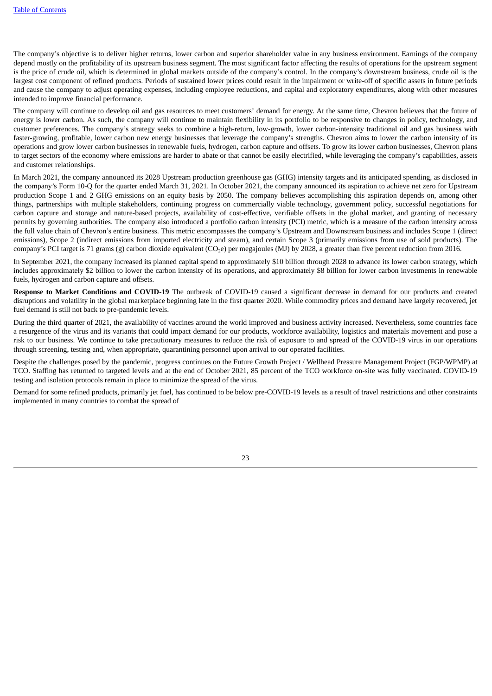The company's objective is to deliver higher returns, lower carbon and superior shareholder value in any business environment. Earnings of the company depend mostly on the profitability of its upstream business segment. The most significant factor affecting the results of operations for the upstream segment is the price of crude oil, which is determined in global markets outside of the company's control. In the company's downstream business, crude oil is the largest cost component of refined products. Periods of sustained lower prices could result in the impairment or write-off of specific assets in future periods and cause the company to adjust operating expenses, including employee reductions, and capital and exploratory expenditures, along with other measures intended to improve financial performance.

The company will continue to develop oil and gas resources to meet customers' demand for energy. At the same time, Chevron believes that the future of energy is lower carbon. As such, the company will continue to maintain flexibility in its portfolio to be responsive to changes in policy, technology, and customer preferences. The company's strategy seeks to combine a high-return, low-growth, lower carbon-intensity traditional oil and gas business with faster-growing, profitable, lower carbon new energy businesses that leverage the company's strengths. Chevron aims to lower the carbon intensity of its operations and grow lower carbon businesses in renewable fuels, hydrogen, carbon capture and offsets. To grow its lower carbon businesses, Chevron plans to target sectors of the economy where emissions are harder to abate or that cannot be easily electrified, while leveraging the company's capabilities, assets and customer relationships.

In March 2021, the company announced its 2028 Upstream production greenhouse gas (GHG) intensity targets and its anticipated spending, as disclosed in the company's Form 10-Q for the quarter ended March 31, 2021. In October 2021, the company announced its aspiration to achieve net zero for Upstream production Scope 1 and 2 GHG emissions on an equity basis by 2050. The company believes accomplishing this aspiration depends on, among other things, partnerships with multiple stakeholders, continuing progress on commercially viable technology, government policy, successful negotiations for carbon capture and storage and nature-based projects, availability of cost-effective, verifiable offsets in the global market, and granting of necessary permits by governing authorities. The company also introduced a portfolio carbon intensity (PCI) metric, which is a measure of the carbon intensity across the full value chain of Chevron's entire business. This metric encompasses the company's Upstream and Downstream business and includes Scope 1 (direct emissions), Scope 2 (indirect emissions from imported electricity and steam), and certain Scope 3 (primarily emissions from use of sold products). The company's PCI target is 71 grams (g) carbon dioxide equivalent  $(CO<sub>2</sub>e)$  per megajoules (MJ) by 2028, a greater than five percent reduction from 2016.

In September 2021, the company increased its planned capital spend to approximately \$10 billion through 2028 to advance its lower carbon strategy, which includes approximately \$2 billion to lower the carbon intensity of its operations, and approximately \$8 billion for lower carbon investments in renewable fuels, hydrogen and carbon capture and offsets.

**Response to Market Conditions and COVID-19** The outbreak of COVID-19 caused a significant decrease in demand for our products and created disruptions and volatility in the global marketplace beginning late in the first quarter 2020. While commodity prices and demand have largely recovered, jet fuel demand is still not back to pre-pandemic levels.

During the third quarter of 2021, the availability of vaccines around the world improved and business activity increased. Nevertheless, some countries face a resurgence of the virus and its variants that could impact demand for our products, workforce availability, logistics and materials movement and pose a risk to our business. We continue to take precautionary measures to reduce the risk of exposure to and spread of the COVID-19 virus in our operations through screening, testing and, when appropriate, quarantining personnel upon arrival to our operated facilities.

Despite the challenges posed by the pandemic, progress continues on the Future Growth Project / Wellhead Pressure Management Project (FGP/WPMP) at TCO. Staffing has returned to targeted levels and at the end of October 2021, 85 percent of the TCO workforce on-site was fully vaccinated. COVID-19 testing and isolation protocols remain in place to minimize the spread of the virus.

Demand for some refined products, primarily jet fuel, has continued to be below pre-COVID-19 levels as a result of travel restrictions and other constraints implemented in many countries to combat the spread of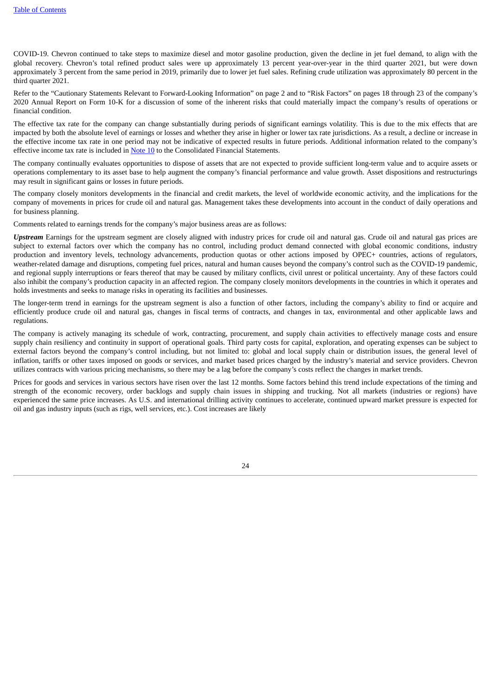COVID-19. Chevron continued to take steps to maximize diesel and motor gasoline production, given the decline in jet fuel demand, to align with the global recovery. Chevron's total refined product sales were up approximately 13 percent year-over-year in the third quarter 2021, but were down approximately 3 percent from the same period in 2019, primarily due to lower jet fuel sales. Refining crude utilization was approximately 80 percent in the third quarter 2021.

Refer to the "Cautionary Statements Relevant to Forward-Looking Information" on page 2 and to "Risk Factors" on pages 18 through 23 of the company's 2020 Annual Report on Form 10-K for a discussion of some of the inherent risks that could materially impact the company's results of operations or financial condition.

The effective tax rate for the company can change substantially during periods of significant earnings volatility. This is due to the mix effects that are impacted by both the absolute level of earnings or losses and whether they arise in higher or lower tax rate jurisdictions. As a result, a decline or increase in the effective income tax rate in one period may not be indicative of expected results in future periods. Additional information related to the company's effective income tax rate is included in [Note](#page-14-0) 10 to the Consolidated Financial Statements.

The company continually evaluates opportunities to dispose of assets that are not expected to provide sufficient long-term value and to acquire assets or operations complementary to its asset base to help augment the company's financial performance and value growth. Asset dispositions and restructurings may result in significant gains or losses in future periods.

The company closely monitors developments in the financial and credit markets, the level of worldwide economic activity, and the implications for the company of movements in prices for crude oil and natural gas. Management takes these developments into account in the conduct of daily operations and for business planning.

Comments related to earnings trends for the company's major business areas are as follows:

*Upstream* Earnings for the upstream segment are closely aligned with industry prices for crude oil and natural gas. Crude oil and natural gas prices are subject to external factors over which the company has no control, including product demand connected with global economic conditions, industry production and inventory levels, technology advancements, production quotas or other actions imposed by OPEC+ countries, actions of regulators, weather-related damage and disruptions, competing fuel prices, natural and human causes beyond the company's control such as the COVID-19 pandemic, and regional supply interruptions or fears thereof that may be caused by military conflicts, civil unrest or political uncertainty. Any of these factors could also inhibit the company's production capacity in an affected region. The company closely monitors developments in the countries in which it operates and holds investments and seeks to manage risks in operating its facilities and businesses.

The longer-term trend in earnings for the upstream segment is also a function of other factors, including the company's ability to find or acquire and efficiently produce crude oil and natural gas, changes in fiscal terms of contracts, and changes in tax, environmental and other applicable laws and regulations.

The company is actively managing its schedule of work, contracting, procurement, and supply chain activities to effectively manage costs and ensure supply chain resiliency and continuity in support of operational goals. Third party costs for capital, exploration, and operating expenses can be subject to external factors beyond the company's control including, but not limited to: global and local supply chain or distribution issues, the general level of inflation, tariffs or other taxes imposed on goods or services, and market based prices charged by the industry's material and service providers. Chevron utilizes contracts with various pricing mechanisms, so there may be a lag before the company's costs reflect the changes in market trends.

Prices for goods and services in various sectors have risen over the last 12 months. Some factors behind this trend include expectations of the timing and strength of the economic recovery, order backlogs and supply chain issues in shipping and trucking. Not all markets (industries or regions) have experienced the same price increases. As U.S. and international drilling activity continues to accelerate, continued upward market pressure is expected for oil and gas industry inputs (such as rigs, well services, etc.). Cost increases are likely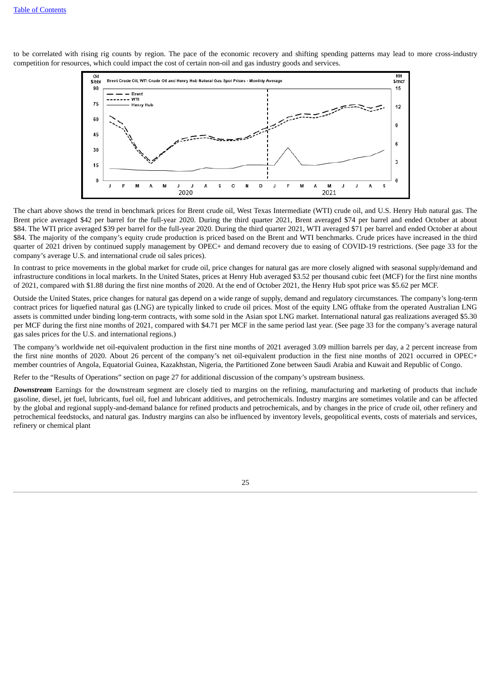to be correlated with rising rig counts by region. The pace of the economic recovery and shifting spending patterns may lead to more cross-industry competition for resources, which could impact the cost of certain non-oil and gas industry goods and services.



The chart above shows the trend in benchmark prices for Brent crude oil, West Texas Intermediate (WTI) crude oil, and U.S. Henry Hub natural gas. The Brent price averaged \$42 per barrel for the full-year 2020. During the third quarter 2021, Brent averaged \$74 per barrel and ended October at about \$84. The WTI price averaged \$39 per barrel for the full-year 2020. During the third quarter 2021, WTI averaged \$71 per barrel and ended October at about \$84. The majority of the company's equity crude production is priced based on the Brent and WTI benchmarks. Crude prices have increased in the third quarter of 2021 driven by continued supply management by OPEC+ and demand recovery due to easing of COVID-19 restrictions. (See page 33 for the company's average U.S. and international crude oil sales prices).

In contrast to price movements in the global market for crude oil, price changes for natural gas are more closely aligned with seasonal supply/demand and infrastructure conditions in local markets. In the United States, prices at Henry Hub averaged \$3.52 per thousand cubic feet (MCF) for the first nine months of 2021, compared with \$1.88 during the first nine months of 2020. At the end of October 2021, the Henry Hub spot price was \$5.62 per MCF.

Outside the United States, price changes for natural gas depend on a wide range of supply, demand and regulatory circumstances. The company's long-term contract prices for liquefied natural gas (LNG) are typically linked to crude oil prices. Most of the equity LNG offtake from the operated Australian LNG assets is committed under binding long-term contracts, with some sold in the Asian spot LNG market. International natural gas realizations averaged \$5.30 per MCF during the first nine months of 2021, compared with \$4.71 per MCF in the same period last year. (See page 33 for the company's average natural gas sales prices for the U.S. and international regions.)

The company's worldwide net oil-equivalent production in the first nine months of 2021 averaged 3.09 million barrels per day, a 2 percent increase from the first nine months of 2020. About 26 percent of the company's net oil-equivalent production in the first nine months of 2021 occurred in OPEC+ member countries of Angola, Equatorial Guinea, Kazakhstan, Nigeria, the Partitioned Zone between Saudi Arabia and Kuwait and Republic of Congo.

Refer to the "Results of Operations" section on page 27 for additional discussion of the company's upstream business.

*Downstream* Earnings for the downstream segment are closely tied to margins on the refining, manufacturing and marketing of products that include gasoline, diesel, jet fuel, lubricants, fuel oil, fuel and lubricant additives, and petrochemicals. Industry margins are sometimes volatile and can be affected by the global and regional supply-and-demand balance for refined products and petrochemicals, and by changes in the price of crude oil, other refinery and petrochemical feedstocks, and natural gas. Industry margins can also be influenced by inventory levels, geopolitical events, costs of materials and services, refinery or chemical plant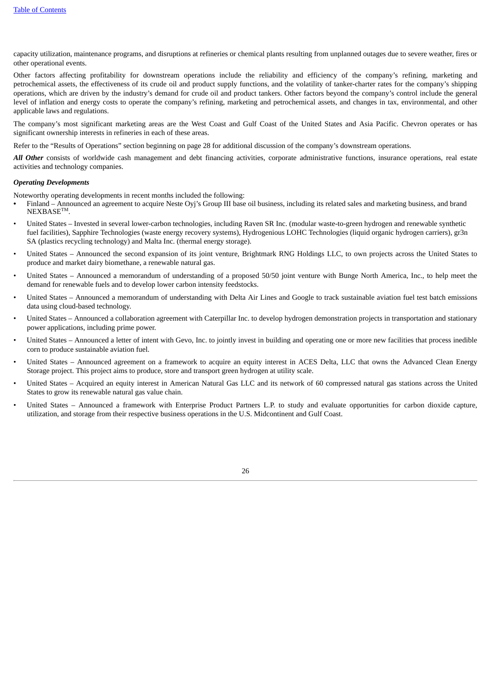capacity utilization, maintenance programs, and disruptions at refineries or chemical plants resulting from unplanned outages due to severe weather, fires or other operational events.

Other factors affecting profitability for downstream operations include the reliability and efficiency of the company's refining, marketing and petrochemical assets, the effectiveness of its crude oil and product supply functions, and the volatility of tanker-charter rates for the company's shipping operations, which are driven by the industry's demand for crude oil and product tankers. Other factors beyond the company's control include the general level of inflation and energy costs to operate the company's refining, marketing and petrochemical assets, and changes in tax, environmental, and other applicable laws and regulations.

The company's most significant marketing areas are the West Coast and Gulf Coast of the United States and Asia Pacific. Chevron operates or has significant ownership interests in refineries in each of these areas.

Refer to the "Results of Operations" section beginning on page 28 for additional discussion of the company's downstream operations.

*All Other* consists of worldwide cash management and debt financing activities, corporate administrative functions, insurance operations, real estate activities and technology companies.

#### *Operating Developments*

Noteworthy operating developments in recent months included the following:

- Finland Announced an agreement to acquire Neste Oyj's Group III base oil business, including its related sales and marketing business, and brand  $NEXBASE^{TM}.$
- United States Invested in several lower-carbon technologies, including Raven SR Inc. (modular waste-to-green hydrogen and renewable synthetic fuel facilities), Sapphire Technologies (waste energy recovery systems), Hydrogenious LOHC Technologies (liquid organic hydrogen carriers), gr3n SA (plastics recycling technology) and Malta Inc. (thermal energy storage).
- United States Announced the second expansion of its joint venture, Brightmark RNG Holdings LLC, to own projects across the United States to produce and market dairy biomethane, a renewable natural gas.
- United States Announced a memorandum of understanding of a proposed 50/50 joint venture with Bunge North America, Inc., to help meet the demand for renewable fuels and to develop lower carbon intensity feedstocks.
- United States Announced a memorandum of understanding with Delta Air Lines and Google to track sustainable aviation fuel test batch emissions data using cloud-based technology.
- United States Announced a collaboration agreement with Caterpillar Inc. to develop hydrogen demonstration projects in transportation and stationary power applications, including prime power.
- United States Announced a letter of intent with Gevo, Inc. to jointly invest in building and operating one or more new facilities that process inedible corn to produce sustainable aviation fuel.
- United States Announced agreement on a framework to acquire an equity interest in ACES Delta, LLC that owns the Advanced Clean Energy Storage project. This project aims to produce, store and transport green hydrogen at utility scale.
- United States Acquired an equity interest in American Natural Gas LLC and its network of 60 compressed natural gas stations across the United States to grow its renewable natural gas value chain.
- United States Announced a framework with Enterprise Product Partners L.P. to study and evaluate opportunities for carbon dioxide capture, utilization, and storage from their respective business operations in the U.S. Midcontinent and Gulf Coast.

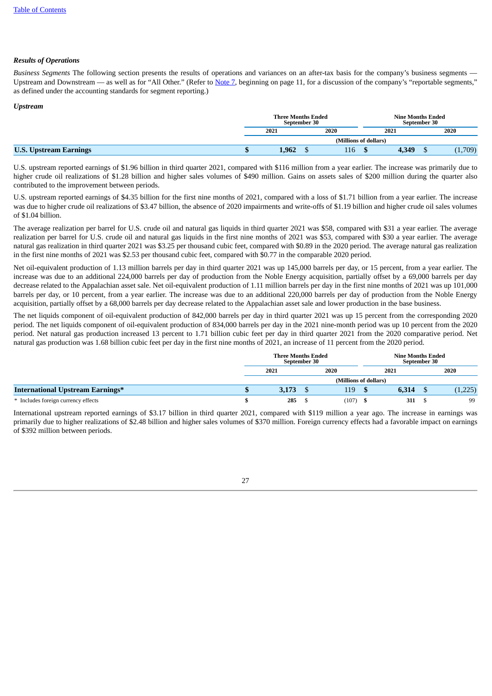#### *Results of Operations*

*Business Segments* The following section presents the results of operations and variances on an after-tax basis for the company's business segments -Upstream and Downstream — as well as for "All Other." (Refer to [Note](#page-11-0) 7, beginning on page 11, for a discussion of the company's "reportable segments," as defined under the accounting standards for segment reporting.)

#### *Upstream*

|                               | <b>Three Months Ended</b><br>September 30 |  |                       |      | <b>Nine Months Ended</b><br><b>September 30</b> |  |         |  |
|-------------------------------|-------------------------------------------|--|-----------------------|------|-------------------------------------------------|--|---------|--|
|                               | 2021<br>2020                              |  |                       | 2021 |                                                 |  | 2020    |  |
|                               |                                           |  | (Millions of dollars) |      |                                                 |  |         |  |
| <b>U.S. Upstream Earnings</b> | 1,962                                     |  | 116                   |      | 4,349                                           |  | (1,709) |  |

U.S. upstream reported earnings of \$1.96 billion in third quarter 2021, compared with \$116 million from a year earlier. The increase was primarily due to higher crude oil realizations of \$1.28 billion and higher sales volumes of \$490 million. Gains on assets sales of \$200 million during the quarter also contributed to the improvement between periods.

U.S. upstream reported earnings of \$4.35 billion for the first nine months of 2021, compared with a loss of \$1.71 billion from a year earlier. The increase was due to higher crude oil realizations of \$3.47 billion, the absence of 2020 impairments and write-offs of \$1.19 billion and higher crude oil sales volumes of \$1.04 billion.

The average realization per barrel for U.S. crude oil and natural gas liquids in third quarter 2021 was \$58, compared with \$31 a year earlier. The average realization per barrel for U.S. crude oil and natural gas liquids in the first nine months of 2021 was \$53, compared with \$30 a year earlier. The average natural gas realization in third quarter 2021 was \$3.25 per thousand cubic feet, compared with \$0.89 in the 2020 period. The average natural gas realization in the first nine months of 2021 was \$2.53 per thousand cubic feet, compared with \$0.77 in the comparable 2020 period.

Net oil-equivalent production of 1.13 million barrels per day in third quarter 2021 was up 145,000 barrels per day, or 15 percent, from a year earlier. The increase was due to an additional 224,000 barrels per day of production from the Noble Energy acquisition, partially offset by a 69,000 barrels per day decrease related to the Appalachian asset sale. Net oil-equivalent production of 1.11 million barrels per day in the first nine months of 2021 was up 101,000 barrels per day, or 10 percent, from a year earlier. The increase was due to an additional 220,000 barrels per day of production from the Noble Energy acquisition, partially offset by a 68,000 barrels per day decrease related to the Appalachian asset sale and lower production in the base business.

The net liquids component of oil-equivalent production of 842,000 barrels per day in third quarter 2021 was up 15 percent from the corresponding 2020 period. The net liquids component of oil-equivalent production of 834,000 barrels per day in the 2021 nine-month period was up 10 percent from the 2020 period. Net natural gas production increased 13 percent to 1.71 billion cubic feet per day in third quarter 2021 from the 2020 comparative period. Net natural gas production was 1.68 billion cubic feet per day in the first nine months of 2021, an increase of 11 percent from the 2020 period.

|                                     | <b>Three Months Ended</b><br>September 30 |  |                       |             | <b>Nine Months Ended</b><br><b>September 30</b> |         |
|-------------------------------------|-------------------------------------------|--|-----------------------|-------------|-------------------------------------------------|---------|
|                                     | 2021                                      |  | 2020                  |             |                                                 | 2020    |
| International Upstream Earnings*    |                                           |  | (Millions of dollars) |             |                                                 |         |
|                                     | 3.173                                     |  | 119                   | $\triangle$ | 6,314                                           | (1,225) |
| * Includes foreign currency effects | 285                                       |  | (107)                 |             | 311                                             | 99      |

International upstream reported earnings of \$3.17 billion in third quarter 2021, compared with \$119 million a year ago. The increase in earnings was primarily due to higher realizations of \$2.48 billion and higher sales volumes of \$370 million. Foreign currency effects had a favorable impact on earnings of \$392 million between periods.

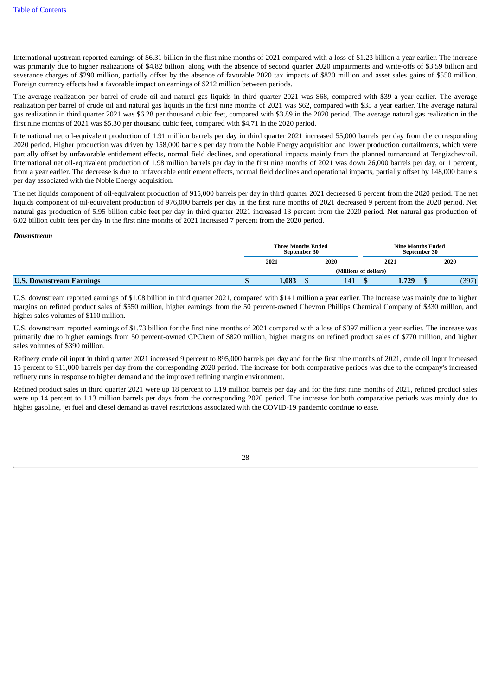International upstream reported earnings of \$6.31 billion in the first nine months of 2021 compared with a loss of \$1.23 billion a year earlier. The increase was primarily due to higher realizations of \$4.82 billion, along with the absence of second quarter 2020 impairments and write-offs of \$3.59 billion and severance charges of \$290 million, partially offset by the absence of favorable 2020 tax impacts of \$820 million and asset sales gains of \$550 million. Foreign currency effects had a favorable impact on earnings of \$212 million between periods.

The average realization per barrel of crude oil and natural gas liquids in third quarter 2021 was \$68, compared with \$39 a year earlier. The average realization per barrel of crude oil and natural gas liquids in the first nine months of 2021 was \$62, compared with \$35 a year earlier. The average natural gas realization in third quarter 2021 was \$6.28 per thousand cubic feet, compared with \$3.89 in the 2020 period. The average natural gas realization in the first nine months of 2021 was \$5.30 per thousand cubic feet, compared with \$4.71 in the 2020 period.

International net oil-equivalent production of 1.91 million barrels per day in third quarter 2021 increased 55,000 barrels per day from the corresponding 2020 period. Higher production was driven by 158,000 barrels per day from the Noble Energy acquisition and lower production curtailments, which were partially offset by unfavorable entitlement effects, normal field declines, and operational impacts mainly from the planned turnaround at Tengizchevroil. International net oil-equivalent production of 1.98 million barrels per day in the first nine months of 2021 was down 26,000 barrels per day, or 1 percent, from a year earlier. The decrease is due to unfavorable entitlement effects, normal field declines and operational impacts, partially offset by 148,000 barrels per day associated with the Noble Energy acquisition.

The net liquids component of oil-equivalent production of 915,000 barrels per day in third quarter 2021 decreased 6 percent from the 2020 period. The net liquids component of oil-equivalent production of 976,000 barrels per day in the first nine months of 2021 decreased 9 percent from the 2020 period. Net natural gas production of 5.95 billion cubic feet per day in third quarter 2021 increased 13 percent from the 2020 period. Net natural gas production of 6.02 billion cubic feet per day in the first nine months of 2021 increased 7 percent from the 2020 period.

#### *Downstream*

|                                 | <b>Three Months Ended</b><br><b>September 30</b> |  |                       |   | Nine Months Ended |  | September 30 |  |
|---------------------------------|--------------------------------------------------|--|-----------------------|---|-------------------|--|--------------|--|
|                                 | 2020<br>2021                                     |  | 2021                  |   | 2020              |  |              |  |
|                                 |                                                  |  | (Millions of dollars) |   |                   |  |              |  |
| <b>U.S. Downstream Earnings</b> | 1,083                                            |  | 141                   | w | 1,729             |  | (397         |  |

U.S. downstream reported earnings of \$1.08 billion in third quarter 2021, compared with \$141 million a year earlier. The increase was mainly due to higher margins on refined product sales of \$550 million, higher earnings from the 50 percent-owned Chevron Phillips Chemical Company of \$330 million, and higher sales volumes of \$110 million.

U.S. downstream reported earnings of \$1.73 billion for the first nine months of 2021 compared with a loss of \$397 million a year earlier. The increase was primarily due to higher earnings from 50 percent-owned CPChem of \$820 million, higher margins on refined product sales of \$770 million, and higher sales volumes of \$390 million.

Refinery crude oil input in third quarter 2021 increased 9 percent to 895,000 barrels per day and for the first nine months of 2021, crude oil input increased 15 percent to 911,000 barrels per day from the corresponding 2020 period. The increase for both comparative periods was due to the company's increased refinery runs in response to higher demand and the improved refining margin environment.

Refined product sales in third quarter 2021 were up 18 percent to 1.19 million barrels per day and for the first nine months of 2021, refined product sales were up 14 percent to 1.13 million barrels per days from the corresponding 2020 period. The increase for both comparative periods was mainly due to higher gasoline, jet fuel and diesel demand as travel restrictions associated with the COVID-19 pandemic continue to ease.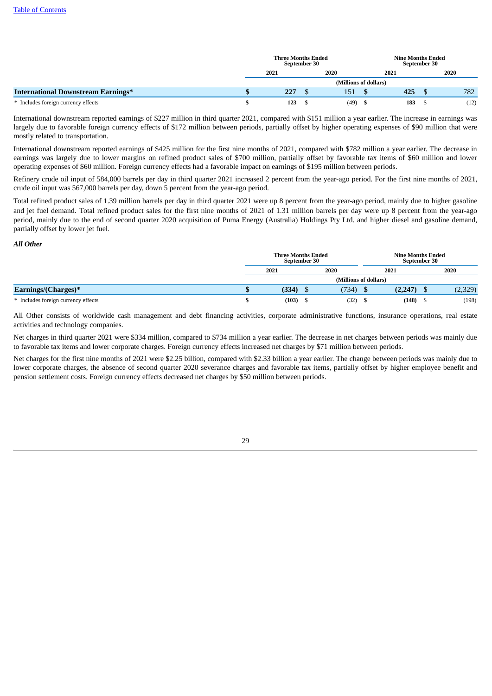|                                           | <b>Three Months Ended</b><br>September 30 |  |                       |  | Nine Months Ended<br>September 30 |  |      |
|-------------------------------------------|-------------------------------------------|--|-----------------------|--|-----------------------------------|--|------|
|                                           | 2021                                      |  | 2020                  |  | 2021                              |  | 2020 |
| <b>International Downstream Earnings*</b> |                                           |  | (Millions of dollars) |  |                                   |  |      |
|                                           | 227                                       |  | 151                   |  | 425                               |  | 782  |
| * Includes foreign currency effects       | 123                                       |  | (49)                  |  | 183                               |  | (12) |

International downstream reported earnings of \$227 million in third quarter 2021, compared with \$151 million a year earlier. The increase in earnings was largely due to favorable foreign currency effects of \$172 million between periods, partially offset by higher operating expenses of \$90 million that were mostly related to transportation.

International downstream reported earnings of \$425 million for the first nine months of 2021, compared with \$782 million a year earlier. The decrease in earnings was largely due to lower margins on refined product sales of \$700 million, partially offset by favorable tax items of \$60 million and lower operating expenses of \$60 million. Foreign currency effects had a favorable impact on earnings of \$195 million between periods.

Refinery crude oil input of 584,000 barrels per day in third quarter 2021 increased 2 percent from the year-ago period. For the first nine months of 2021, crude oil input was 567,000 barrels per day, down 5 percent from the year-ago period.

Total refined product sales of 1.39 million barrels per day in third quarter 2021 were up 8 percent from the year-ago period, mainly due to higher gasoline and jet fuel demand. Total refined product sales for the first nine months of 2021 of 1.31 million barrels per day were up 8 percent from the year-ago period, mainly due to the end of second quarter 2020 acquisition of Puma Energy (Australia) Holdings Pty Ltd. and higher diesel and gasoline demand, partially offset by lower jet fuel.

#### *All Other*

|                                     |      | <b>Three Months Ended</b><br>September 30 |  |                       |      | <b>Nine Months Ended</b><br><b>September 30</b> |         |  |
|-------------------------------------|------|-------------------------------------------|--|-----------------------|------|-------------------------------------------------|---------|--|
|                                     | 2021 |                                           |  | 2020                  | 2021 |                                                 | 2020    |  |
|                                     |      |                                           |  | (Millions of dollars) |      |                                                 |         |  |
| Earnings/(Charges)*                 |      | (334)                                     |  | (734)                 |      | (2,247)                                         | (2,329) |  |
| * Includes foreign currency effects |      | (103)                                     |  | (32)                  |      | (148)                                           | (198)   |  |

All Other consists of worldwide cash management and debt financing activities, corporate administrative functions, insurance operations, real estate activities and technology companies.

Net charges in third quarter 2021 were \$334 million, compared to \$734 million a year earlier. The decrease in net charges between periods was mainly due to favorable tax items and lower corporate charges. Foreign currency effects increased net charges by \$71 million between periods.

Net charges for the first nine months of 2021 were \$2.25 billion, compared with \$2.33 billion a year earlier. The change between periods was mainly due to lower corporate charges, the absence of second quarter 2020 severance charges and favorable tax items, partially offset by higher employee benefit and pension settlement costs. Foreign currency effects decreased net charges by \$50 million between periods.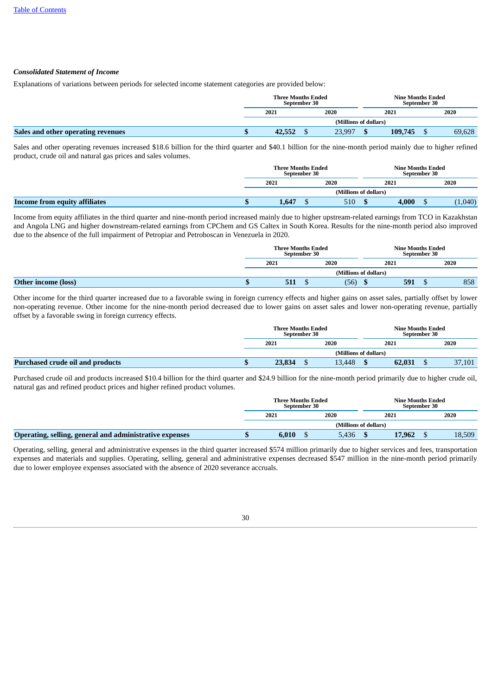### *Consolidated Statement of Income*

Explanations of variations between periods for selected income statement categories are provided below:

|                                    |                       | <b>Three Months Ended</b><br><b>September 30</b> |  |        |      | <b>Nine Months Ended</b><br><b>September 30</b> |  |        |  |
|------------------------------------|-----------------------|--------------------------------------------------|--|--------|------|-------------------------------------------------|--|--------|--|
|                                    |                       | 2021<br>2020                                     |  |        | 2021 |                                                 |  | 2020   |  |
|                                    | (Millions of dollars) |                                                  |  |        |      |                                                 |  |        |  |
| Sales and other operating revenues |                       | 42,552                                           |  | 23.997 |      | 109,745                                         |  | 69,628 |  |

Sales and other operating revenues increased \$18.6 billion for the third quarter and \$40.1 billion for the nine-month period mainly due to higher refined product, crude oil and natural gas prices and sales volumes.

|                                      | Three Months Ended<br><b>September 30</b> |  |                       |  | <b>Nine Months Ended</b><br>September 30 |      |         |  |
|--------------------------------------|-------------------------------------------|--|-----------------------|--|------------------------------------------|------|---------|--|
|                                      | 2021<br>2020                              |  | 2021                  |  |                                          | 2020 |         |  |
|                                      |                                           |  | (Millions of dollars) |  |                                          |      |         |  |
| <b>Income from equity affiliates</b> | 1,647                                     |  | 510                   |  | 4,000                                    |      | (1,040) |  |

Income from equity affiliates in the third quarter and nine-month period increased mainly due to higher upstream-related earnings from TCO in Kazakhstan and Angola LNG and higher downstream-related earnings from CPChem and GS Caltex in South Korea. Results for the nine-month period also improved due to the absence of the full impairment of Petropiar and Petroboscan in Venezuela in 2020.

| 2021<br>2020                            |  | 2021                         |                                          | 2020 |     |
|-----------------------------------------|--|------------------------------|------------------------------------------|------|-----|
|                                         |  |                              |                                          |      |     |
|                                         |  | (56)                         |                                          | 591  | 858 |
| Three Months Ended<br>September 30<br>w |  | (Millions of dollars)<br>511 | <b>Nine Months Ended</b><br>September 30 |      |     |

Other income for the third quarter increased due to a favorable swing in foreign currency effects and higher gains on asset sales, partially offset by lower non-operating revenue. Other income for the nine-month period decreased due to lower gains on asset sales and lower non-operating revenue, partially offset by a favorable swing in foreign currency effects.

|                                  | <b>Three Months Ended</b><br><b>September 30</b> |  |                       |      | <b>Nine Months Ended</b><br>September 30 |  |        |
|----------------------------------|--------------------------------------------------|--|-----------------------|------|------------------------------------------|--|--------|
|                                  | 2021<br>2020                                     |  |                       | 2021 |                                          |  | 2020   |
|                                  |                                                  |  | (Millions of dollars) |      |                                          |  |        |
| Purchased crude oil and products | 23,834                                           |  | 13,448                |      | 62,031                                   |  | 37,101 |

Purchased crude oil and products increased \$10.4 billion for the third quarter and \$24.9 billion for the nine-month period primarily due to higher crude oil, natural gas and refined product prices and higher refined product volumes.

|                                                         | <b>Three Months Ended</b> | September 30 |                       |      | Nine Months Ended<br>September 30 |  |        |  |
|---------------------------------------------------------|---------------------------|--------------|-----------------------|------|-----------------------------------|--|--------|--|
|                                                         | 2021<br>2020              |              |                       | 2021 |                                   |  | 2020   |  |
|                                                         |                           |              | (Millions of dollars) |      |                                   |  |        |  |
| Operating, selling, general and administrative expenses | 6,010                     |              | 5,436                 |      | 17,962                            |  | 18,509 |  |

Operating, selling, general and administrative expenses in the third quarter increased \$574 million primarily due to higher services and fees, transportation expenses and materials and supplies. Operating, selling, general and administrative expenses decreased \$547 million in the nine-month period primarily due to lower employee expenses associated with the absence of 2020 severance accruals.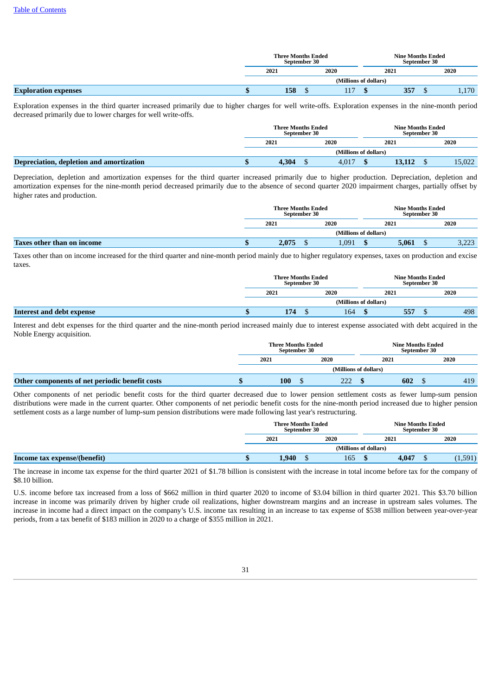|                             | <b>Three Months Ended</b><br>September 30<br>2020<br>2021<br>(Millions of dollars) |     | <b>Nine Months Ended</b><br>September 30 |     |      |       |
|-----------------------------|------------------------------------------------------------------------------------|-----|------------------------------------------|-----|------|-------|
|                             |                                                                                    |     | 2021                                     |     | 2020 |       |
|                             |                                                                                    |     |                                          |     |      |       |
| <b>Exploration expenses</b> |                                                                                    | 158 | 117                                      | 357 |      | 1,170 |

Exploration expenses in the third quarter increased primarily due to higher charges for well write-offs. Exploration expenses in the nine-month period decreased primarily due to lower charges for well write-offs.

|                                          | <b>Three Months Ended</b><br><b>September 30</b> |       |  |       | Nine Months Ended<br>September 30 |      |  |        |
|------------------------------------------|--------------------------------------------------|-------|--|-------|-----------------------------------|------|--|--------|
|                                          |                                                  | 2021  |  | 2020  |                                   | 2021 |  | 2020   |
|                                          | (Millions of dollars)                            |       |  |       |                                   |      |  |        |
| Depreciation, depletion and amortization |                                                  | 4.304 |  | 4.017 |                                   |      |  | 15,022 |

Depreciation, depletion and amortization expenses for the third quarter increased primarily due to higher production. Depreciation, depletion and amortization expenses for the nine-month period decreased primarily due to the absence of second quarter 2020 impairment charges, partially offset by higher rates and production.

|                            | <b>Three Months Ended</b><br>September 30 |       |      |       | <b>Nine Months Ended</b><br>September 30 |       |      |               |
|----------------------------|-------------------------------------------|-------|------|-------|------------------------------------------|-------|------|---------------|
|                            | 2021                                      |       | 2020 |       | 2021                                     |       | 2020 |               |
|                            | (Millions of dollars)                     |       |      |       |                                          |       |      |               |
| Taxes other than on income |                                           | 2,075 |      | 1,091 | w                                        | 5,061 |      | רר ב<br>ں∠∠,ں |

Taxes other than on income increased for the third quarter and nine-month period mainly due to higher regulatory expenses, taxes on production and excise taxes.

|                           | <b>Three Months Ended</b><br><b>September 30</b> |     |  | <b>Nine Months Ended</b><br>September 30 |      |  |     |
|---------------------------|--------------------------------------------------|-----|--|------------------------------------------|------|--|-----|
|                           | 2020<br>2021                                     |     |  | 2021                                     | 2020 |  |     |
|                           | (Millions of dollars)                            |     |  |                                          |      |  |     |
| Interest and debt expense |                                                  | 174 |  | 164                                      | 557  |  | 498 |

Interest and debt expenses for the third quarter and the nine-month period increased mainly due to interest expense associated with debt acquired in the Noble Energy acquisition.

|                                                | <b>Three Months Ended</b><br>September 30 |     |  | <b>Nine Months Ended</b><br><b>September 30</b> |      |  |      |
|------------------------------------------------|-------------------------------------------|-----|--|-------------------------------------------------|------|--|------|
|                                                | 2021                                      |     |  | 2020                                            | 2021 |  | 2020 |
|                                                |                                           |     |  | (Millions of dollars)                           |      |  |      |
| Other components of net periodic benefit costs |                                           | 100 |  | 222                                             | 602  |  | 419  |

Other components of net periodic benefit costs for the third quarter decreased due to lower pension settlement costs as fewer lump-sum pension distributions were made in the current quarter. Other components of net periodic benefit costs for the nine-month period increased due to higher pension settlement costs as a large number of lump-sum pension distributions were made following last year's restructuring.

|                              |   | <b>Three Months Ended</b><br>September 30 |  |                       | <b>Nine Months Ended</b><br>September 30 |  |       |  |
|------------------------------|---|-------------------------------------------|--|-----------------------|------------------------------------------|--|-------|--|
|                              |   | 2021                                      |  | 2020                  | 2021                                     |  | 2020  |  |
|                              |   |                                           |  | (Millions of dollars) |                                          |  |       |  |
| Income tax expense/(benefit) | w | 1,940                                     |  | 165                   | 4,047                                    |  | 1,591 |  |
|                              |   |                                           |  |                       |                                          |  |       |  |

The increase in income tax expense for the third quarter 2021 of \$1.78 billion is consistent with the increase in total income before tax for the company of \$8.10 billion.

U.S. income before tax increased from a loss of \$662 million in third quarter 2020 to income of \$3.04 billion in third quarter 2021. This \$3.70 billion increase in income was primarily driven by higher crude oil realizations, higher downstream margins and an increase in upstream sales volumes. The increase in income had a direct impact on the company's U.S. income tax resulting in an increase to tax expense of \$538 million between year-over-year periods, from a tax benefit of \$183 million in 2020 to a charge of \$355 million in 2021.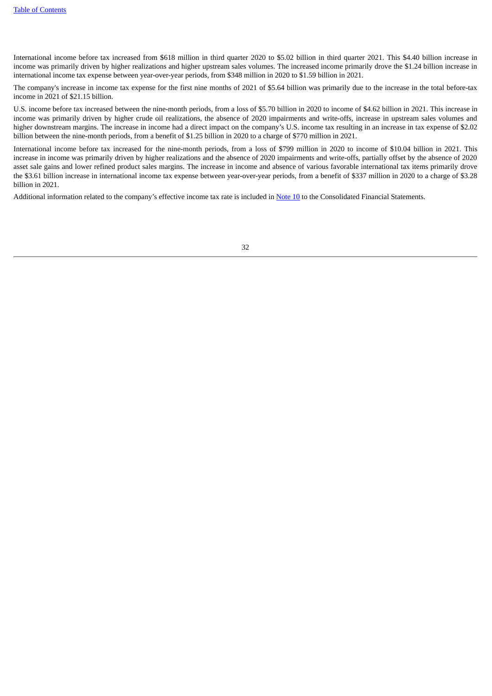International income before tax increased from \$618 million in third quarter 2020 to \$5.02 billion in third quarter 2021. This \$4.40 billion increase in income was primarily driven by higher realizations and higher upstream sales volumes. The increased income primarily drove the \$1.24 billion increase in international income tax expense between year-over-year periods, from \$348 million in 2020 to \$1.59 billion in 2021.

The company's increase in income tax expense for the first nine months of 2021 of \$5.64 billion was primarily due to the increase in the total before-tax income in 2021 of \$21.15 billion.

U.S. income before tax increased between the nine-month periods, from a loss of \$5.70 billion in 2020 to income of \$4.62 billion in 2021. This increase in income was primarily driven by higher crude oil realizations, the absence of 2020 impairments and write-offs, increase in upstream sales volumes and higher downstream margins. The increase in income had a direct impact on the company's U.S. income tax resulting in an increase in tax expense of \$2.02 billion between the nine-month periods, from a benefit of \$1.25 billion in 2020 to a charge of \$770 million in 2021.

International income before tax increased for the nine-month periods, from a loss of \$799 million in 2020 to income of \$10.04 billion in 2021. This increase in income was primarily driven by higher realizations and the absence of 2020 impairments and write-offs, partially offset by the absence of 2020 asset sale gains and lower refined product sales margins. The increase in income and absence of various favorable international tax items primarily drove the \$3.61 billion increase in international income tax expense between year-over-year periods, from a benefit of \$337 million in 2020 to a charge of \$3.28 billion in 2021.

Additional information related to the company's effective income tax rate is included in [Note](#page-14-0) [10](#page-14-0) to the Consolidated Financial Statements.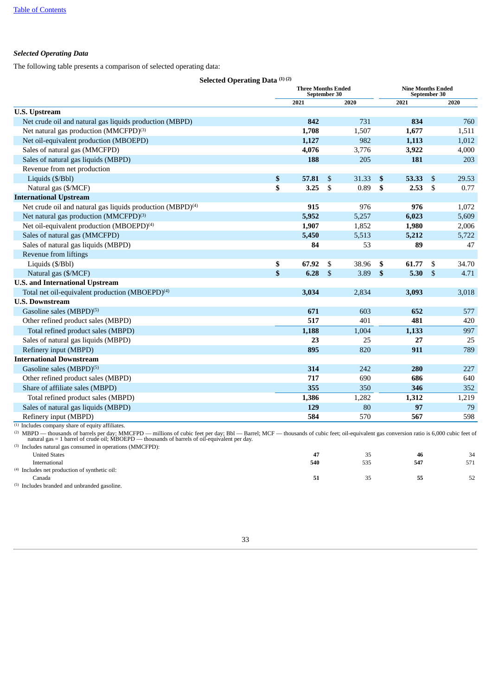## *Selected Operating Data*

The following table presents a comparison of selected operating data:

|                                                                        | Selected Operating Data (1)(2) |                                           |                |       |                                                 |                           |       |
|------------------------------------------------------------------------|--------------------------------|-------------------------------------------|----------------|-------|-------------------------------------------------|---------------------------|-------|
|                                                                        |                                | <b>Three Months Ended</b><br>September 30 |                |       | <b>Nine Months Ended</b><br><b>September 30</b> |                           |       |
|                                                                        |                                | 2021                                      |                | 2020  | 2021                                            |                           | 2020  |
| <b>U.S. Upstream</b>                                                   |                                |                                           |                |       |                                                 |                           |       |
| Net crude oil and natural gas liquids production (MBPD)                |                                | 842                                       |                | 731   | 834                                             |                           | 760   |
| Net natural gas production (MMCFPD) <sup>(3)</sup>                     |                                | 1,708                                     |                | 1,507 | 1,677                                           |                           | 1,511 |
| Net oil-equivalent production (MBOEPD)                                 |                                | 1,127                                     |                | 982   | 1,113                                           |                           | 1,012 |
| Sales of natural gas (MMCFPD)                                          |                                | 4,076                                     |                | 3,776 | 3,922                                           |                           | 4,000 |
| Sales of natural gas liquids (MBPD)                                    |                                | 188                                       |                | 205   | 181                                             |                           | 203   |
| Revenue from net production                                            |                                |                                           |                |       |                                                 |                           |       |
| Liquids (\$/Bbl)                                                       | \$                             | 57.81                                     | $\mathfrak{F}$ | 31.33 | \$<br>53.33                                     | \$                        | 29.53 |
| Natural gas (\$/MCF)                                                   | \$                             | 3.25                                      | \$             | 0.89  | \$<br>2.53                                      | \$                        | 0.77  |
| <b>International Upstream</b>                                          |                                |                                           |                |       |                                                 |                           |       |
| Net crude oil and natural gas liquids production (MBPD) <sup>(4)</sup> |                                | 915                                       |                | 976   | 976                                             |                           | 1,072 |
| Net natural gas production (MMCFPD) <sup>(3)</sup>                     |                                | 5,952                                     |                | 5,257 | 6,023                                           |                           | 5,609 |
| Net oil-equivalent production (MBOEPD) <sup>(4)</sup>                  |                                | 1,907                                     |                | 1,852 | 1,980                                           |                           | 2,006 |
| Sales of natural gas (MMCFPD)                                          |                                | 5,450                                     |                | 5,513 | 5,212                                           |                           | 5,722 |
| Sales of natural gas liquids (MBPD)                                    |                                | 84                                        |                | 53    | 89                                              |                           | 47    |
| Revenue from liftings                                                  |                                |                                           |                |       |                                                 |                           |       |
| Liquids (\$/Bbl)                                                       | \$                             | 67.92                                     | \$             | 38.96 | \$<br>61.77                                     | \$                        | 34.70 |
| Natural gas (\$/MCF)                                                   | $\boldsymbol{\$}$              | 6.28                                      | $\mathfrak{s}$ | 3.89  | \$<br>5.30                                      | $\boldsymbol{\mathsf{S}}$ | 4.71  |
| <b>U.S. and International Upstream</b>                                 |                                |                                           |                |       |                                                 |                           |       |
| Total net oil-equivalent production (MBOEPD) <sup>(4)</sup>            |                                | 3,034                                     |                | 2,834 | 3,093                                           |                           | 3,018 |
| <b>U.S. Downstream</b>                                                 |                                |                                           |                |       |                                                 |                           |       |
| Gasoline sales (MBPD) <sup>(5)</sup>                                   |                                | 671                                       |                | 603   | 652                                             |                           | 577   |
| Other refined product sales (MBPD)                                     |                                | 517                                       |                | 401   | 481                                             |                           | 420   |
| Total refined product sales (MBPD)                                     |                                | 1,188                                     |                | 1,004 | 1,133                                           |                           | 997   |
| Sales of natural gas liquids (MBPD)                                    |                                | 23                                        |                | 25    | 27                                              |                           | 25    |
| Refinery input (MBPD)                                                  |                                | 895                                       |                | 820   | 911                                             |                           | 789   |
| <b>International Downstream</b>                                        |                                |                                           |                |       |                                                 |                           |       |
| Gasoline sales (MBPD) <sup>(5)</sup>                                   |                                | 314                                       |                | 242   | 280                                             |                           | 227   |
| Other refined product sales (MBPD)                                     |                                | 717                                       |                | 690   | 686                                             |                           | 640   |
| Share of affiliate sales (MBPD)                                        |                                | 355                                       |                | 350   | 346                                             |                           | 352   |
| Total refined product sales (MBPD)                                     |                                | 1,386                                     |                | 1,282 | 1,312                                           |                           | 1,219 |
| Sales of natural gas liquids (MBPD)                                    |                                | 129                                       |                | 80    | 97                                              |                           | 79    |
| Refinery input (MBPD)                                                  |                                | 584                                       |                | 570   | 567                                             |                           | 598   |
| (1) Includes company share of equity affiliates.                       |                                |                                           |                |       |                                                 |                           |       |

Includes company share of equity affiliates.

MBPD — thousands of barrels per day; MMCFPD — millions of cubic feet per day; Bbl — Barrel; MCF — thousands of cubic feet; oil-equivalent gas conversion ratio is 6,000 cubic feet of<br>natural gas = 1 barrel of crude oil; MBO (2)

| <sup>(3)</sup> Includes natural gas consumed in operations (MMCFPD): |     |     |     |     |
|----------------------------------------------------------------------|-----|-----|-----|-----|
| <b>United States</b>                                                 | -47 | ر ر | 46  | 34  |
| International                                                        | 540 | 535 | 547 | 571 |
| <sup>(4)</sup> Includes net production of synthetic oil:             |     |     |     |     |
| Canada                                                               | эı  | 55  | ככ  | 52  |
| <sup>(5)</sup> Includes branded and unbranded gasoline.              |     |     |     |     |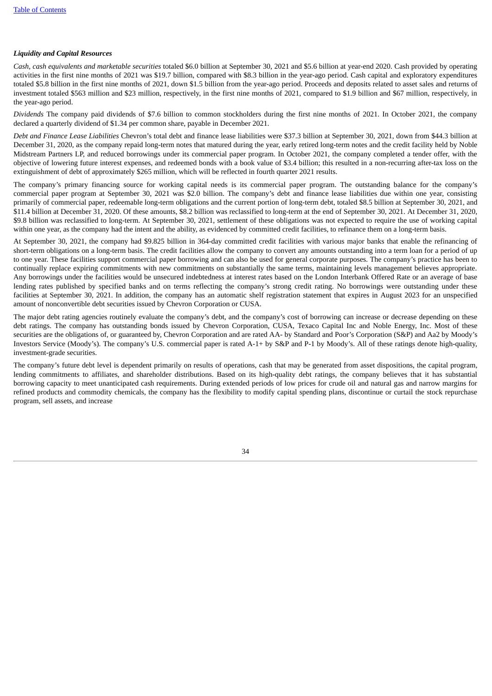#### *Liquidity and Capital Resources*

*Cash, cash equivalents and marketable securities* totaled \$6.0 billion at September 30, 2021 and \$5.6 billion at year-end 2020. Cash provided by operating activities in the first nine months of 2021 was \$19.7 billion, compared with \$8.3 billion in the year-ago period. Cash capital and exploratory expenditures totaled \$5.8 billion in the first nine months of 2021, down \$1.5 billion from the year-ago period. Proceeds and deposits related to asset sales and returns of investment totaled \$563 million and \$23 million, respectively, in the first nine months of 2021, compared to \$1.9 billion and \$67 million, respectively, in the year-ago period.

*Dividends* The company paid dividends of \$7.6 billion to common stockholders during the first nine months of 2021. In October 2021, the company declared a quarterly dividend of \$1.34 per common share, payable in December 2021.

*Debt and Finance Lease Liabilities* Chevron's total debt and finance lease liabilities were \$37.3 billion at September 30, 2021, down from \$44.3 billion at December 31, 2020, as the company repaid long-term notes that matured during the year, early retired long-term notes and the credit facility held by Noble Midstream Partners LP, and reduced borrowings under its commercial paper program. In October 2021, the company completed a tender offer, with the objective of lowering future interest expenses, and redeemed bonds with a book value of \$3.4 billion; this resulted in a non-recurring after-tax loss on the extinguishment of debt of approximately \$265 million, which will be reflected in fourth quarter 2021 results.

The company's primary financing source for working capital needs is its commercial paper program. The outstanding balance for the company's commercial paper program at September 30, 2021 was \$2.0 billion. The company's debt and finance lease liabilities due within one year, consisting primarily of commercial paper, redeemable long-term obligations and the current portion of long-term debt, totaled \$8.5 billion at September 30, 2021, and \$11.4 billion at December 31, 2020. Of these amounts, \$8.2 billion was reclassified to long-term at the end of September 30, 2021. At December 31, 2020, \$9.8 billion was reclassified to long-term. At September 30, 2021, settlement of these obligations was not expected to require the use of working capital within one year, as the company had the intent and the ability, as evidenced by committed credit facilities, to refinance them on a long-term basis.

At September 30, 2021, the company had \$9.825 billion in 364-day committed credit facilities with various major banks that enable the refinancing of short-term obligations on a long-term basis. The credit facilities allow the company to convert any amounts outstanding into a term loan for a period of up to one year. These facilities support commercial paper borrowing and can also be used for general corporate purposes. The company's practice has been to continually replace expiring commitments with new commitments on substantially the same terms, maintaining levels management believes appropriate. Any borrowings under the facilities would be unsecured indebtedness at interest rates based on the London Interbank Offered Rate or an average of base lending rates published by specified banks and on terms reflecting the company's strong credit rating. No borrowings were outstanding under these facilities at September 30, 2021. In addition, the company has an automatic shelf registration statement that expires in August 2023 for an unspecified amount of nonconvertible debt securities issued by Chevron Corporation or CUSA.

The major debt rating agencies routinely evaluate the company's debt, and the company's cost of borrowing can increase or decrease depending on these debt ratings. The company has outstanding bonds issued by Chevron Corporation, CUSA, Texaco Capital Inc and Noble Energy, Inc. Most of these securities are the obligations of, or guaranteed by, Chevron Corporation and are rated AA- by Standard and Poor's Corporation (S&P) and Aa2 by Moody's Investors Service (Moody's). The company's U.S. commercial paper is rated A-1+ by S&P and P-1 by Moody's. All of these ratings denote high-quality, investment-grade securities.

The company's future debt level is dependent primarily on results of operations, cash that may be generated from asset dispositions, the capital program, lending commitments to affiliates, and shareholder distributions. Based on its high-quality debt ratings, the company believes that it has substantial borrowing capacity to meet unanticipated cash requirements. During extended periods of low prices for crude oil and natural gas and narrow margins for refined products and commodity chemicals, the company has the flexibility to modify capital spending plans, discontinue or curtail the stock repurchase program, sell assets, and increase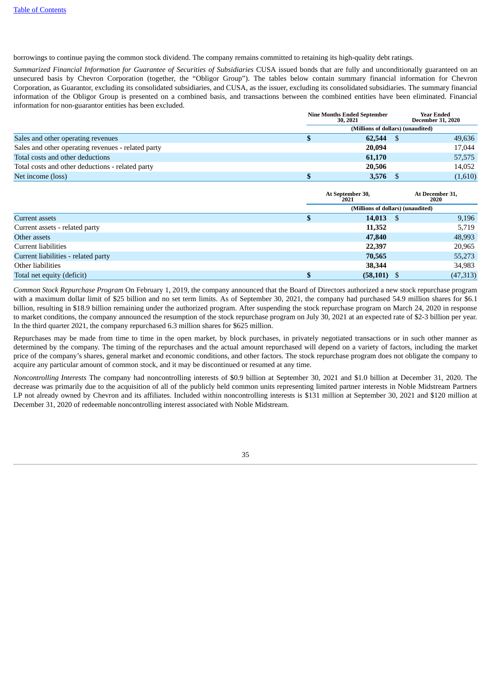borrowings to continue paying the common stock dividend. The company remains committed to retaining its high-quality debt ratings.

*Summarized Financial Information for Guarantee of Securities of Subsidiaries* CUSA issued bonds that are fully and unconditionally guaranteed on an unsecured basis by Chevron Corporation (together, the "Obligor Group"). The tables below contain summary financial information for Chevron Corporation, as Guarantor, excluding its consolidated subsidiaries, and CUSA, as the issuer, excluding its consolidated subsidiaries. The summary financial information of the Obligor Group is presented on a combined basis, and transactions between the combined entities have been eliminated. Financial information for non-guarantor entities has been excluded.

|                                                    | <b>Nine Months Ended September</b><br>30, 2021 | <b>Year Ended</b><br><b>December 31, 2020</b> |
|----------------------------------------------------|------------------------------------------------|-----------------------------------------------|
|                                                    | (Millions of dollars) (unaudited)              |                                               |
| Sales and other operating revenues                 | $62,544$ \$                                    | 49,636                                        |
| Sales and other operating revenues - related party | 20,094                                         | 17,044                                        |
| Total costs and other deductions                   | 61,170                                         | 57,575                                        |
| Total costs and other deductions - related party   | 20,506                                         | 14,052                                        |
| Net income (loss)                                  | 3,576                                          | (1,610)                                       |

|                                     |   | At September 30,<br>2021          | At December 31,<br>2020 |  |  |  |  |  |  |
|-------------------------------------|---|-----------------------------------|-------------------------|--|--|--|--|--|--|
|                                     |   | (Millions of dollars) (unaudited) |                         |  |  |  |  |  |  |
| Current assets                      | Φ | 14,013                            | 9,196<br>- \$           |  |  |  |  |  |  |
| Current assets - related party      |   | 11,352                            | 5,719                   |  |  |  |  |  |  |
| Other assets                        |   | 47,840                            | 48,993                  |  |  |  |  |  |  |
| Current liabilities                 |   | 22,397                            | 20,965                  |  |  |  |  |  |  |
| Current liabilities - related party |   | 70,565                            | 55,273                  |  |  |  |  |  |  |
| Other liabilities                   |   | 38,344                            | 34,983                  |  |  |  |  |  |  |
| Total net equity (deficit)          |   | $(58, 101)$ \$                    | (47,313)                |  |  |  |  |  |  |

*Common Stock Repurchase Program* On February 1, 2019, the company announced that the Board of Directors authorized a new stock repurchase program with a maximum dollar limit of \$25 billion and no set term limits. As of September 30, 2021, the company had purchased 54.9 million shares for \$6.1 billion, resulting in \$18.9 billion remaining under the authorized program. After suspending the stock repurchase program on March 24, 2020 in response to market conditions, the company announced the resumption of the stock repurchase program on July 30, 2021 at an expected rate of \$2-3 billion per year. In the third quarter 2021, the company repurchased 6.3 million shares for \$625 million.

Repurchases may be made from time to time in the open market, by block purchases, in privately negotiated transactions or in such other manner as determined by the company. The timing of the repurchases and the actual amount repurchased will depend on a variety of factors, including the market price of the company's shares, general market and economic conditions, and other factors. The stock repurchase program does not obligate the company to acquire any particular amount of common stock, and it may be discontinued or resumed at any time.

*Noncontrolling Interests* The company had noncontrolling interests of \$0.9 billion at September 30, 2021 and \$1.0 billion at December 31, 2020. The decrease was primarily due to the acquisition of all of the publicly held common units representing limited partner interests in Noble Midstream Partners LP not already owned by Chevron and its affiliates. Included within noncontrolling interests is \$131 million at September 30, 2021 and \$120 million at December 31, 2020 of redeemable noncontrolling interest associated with Noble Midstream.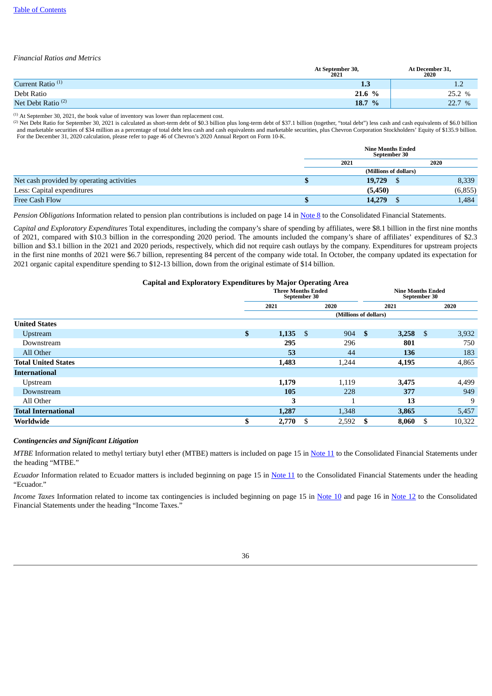#### *Financial Ratios and Metrics*

|                               | At September 30,<br>2021 | At December 31,<br>2020 |
|-------------------------------|--------------------------|-------------------------|
| Current Ratio <sup>(1)</sup>  | 1.3                      | $\pm$ .2                |
| Debt Ratio                    | 21.6 %                   | 25.2 %                  |
| Net Debt Ratio <sup>(2)</sup> | $\frac{0}{2}$<br>18.7    | 22.7 %                  |

 $(1)$  At September 30, 2021, the book value of inventory was lower than replacement cost.

(2) Net Debt Ratio for September 30, 2021 is calculated as short-term debt of \$0.3 billion plus long-term debt of \$37.1 billion (together, "total debt") less cash and cash equivalents of \$6.0 billion and marketable securities of \$34 million as a percentage of total debt less cash and cash equivalents and marketable securities, plus Chevron Corporation Stockholders' Equity of \$135.9 billion. For the December 31, 2020 calculation, please refer to page 46 of Chevron's 2020 Annual Report on Form 10-K.

|                                           | <b>Nine Months Ended</b><br>September 30 |         |          |  |  |
|-------------------------------------------|------------------------------------------|---------|----------|--|--|
|                                           | 2021                                     |         | 2020     |  |  |
|                                           |                                          |         |          |  |  |
| Net cash provided by operating activities |                                          | 19,729  | 8,339    |  |  |
| Less: Capital expenditures                |                                          | (5,450) | (6, 855) |  |  |
| <b>Free Cash Flow</b>                     |                                          | 14,279  | 1,484    |  |  |

*Pension Obligations* Information related to pension plan contributions is included on page 14 in [Note](#page-13-0) 8 to the Consolidated Financial Statements.

*Capital and Exploratory Expenditures* Total expenditures, including the company's share of spending by affiliates, were \$8.1 billion in the first nine months of 2021, compared with \$10.3 billion in the corresponding 2020 period. The amounts included the company's share of affiliates' expenditures of \$2.3 billion and \$3.1 billion in the 2021 and 2020 periods, respectively, which did not require cash outlays by the company. Expenditures for upstream projects in the first nine months of 2021 were \$6.7 billion, representing 84 percent of the company wide total. In October, the company updated its expectation for 2021 organic capital expenditure spending to \$12-13 billion, down from the original estimate of \$14 billion.

#### **Capital and Exploratory Expenditures by Major Operating Area**

|                           | <b>Three Months Ended</b><br>September 30 |    |       |      | <b>Nine Months Ended</b><br>September 30 |                       |        |
|---------------------------|-------------------------------------------|----|-------|------|------------------------------------------|-----------------------|--------|
|                           | 2021                                      |    | 2020  |      | 2021                                     |                       | 2020   |
|                           |                                           |    |       |      |                                          |                       |        |
|                           |                                           |    |       |      |                                          |                       |        |
| $\boldsymbol{\mathsf{s}}$ | 1,135                                     | \$ | 904   | - \$ | 3,258                                    | \$                    | 3,932  |
|                           | 295                                       |    | 296   |      | 801                                      |                       | 750    |
|                           | 53                                        |    | 44    |      | 136                                      |                       | 183    |
|                           | 1,483                                     |    | 1,244 |      | 4,195                                    |                       | 4,865  |
|                           |                                           |    |       |      |                                          |                       |        |
|                           | 1,179                                     |    | 1,119 |      | 3,475                                    |                       | 4,499  |
|                           | 105                                       |    | 228   |      | 377                                      |                       | 949    |
|                           | 3                                         |    |       |      | 13                                       |                       | 9      |
|                           | 1,287                                     |    | 1,348 |      | 3,865                                    |                       | 5,457  |
| \$                        | 2,770                                     | \$ | 2,592 | - 5  | 8,060                                    | \$.                   | 10,322 |
|                           |                                           |    |       |      |                                          | (Millions of dollars) |        |

#### *Contingencies and Significant Litigation*

*MTBE* Information related to methyl tertiary butyl ether (MTBE) matters is included on page 15 in [Note](#page-15-0) 11 to the Consolidated Financial Statements under the heading "MTBE."

*Ecuador* Information related to Ecuador matters is included beginning on page 15 in [Note](#page-15-0) 11 to the Consolidated Financial Statements under the heading "Ecuador."

*Income Taxes* Information related to income tax contingencies is included beginning on page 15 in [Note](#page-16-0) 10 and page 16 in Note 12 to the Consolidated Financial Statements under the heading "Income Taxes."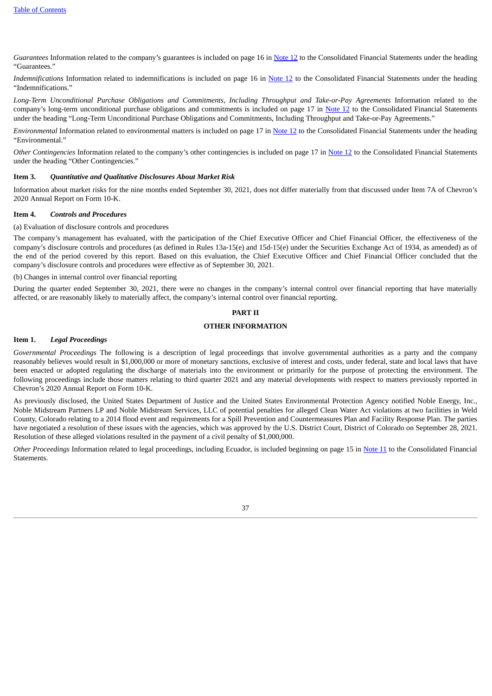*Guarantees* Information related to the company's guarantees is included on page 16 in [Note](#page-16-1) 12 to the Consolidated Financial Statements under the heading "Guarantees."

*Indemnifications* Information related to indemnifications is included on page 16 in [Note](#page-16-2) 12 to the Consolidated Financial Statements under the heading "Indemnifications."

*Long-Term Unconditional Purchase Obligations and Commitments, Including Throughput and Take-or-Pay Agreements* Information related to the company's long-term unconditional purchase obligations and commitments is included on page 17 in [Note](#page-16-0) 12 to the Consolidated Financial Statements under the heading "Long-Term Unconditional Purchase Obligations and Commitments, Including Throughput and Take-or-Pay Agreements."

*Environmental* Information related to environmental matters is included on page 17 in [Note](#page-17-0) 12 to the Consolidated Financial Statements under the heading "Environmental."

*Other Contingencies* Information related to the company's other contingencies is included on page 17 in [Note](#page-17-1) 12 to the Consolidated Financial Statements under the heading "Other Contingencies."

#### <span id="page-37-0"></span>**Item 3.** *Quantitative and Qualitative Disclosures About Market Risk*

Information about market risks for the nine months ended September 30, 2021, does not differ materially from that discussed under Item 7A of Chevron's 2020 Annual Report on Form 10-K.

#### <span id="page-37-1"></span>**Item 4.** *Controls and Procedures*

#### (a) Evaluation of disclosure controls and procedures

The company's management has evaluated, with the participation of the Chief Executive Officer and Chief Financial Officer, the effectiveness of the company's disclosure controls and procedures (as defined in Rules 13a-15(e) and 15d-15(e) under the Securities Exchange Act of 1934, as amended) as of the end of the period covered by this report. Based on this evaluation, the Chief Executive Officer and Chief Financial Officer concluded that the company's disclosure controls and procedures were effective as of September 30, 2021.

#### (b) Changes in internal control over financial reporting

<span id="page-37-2"></span>During the quarter ended September 30, 2021, there were no changes in the company's internal control over financial reporting that have materially affected, or are reasonably likely to materially affect, the company's internal control over financial reporting.

#### **PART II**

#### **OTHER INFORMATION**

### <span id="page-37-3"></span>**Item 1.** *Legal Proceedings*

*Governmental Proceedings* The following is a description of legal proceedings that involve governmental authorities as a party and the company reasonably believes would result in \$1,000,000 or more of monetary sanctions, exclusive of interest and costs, under federal, state and local laws that have been enacted or adopted regulating the discharge of materials into the environment or primarily for the purpose of protecting the environment. The following proceedings include those matters relating to third quarter 2021 and any material developments with respect to matters previously reported in Chevron's 2020 Annual Report on Form 10-K.

As previously disclosed, the United States Department of Justice and the United States Environmental Protection Agency notified Noble Energy, Inc., Noble Midstream Partners LP and Noble Midstream Services, LLC of potential penalties for alleged Clean Water Act violations at two facilities in Weld County, Colorado relating to a 2014 flood event and requirements for a Spill Prevention and Countermeasures Plan and Facility Response Plan. The parties have negotiated a resolution of these issues with the agencies, which was approved by the U.S. District Court, District of Colorado on September 28, 2021. Resolution of these alleged violations resulted in the payment of a civil penalty of \$1,000,000.

<span id="page-37-4"></span>*Other Proceedings* Information related to legal proceedings, including Ecuador, is included beginning on page 15 in [Note](#page-15-0) 11 to the Consolidated Financial Statements.

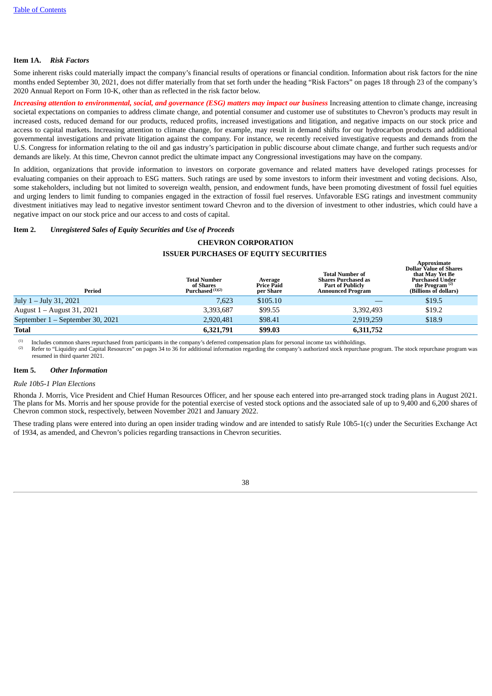#### **Item 1A.** *Risk Factors*

Some inherent risks could materially impact the company's financial results of operations or financial condition. Information about risk factors for the nine months ended September 30, 2021, does not differ materially from that set forth under the heading "Risk Factors" on pages 18 through 23 of the company's 2020 Annual Report on Form 10-K, other than as reflected in the risk factor below.

Increasing attention to environmental, social, and governance (ESG) matters may impact our business Increasing attention to climate change, increasing societal expectations on companies to address climate change, and potential consumer and customer use of substitutes to Chevron's products may result in increased costs, reduced demand for our products, reduced profits, increased investigations and litigation, and negative impacts on our stock price and access to capital markets. Increasing attention to climate change, for example, may result in demand shifts for our hydrocarbon products and additional governmental investigations and private litigation against the company. For instance, we recently received investigative requests and demands from the U.S. Congress for information relating to the oil and gas industry's participation in public discourse about climate change, and further such requests and/or demands are likely. At this time, Chevron cannot predict the ultimate impact any Congressional investigations may have on the company.

In addition, organizations that provide information to investors on corporate governance and related matters have developed ratings processes for evaluating companies on their approach to ESG matters. Such ratings are used by some investors to inform their investment and voting decisions. Also, some stakeholders, including but not limited to sovereign wealth, pension, and endowment funds, have been promoting divestment of fossil fuel equities and urging lenders to limit funding to companies engaged in the extraction of fossil fuel reserves. Unfavorable ESG ratings and investment community divestment initiatives may lead to negative investor sentiment toward Chevron and to the diversion of investment to other industries, which could have a negative impact on our stock price and our access to and costs of capital.

#### <span id="page-38-0"></span>**Item 2.** *Unregistered Sales of Equity Securities and Use of Proceeds*

### **CHEVRON CORPORATION ISSUER PURCHASES OF EQUITY SECURITIES**

| Period                           | <b>Total Number</b><br>of Shares<br>Purchased <sup>(1)(2)</sup> | Average<br><b>Price Paid</b><br>per Share | Total Number of<br><b>Shares Purchased as</b><br><b>Part of Publicly</b><br><b>Announced Program</b> | <u></u><br><b>Dollar Value of Shares</b><br>that May Yet Be<br><b>Purchased Under</b><br>the Program $(2)$<br>(Billions of dollars) |
|----------------------------------|-----------------------------------------------------------------|-------------------------------------------|------------------------------------------------------------------------------------------------------|-------------------------------------------------------------------------------------------------------------------------------------|
| July 1 – July 31, 2021           | 7.623                                                           | \$105.10                                  |                                                                                                      | \$19.5                                                                                                                              |
| August $1 -$ August 31, 2021     | 3,393,687                                                       | \$99.55                                   | 3,392,493                                                                                            | \$19.2                                                                                                                              |
| September 1 – September 30, 2021 | 2.920.481                                                       | \$98.41                                   | 2,919,259                                                                                            | \$18.9                                                                                                                              |
| <b>Total</b>                     | 6,321,791                                                       | \$99.03                                   | 6,311,752                                                                                            |                                                                                                                                     |

**Approximate**

Includes common shares repurchased from participants in the company's deferred compensation plans for personal income tax withholdings. (1)

Refer to "Liquidity and Capital Resources" on pages 34 to 36 for additional information regarding the company's authorized stock repurchase program. The stock repurchase program was resumed in third quarter 2021. (2)

#### <span id="page-38-1"></span>**Item 5.** *Other Information*

#### *Rule 10b5-1 Plan Elections*

Rhonda J. Morris, Vice President and Chief Human Resources Officer, and her spouse each entered into pre-arranged stock trading plans in August 2021. The plans for Ms. Morris and her spouse provide for the potential exercise of vested stock options and the associated sale of up to 9,400 and 6,200 shares of Chevron common stock, respectively, between November 2021 and January 2022.

<span id="page-38-2"></span>These trading plans were entered into during an open insider trading window and are intended to satisfy Rule 10b5-1(c) under the Securities Exchange Act of 1934, as amended, and Chevron's policies regarding transactions in Chevron securities.

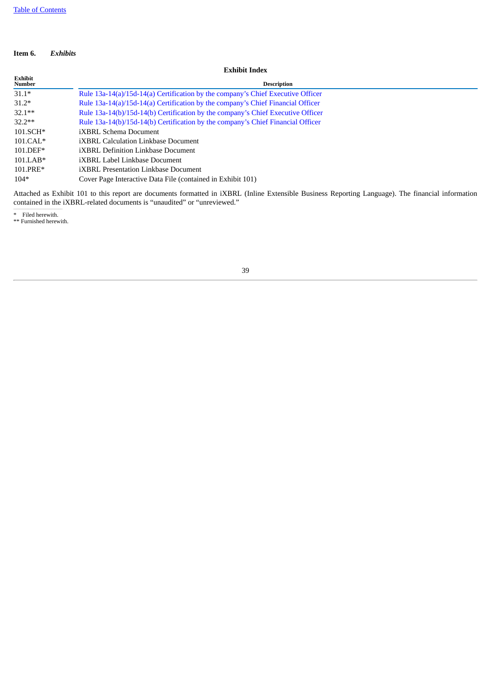### **Item 6.** *Exhibits*

## **Exhibit Index**

| елшен пина               |                                                                                 |  |  |  |
|--------------------------|---------------------------------------------------------------------------------|--|--|--|
| <b>Exhibit</b><br>Number | <b>Description</b>                                                              |  |  |  |
| $31.1*$                  | Rule 13a-14(a)/15d-14(a) Certification by the company's Chief Executive Officer |  |  |  |
| $31.2*$                  | Rule 13a-14(a)/15d-14(a) Certification by the company's Chief Financial Officer |  |  |  |
| $32.1**$                 | Rule 13a-14(b)/15d-14(b) Certification by the company's Chief Executive Officer |  |  |  |
| $32.2**$                 | Rule 13a-14(b)/15d-14(b) Certification by the company's Chief Financial Officer |  |  |  |
| $101.SCH*$               | <b>iXBRL Schema Document</b>                                                    |  |  |  |
| $101.CAL*$               | <i>iXBRL Calculation Linkbase Document</i>                                      |  |  |  |
| $101.$ DEF*              | <b>iXBRL Definition Linkbase Document</b>                                       |  |  |  |
| $101.LAB*$               | iXBRL Label Linkbase Document                                                   |  |  |  |
| 101.PRE*                 | <i>iXBRL Presentation Linkbase Document</i>                                     |  |  |  |
| $104*$                   | Cover Page Interactive Data File (contained in Exhibit 101)                     |  |  |  |
|                          |                                                                                 |  |  |  |

Attached as Exhibit 101 to this report are documents formatted in iXBRL (Inline Extensible Business Reporting Language). The financial information contained in the iXBRL-related documents is "unaudited" or "unreviewed."

 $*$  Filed herewith.

<span id="page-39-0"></span>\*\* Furnished herewith.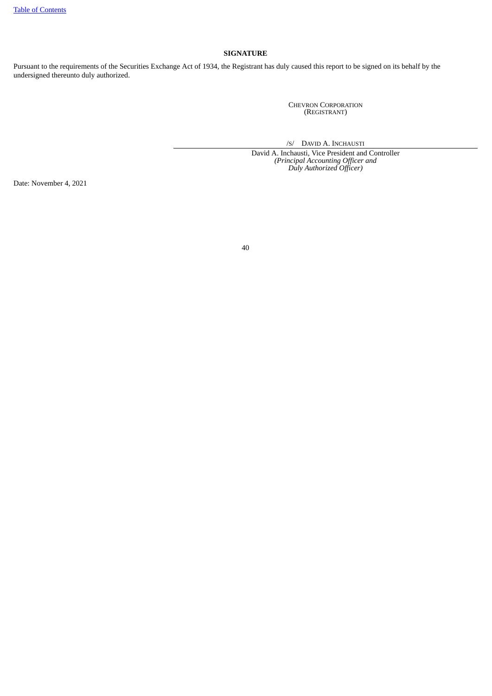### **SIGNATURE**

Pursuant to the requirements of the Securities Exchange Act of 1934, the Registrant has duly caused this report to be signed on its behalf by the undersigned thereunto duly authorized.

> CHEVRON CORPORATION (REGISTRANT)

/S/ DAVID A. INCHAUSTI

David A. Inchausti, Vice President and Controller *(Principal Accounting Officer and Duly Authorized Officer)*

Date: November 4, 2021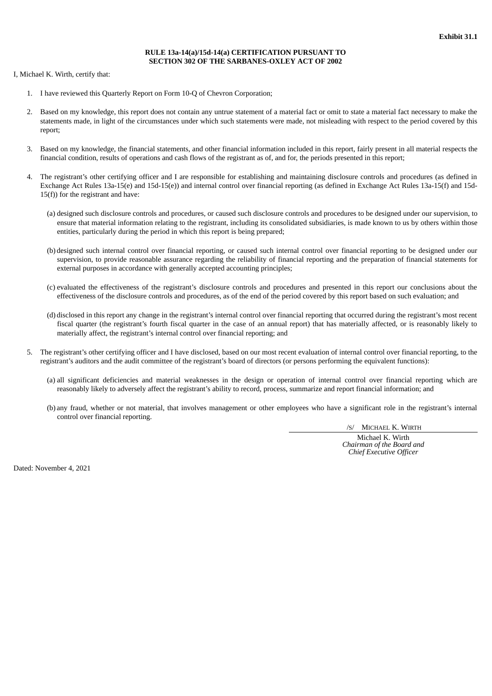#### **RULE 13a-14(a)/15d-14(a) CERTIFICATION PURSUANT TO SECTION 302 OF THE SARBANES-OXLEY ACT OF 2002**

<span id="page-41-0"></span>I, Michael K. Wirth, certify that:

- 1. I have reviewed this Quarterly Report on Form 10-Q of Chevron Corporation;
- 2. Based on my knowledge, this report does not contain any untrue statement of a material fact or omit to state a material fact necessary to make the statements made, in light of the circumstances under which such statements were made, not misleading with respect to the period covered by this report;
- 3. Based on my knowledge, the financial statements, and other financial information included in this report, fairly present in all material respects the financial condition, results of operations and cash flows of the registrant as of, and for, the periods presented in this report;
- 4. The registrant's other certifying officer and I are responsible for establishing and maintaining disclosure controls and procedures (as defined in Exchange Act Rules 13a-15(e) and 15d-15(e)) and internal control over financial reporting (as defined in Exchange Act Rules 13a-15(f) and 15d-15(f)) for the registrant and have:
	- (a) designed such disclosure controls and procedures, or caused such disclosure controls and procedures to be designed under our supervision, to ensure that material information relating to the registrant, including its consolidated subsidiaries, is made known to us by others within those entities, particularly during the period in which this report is being prepared;
	- (b) designed such internal control over financial reporting, or caused such internal control over financial reporting to be designed under our supervision, to provide reasonable assurance regarding the reliability of financial reporting and the preparation of financial statements for external purposes in accordance with generally accepted accounting principles;
	- (c) evaluated the effectiveness of the registrant's disclosure controls and procedures and presented in this report our conclusions about the effectiveness of the disclosure controls and procedures, as of the end of the period covered by this report based on such evaluation; and
	- (d) disclosed in this report any change in the registrant's internal control over financial reporting that occurred during the registrant's most recent fiscal quarter (the registrant's fourth fiscal quarter in the case of an annual report) that has materially affected, or is reasonably likely to materially affect, the registrant's internal control over financial reporting; and
- 5. The registrant's other certifying officer and I have disclosed, based on our most recent evaluation of internal control over financial reporting, to the registrant's auditors and the audit committee of the registrant's board of directors (or persons performing the equivalent functions):
	- (a) all significant deficiencies and material weaknesses in the design or operation of internal control over financial reporting which are reasonably likely to adversely affect the registrant's ability to record, process, summarize and report financial information; and
	- (b) any fraud, whether or not material, that involves management or other employees who have a significant role in the registrant's internal control over financial reporting.

/S/ MICHAEL K. WIRTH

Michael K. Wirth *Chairman of the Board and Chief Executive Officer*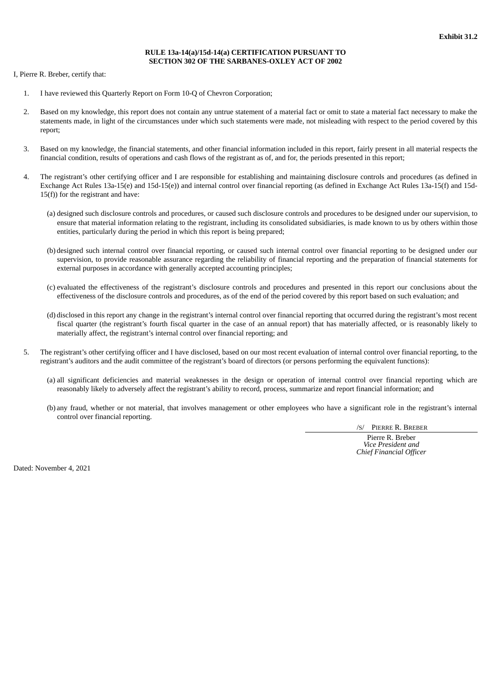#### **RULE 13a-14(a)/15d-14(a) CERTIFICATION PURSUANT TO SECTION 302 OF THE SARBANES-OXLEY ACT OF 2002**

<span id="page-42-0"></span>I, Pierre R. Breber, certify that:

- 1. I have reviewed this Quarterly Report on Form 10-Q of Chevron Corporation;
- 2. Based on my knowledge, this report does not contain any untrue statement of a material fact or omit to state a material fact necessary to make the statements made, in light of the circumstances under which such statements were made, not misleading with respect to the period covered by this report;
- 3. Based on my knowledge, the financial statements, and other financial information included in this report, fairly present in all material respects the financial condition, results of operations and cash flows of the registrant as of, and for, the periods presented in this report;
- 4. The registrant's other certifying officer and I are responsible for establishing and maintaining disclosure controls and procedures (as defined in Exchange Act Rules 13a-15(e) and 15d-15(e)) and internal control over financial reporting (as defined in Exchange Act Rules 13a-15(f) and 15d-15(f)) for the registrant and have:
	- (a) designed such disclosure controls and procedures, or caused such disclosure controls and procedures to be designed under our supervision, to ensure that material information relating to the registrant, including its consolidated subsidiaries, is made known to us by others within those entities, particularly during the period in which this report is being prepared;
	- (b) designed such internal control over financial reporting, or caused such internal control over financial reporting to be designed under our supervision, to provide reasonable assurance regarding the reliability of financial reporting and the preparation of financial statements for external purposes in accordance with generally accepted accounting principles;
	- (c) evaluated the effectiveness of the registrant's disclosure controls and procedures and presented in this report our conclusions about the effectiveness of the disclosure controls and procedures, as of the end of the period covered by this report based on such evaluation; and
	- (d) disclosed in this report any change in the registrant's internal control over financial reporting that occurred during the registrant's most recent fiscal quarter (the registrant's fourth fiscal quarter in the case of an annual report) that has materially affected, or is reasonably likely to materially affect, the registrant's internal control over financial reporting; and
- 5. The registrant's other certifying officer and I have disclosed, based on our most recent evaluation of internal control over financial reporting, to the registrant's auditors and the audit committee of the registrant's board of directors (or persons performing the equivalent functions):
	- (a) all significant deficiencies and material weaknesses in the design or operation of internal control over financial reporting which are reasonably likely to adversely affect the registrant's ability to record, process, summarize and report financial information; and
	- (b) any fraud, whether or not material, that involves management or other employees who have a significant role in the registrant's internal control over financial reporting.

/S/ PIERRE R. BREBER

Pierre R. Breber *Vice President and Chief Financial Officer*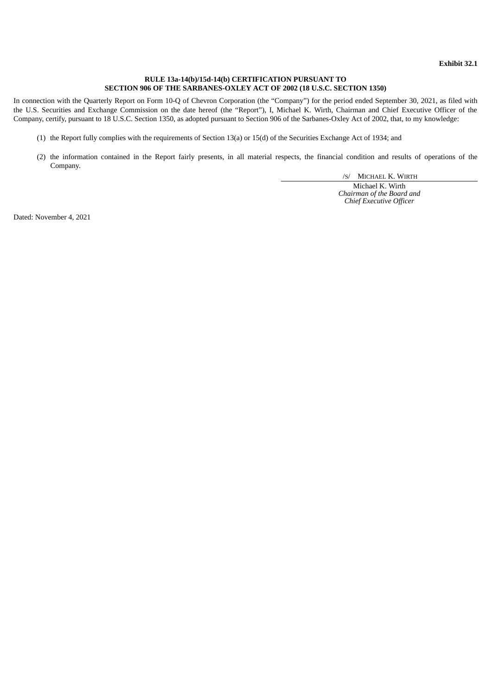#### **RULE 13a-14(b)/15d-14(b) CERTIFICATION PURSUANT TO SECTION 906 OF THE SARBANES-OXLEY ACT OF 2002 (18 U.S.C. SECTION 1350)**

<span id="page-43-0"></span>In connection with the Quarterly Report on Form 10-Q of Chevron Corporation (the "Company") for the period ended September 30, 2021, as filed with the U.S. Securities and Exchange Commission on the date hereof (the "Report"), I, Michael K. Wirth, Chairman and Chief Executive Officer of the Company, certify, pursuant to 18 U.S.C. Section 1350, as adopted pursuant to Section 906 of the Sarbanes-Oxley Act of 2002, that, to my knowledge:

- (1) the Report fully complies with the requirements of Section 13(a) or 15(d) of the Securities Exchange Act of 1934; and
- (2) the information contained in the Report fairly presents, in all material respects, the financial condition and results of operations of the Company.

/S/ MICHAEL K. WIRTH

Michael K. Wirth *Chairman of the Board and Chief Executive Officer*